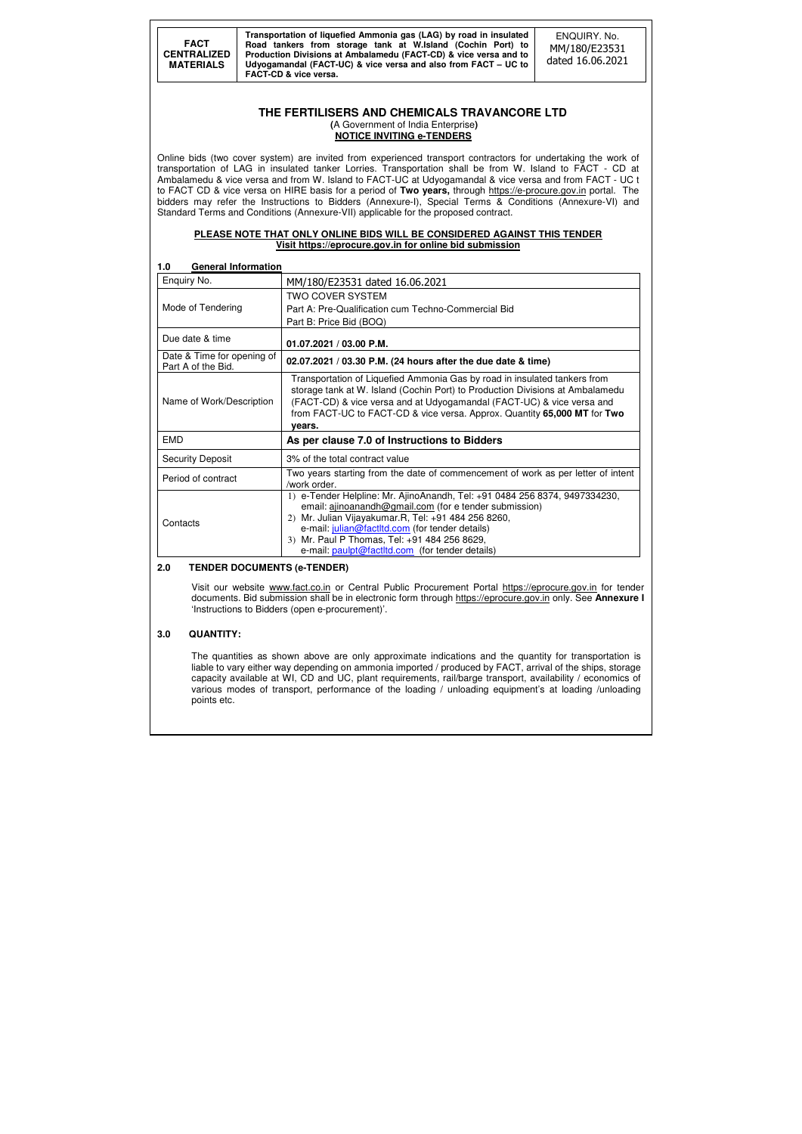**FACT CENTRALIZED MATERIALS** 

**Transportation of liquefied Ammonia gas (LAG) by road in insulated Road tankers from storage tank at W.Island (Cochin Port) to Production Divisions at Ambalamedu (FACT-CD) & vice versa and to Udyogamandal (FACT-UC) & vice versa and also from FACT – UC to FACT-CD & vice versa.**

ENQUIRY. No. MM/180/E23531 dated 16.06.2021

### **THE FERTILISERS AND CHEMICALS TRAVANCORE LTD (**A Government of India Enterprise**) NOTICE INVITING e-TENDERS**

Online bids (two cover system) are invited from experienced transport contractors for undertaking the work of transportation of LAG in insulated tanker Lorries. Transportation shall be from W. Island to FACT - CD at Ambalamedu & vice versa and from W. Island to FACT-UC at Udyogamandal & vice versa and from FACT - UC t to FACT CD & vice versa on HIRE basis for a period of **Two years,** through https://e-procure.gov.in portal. The bidders may refer the Instructions to Bidders (Annexure-I), Special Terms & Conditions (Annexure-VI) and Standard Terms and Conditions (Annexure-VII) applicable for the proposed contract.

### **PLEASE NOTE THAT ONLY ONLINE BIDS WILL BE CONSIDERED AGAINST THIS TENDER Visit https://eprocure.gov.in for online bid submission**

| <b>General Information</b><br>1.0                |                                                                                                                                                                                                                                                                                                                                                                     |  |  |
|--------------------------------------------------|---------------------------------------------------------------------------------------------------------------------------------------------------------------------------------------------------------------------------------------------------------------------------------------------------------------------------------------------------------------------|--|--|
| Enquiry No.                                      | MM/180/E23531 dated 16.06.2021                                                                                                                                                                                                                                                                                                                                      |  |  |
| Mode of Tendering                                | <b>TWO COVER SYSTEM</b><br>Part A: Pre-Qualification cum Techno-Commercial Bid                                                                                                                                                                                                                                                                                      |  |  |
|                                                  | Part B: Price Bid (BOQ)                                                                                                                                                                                                                                                                                                                                             |  |  |
| Due date & time                                  | 01.07.2021 / 03.00 P.M.                                                                                                                                                                                                                                                                                                                                             |  |  |
| Date & Time for opening of<br>Part A of the Bid. | 02.07.2021 / 03.30 P.M. (24 hours after the due date & time)                                                                                                                                                                                                                                                                                                        |  |  |
| Name of Work/Description                         | Transportation of Liquefied Ammonia Gas by road in insulated tankers from<br>storage tank at W. Island (Cochin Port) to Production Divisions at Ambalamedu<br>(FACT-CD) & vice versa and at Udyogamandal (FACT-UC) & vice versa and<br>from FACT-UC to FACT-CD & vice versa. Approx. Quantity 65,000 MT for Two<br>vears.                                           |  |  |
| <b>EMD</b>                                       | As per clause 7.0 of Instructions to Bidders                                                                                                                                                                                                                                                                                                                        |  |  |
| <b>Security Deposit</b>                          | 3% of the total contract value                                                                                                                                                                                                                                                                                                                                      |  |  |
| Period of contract                               | Two years starting from the date of commencement of work as per letter of intent<br>/work order.                                                                                                                                                                                                                                                                    |  |  |
| Contacts                                         | 1) e-Tender Helpline: Mr. AjinoAnandh, Tel: +91 0484 256 8374, 9497334230,<br>email: ajinoanandh@gmail.com (for e tender submission)<br>Mr. Julian Vijayakumar.R, Tel: +91 484 256 8260,<br>2)<br>e-mail: julian@factltd.com (for tender details)<br>Mr. Paul P Thomas, Tel: +91 484 256 8629,<br>3 <sup>)</sup><br>e-mail: paulpt@factltd.com (for tender details) |  |  |

### **2.0 TENDER DOCUMENTS (e-TENDER)**

 Visit our website www.fact.co.in or Central Public Procurement Portal https://eprocure.gov.in for tender documents. Bid submission shall be in electronic form through https://eprocure.gov.in only. See **Annexure I** 'Instructions to Bidders (open e-procurement)'.

### **3.0 QUANTITY:**

The quantities as shown above are only approximate indications and the quantity for transportation is liable to vary either way depending on ammonia imported / produced by FACT, arrival of the ships, storage capacity available at WI, CD and UC, plant requirements, rail/barge transport, availability / economics of various modes of transport, performance of the loading / unloading equipment's at loading /unloading points etc.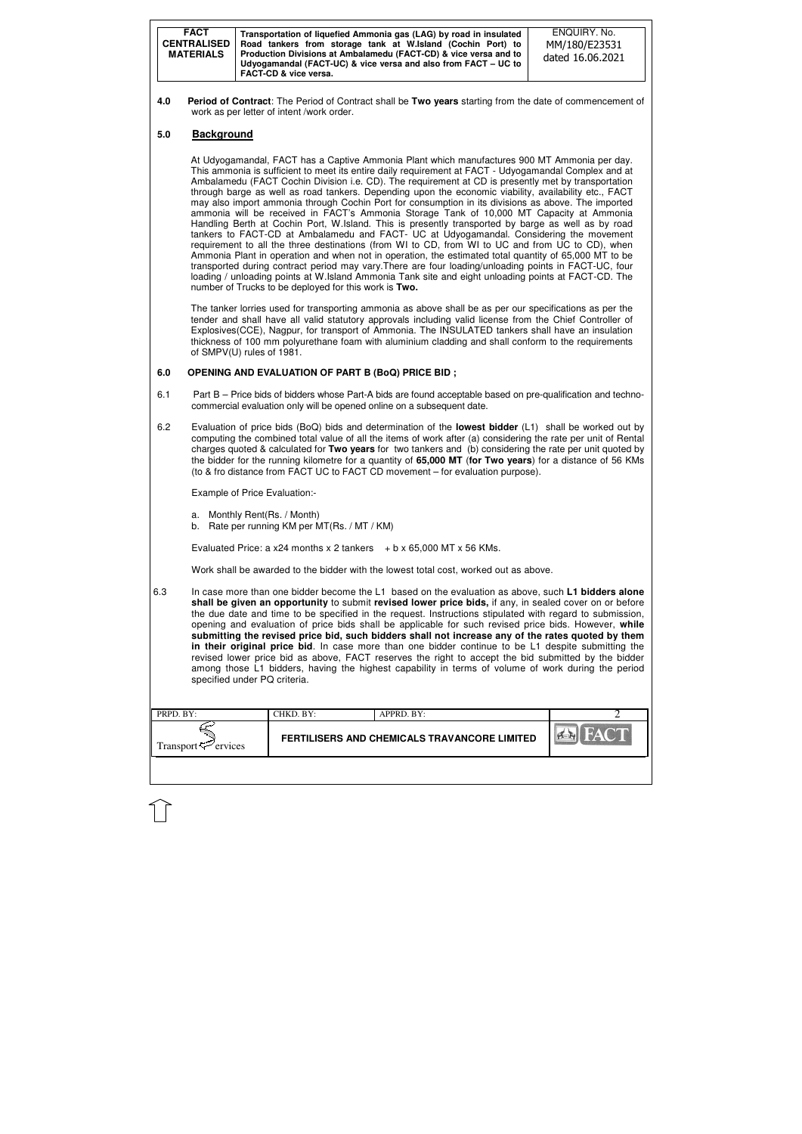| <b>FACT</b><br><b>CENTRALISED</b><br><b>MATERIALS</b> | Transportation of liquefied Ammonia gas (LAG) by road in insulated<br>Road tankers from storage tank at W.Island (Cochin Port) to<br>Production Divisions at Ambalamedu (FACT-CD) & vice versa and to<br>Udyogamandal (FACT-UC) & vice versa and also from FACT – UC to<br><b>FACT-CD &amp; vice versa.</b> | ENQUIRY, No.<br>MM/180/E23531<br>dated 16.06.2021 |
|-------------------------------------------------------|-------------------------------------------------------------------------------------------------------------------------------------------------------------------------------------------------------------------------------------------------------------------------------------------------------------|---------------------------------------------------|
|-------------------------------------------------------|-------------------------------------------------------------------------------------------------------------------------------------------------------------------------------------------------------------------------------------------------------------------------------------------------------------|---------------------------------------------------|

| PRPD. BY:                       | CHKD. BY:                                    | APPRD. BY: |  |
|---------------------------------|----------------------------------------------|------------|--|
| Transport <sup>ry</sup> ervices | FERTILISERS AND CHEMICALS TRAVANCORE LIMITED |            |  |
|                                 |                                              |            |  |

**4.0 Period of Contract**: The Period of Contract shall be **Two years** starting from the date of commencement of work as per letter of intent /work order.

### **5.0 Background**

At Udyogamandal, FACT has a Captive Ammonia Plant which manufactures 900 MT Ammonia per day. This ammonia is sufficient to meet its entire daily requirement at FACT - Udyogamandal Complex and at Ambalamedu (FACT Cochin Division i.e. CD). The requirement at CD is presently met by transportation through barge as well as road tankers. Depending upon the economic viability, availability etc., FACT may also import ammonia through Cochin Port for consumption in its divisions as above. The imported ammonia will be received in FACT's Ammonia Storage Tank of 10,000 MT Capacity at Ammonia Handling Berth at Cochin Port, W.Island. This is presently transported by barge as well as by road tankers to FACT-CD at Ambalamedu and FACT- UC at Udyogamandal. Considering the movement requirement to all the three destinations (from WI to CD, from WI to UC and from UC to CD), when Ammonia Plant in operation and when not in operation, the estimated total quantity of 65,000 MT to be transported during contract period may vary.There are four loading/unloading points in FACT-UC, four loading / unloading points at W.Island Ammonia Tank site and eight unloading points at FACT-CD. The number of Trucks to be deployed for this work is **Two.** 

The tanker lorries used for transporting ammonia as above shall be as per our specifications as per the tender and shall have all valid statutory approvals including valid license from the Chief Controller of Explosives(CCE), Nagpur, for transport of Ammonia. The INSULATED tankers shall have an insulation thickness of 100 mm polyurethane foam with aluminium cladding and shall conform to the requirements of SMPV(U) rules of 1981.

#### **6.0 OPENING AND EVALUATION OF PART B (BoQ) PRICE BID ;**

- 6.1 Part B Price bids of bidders whose Part-A bids are found acceptable based on pre-qualification and technocommercial evaluation only will be opened online on a subsequent date.
- 6.2 Evaluation of price bids (BoQ) bids and determination of the **lowest bidder** (L1) shall be worked out by computing the combined total value of all the items of work after (a) considering the rate per unit of Rental charges quoted & calculated for **Two years** for two tankers and (b) considering the rate per unit quoted by the bidder for the running kilometre for a quantity of **65,000 MT** (**for Two years**) for a distance of 56 KMs (to & fro distance from FACT UC to FACT CD movement – for evaluation purpose).

Example of Price Evaluation:-

a. Monthly Rent(Rs. / Month)

b. Rate per running KM per MT(Rs. / MT / KM)

Evaluated Price: a x24 months x 2 tankers  $+ b \times 65,000$  MT x 56 KMs.

Work shall be awarded to the bidder with the lowest total cost, worked out as above.

 6.3 In case more than one bidder become the L1 based on the evaluation as above, such **L1 bidders alone shall be given an opportunity** to submit **revised lower price bids,** if any, in sealed cover on or before the due date and time to be specified in the request. Instructions stipulated with regard to submission, opening and evaluation of price bids shall be applicable for such revised price bids. However, **while submitting the revised price bid, such bidders shall not increase any of the rates quoted by them in their original price bid**. In case more than one bidder continue to be L1 despite submitting the revised lower price bid as above, FACT reserves the right to accept the bid submitted by the bidder among those L1 bidders, having the highest capability in terms of volume of work during the period specified under PQ criteria.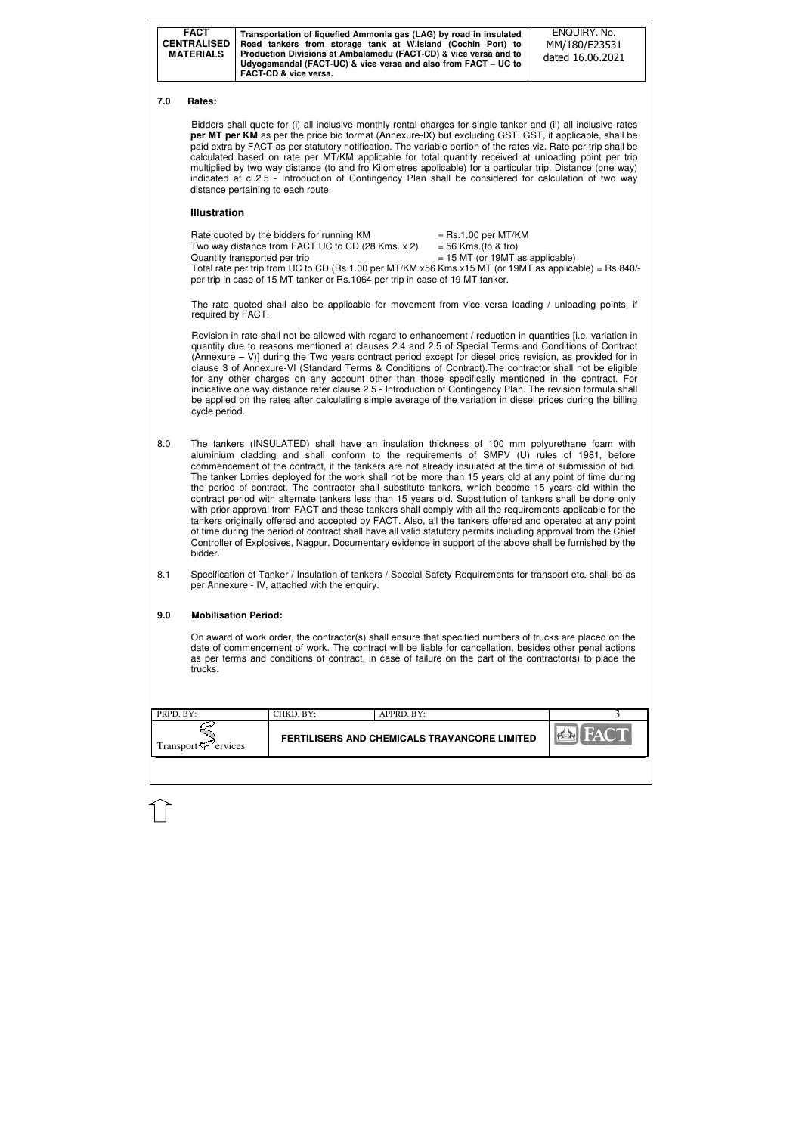| <b>FACT</b><br><b>CENTRALISED</b><br><b>MATERIALS</b> | Transportation of liquefied Ammonia gas (LAG) by road in insulated<br>Road tankers from storage tank at W.Island (Cochin Port) to<br>Production Divisions at Ambalamedu (FACT-CD) & vice versa and to<br>Udyogamandal (FACT-UC) & vice versa and also from FACT – UC to<br>FACT-CD & vice versa. | ENQUIRY, No.<br>MM/180/E23531<br>dated 16.06.2021 |
|-------------------------------------------------------|--------------------------------------------------------------------------------------------------------------------------------------------------------------------------------------------------------------------------------------------------------------------------------------------------|---------------------------------------------------|
|-------------------------------------------------------|--------------------------------------------------------------------------------------------------------------------------------------------------------------------------------------------------------------------------------------------------------------------------------------------------|---------------------------------------------------|

| $\blacksquare$ PRPD. BY:        | CHKD. BY:                                    | APPRD. BY: |             |
|---------------------------------|----------------------------------------------|------------|-------------|
| Transport $\mathcal{F}$ ervices | FERTILISERS AND CHEMICALS TRAVANCORE LIMITED |            | <b>PERT</b> |
|                                 |                                              |            |             |

#### **7.0 Rates:**

Bidders shall quote for (i) all inclusive monthly rental charges for single tanker and (ii) all inclusive rates **per MT per KM** as per the price bid format (Annexure-IX) but excluding GST. GST, if applicable, shall be paid extra by FACT as per statutory notification. The variable portion of the rates viz. Rate per trip shall be calculated based on rate per MT/KM applicable for total quantity received at unloading point per trip multiplied by two way distance (to and fro Kilometres applicable) for a particular trip. Distance (one way) indicated at cl.2.5 - Introduction of Contingency Plan shall be considered for calculation of two way distance pertaining to each route.

#### **Illustration**

| Rate quoted by the bidders for running KM                                                              | $=$ Rs.1.00 per MT/KM             |
|--------------------------------------------------------------------------------------------------------|-----------------------------------|
| Two way distance from FACT UC to CD (28 Kms. x 2)                                                      | $=$ 56 Kms.(to & fro)             |
| Quantity transported per trip                                                                          | $= 15$ MT (or 19MT as applicable) |
| Total rate per trip from UC to CD (Rs.1.00 per MT/KM x56 Kms.x15 MT (or 19MT as applicable) = Rs.840/- |                                   |
| per trip in case of 15 MT tanker or Rs.1064 per trip in case of 19 MT tanker.                          |                                   |

The rate quoted shall also be applicable for movement from vice versa loading / unloading points, if required by FACT.

Revision in rate shall not be allowed with regard to enhancement / reduction in quantities [i.e. variation in quantity due to reasons mentioned at clauses 2.4 and 2.5 of Special Terms and Conditions of Contract (Annexure  $-$  V)] during the Two years contract period except for diesel price revision, as provided for in clause 3 of Annexure-VI (Standard Terms & Conditions of Contract).The contractor shall not be eligible for any other charges on any account other than those specifically mentioned in the contract. For indicative one way distance refer clause 2.5 - Introduction of Contingency Plan. The revision formula shall be applied on the rates after calculating simple average of the variation in diesel prices during the billing cycle period.

- 8.0 The tankers (INSULATED) shall have an insulation thickness of 100 mm polyurethane foam with aluminium cladding and shall conform to the requirements of SMPV (U) rules of 1981, before commencement of the contract, if the tankers are not already insulated at the time of submission of bid. The tanker Lorries deployed for the work shall not be more than 15 years old at any point of time during the period of contract. The contractor shall substitute tankers, which become 15 years old within the contract period with alternate tankers less than 15 years old. Substitution of tankers shall be done only with prior approval from FACT and these tankers shall comply with all the requirements applicable for the tankers originally offered and accepted by FACT. Also, all the tankers offered and operated at any point of time during the period of contract shall have all valid statutory permits including approval from the Chief Controller of Explosives, Nagpur. Documentary evidence in support of the above shall be furnished by the bidder.
- 8.1 Specification of Tanker / Insulation of tankers / Special Safety Requirements for transport etc. shall be as per Annexure - IV, attached with the enquiry.

#### **9.0 Mobilisation Period:**

On award of work order, the contractor(s) shall ensure that specified numbers of trucks are placed on the date of commencement of work. The contract will be liable for cancellation, besides other penal actions as per terms and conditions of contract, in case of failure on the part of the contractor(s) to place the trucks.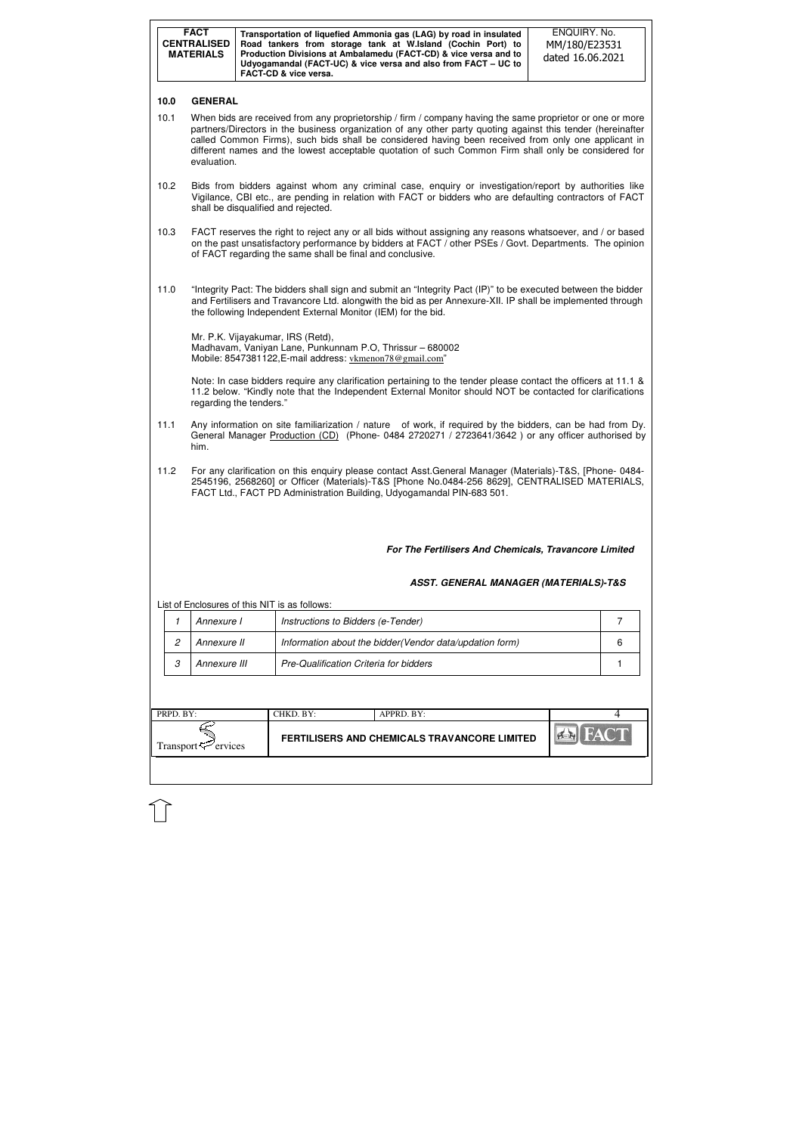| FERTILISERS AND CHEMICALS TRAVANCORE LIMITED<br>Transport <sup><math>\leq</math></sup> ervices |  |
|------------------------------------------------------------------------------------------------|--|

| <b>FACT</b><br>ENQUIRY. No.<br>Transportation of liquefied Ammonia gas (LAG) by road in insulated<br><b>CENTRALISED</b><br>Road tankers from storage tank at W.Island (Cochin Port) to<br>MM/180/E23531<br>Production Divisions at Ambalamedu (FACT-CD) & vice versa and to<br><b>MATERIALS</b><br>dated 16.06.2021<br>Udyogamandal (FACT-UC) & vice versa and also from FACT - UC to<br><b>FACT-CD &amp; vice versa.</b> |                                                                                                                                                                                                                                                                                              |  |                                                                                                                                                                                                                                                                                                                                                                                                                                         |   |  |  |  |
|---------------------------------------------------------------------------------------------------------------------------------------------------------------------------------------------------------------------------------------------------------------------------------------------------------------------------------------------------------------------------------------------------------------------------|----------------------------------------------------------------------------------------------------------------------------------------------------------------------------------------------------------------------------------------------------------------------------------------------|--|-----------------------------------------------------------------------------------------------------------------------------------------------------------------------------------------------------------------------------------------------------------------------------------------------------------------------------------------------------------------------------------------------------------------------------------------|---|--|--|--|
| 10.0                                                                                                                                                                                                                                                                                                                                                                                                                      | <b>GENERAL</b>                                                                                                                                                                                                                                                                               |  |                                                                                                                                                                                                                                                                                                                                                                                                                                         |   |  |  |  |
| 10.1                                                                                                                                                                                                                                                                                                                                                                                                                      | evaluation.                                                                                                                                                                                                                                                                                  |  | When bids are received from any proprietorship / firm / company having the same proprietor or one or more<br>partners/Directors in the business organization of any other party quoting against this tender (hereinafter<br>called Common Firms), such bids shall be considered having been received from only one applicant in<br>different names and the lowest acceptable quotation of such Common Firm shall only be considered for |   |  |  |  |
| 10.2                                                                                                                                                                                                                                                                                                                                                                                                                      | Bids from bidders against whom any criminal case, enquiry or investigation/report by authorities like<br>Vigilance, CBI etc., are pending in relation with FACT or bidders who are defaulting contractors of FACT<br>shall be disqualified and rejected.                                     |  |                                                                                                                                                                                                                                                                                                                                                                                                                                         |   |  |  |  |
| 10.3                                                                                                                                                                                                                                                                                                                                                                                                                      |                                                                                                                                                                                                                                                                                              |  | FACT reserves the right to reject any or all bids without assigning any reasons whatsoever, and / or based<br>on the past unsatisfactory performance by bidders at FACT / other PSEs / Govt. Departments. The opinion<br>of FACT regarding the same shall be final and conclusive.                                                                                                                                                      |   |  |  |  |
| 11.0                                                                                                                                                                                                                                                                                                                                                                                                                      | "Integrity Pact: The bidders shall sign and submit an "Integrity Pact (IP)" to be executed between the bidder<br>and Fertilisers and Travancore Ltd. alongwith the bid as per Annexure-XII. IP shall be implemented through<br>the following Independent External Monitor (IEM) for the bid. |  |                                                                                                                                                                                                                                                                                                                                                                                                                                         |   |  |  |  |
|                                                                                                                                                                                                                                                                                                                                                                                                                           | Mr. P.K. Vijayakumar, IRS (Retd),<br>Madhavam, Vaniyan Lane, Punkunnam P.O, Thrissur - 680002<br>Mobile: 8547381122, E-mail address: vkmenon78@gmail.com"                                                                                                                                    |  |                                                                                                                                                                                                                                                                                                                                                                                                                                         |   |  |  |  |
|                                                                                                                                                                                                                                                                                                                                                                                                                           | regarding the tenders."                                                                                                                                                                                                                                                                      |  | Note: In case bidders require any clarification pertaining to the tender please contact the officers at 11.1 &<br>11.2 below. "Kindly note that the Independent External Monitor should NOT be contacted for clarifications                                                                                                                                                                                                             |   |  |  |  |
| 11.1                                                                                                                                                                                                                                                                                                                                                                                                                      | Any information on site familiarization / nature of work, if required by the bidders, can be had from Dy.<br>General Manager Production (CD) (Phone- 0484 2720271 / 2723641/3642) or any officer authorised by<br>him.                                                                       |  |                                                                                                                                                                                                                                                                                                                                                                                                                                         |   |  |  |  |
| 11.2                                                                                                                                                                                                                                                                                                                                                                                                                      |                                                                                                                                                                                                                                                                                              |  | For any clarification on this enquiry please contact Asst.General Manager (Materials)-T&S, [Phone- 0484-<br>2545196, 2568260] or Officer (Materials)-T&S [Phone No.0484-256 8629], CENTRALISED MATERIALS,<br>FACT Ltd., FACT PD Administration Building, Udyogamandal PIN-683 501.                                                                                                                                                      |   |  |  |  |
|                                                                                                                                                                                                                                                                                                                                                                                                                           |                                                                                                                                                                                                                                                                                              |  | For The Fertilisers And Chemicals, Travancore Limited                                                                                                                                                                                                                                                                                                                                                                                   |   |  |  |  |
|                                                                                                                                                                                                                                                                                                                                                                                                                           |                                                                                                                                                                                                                                                                                              |  | <b>ASST. GENERAL MANAGER (MATERIALS)-T&amp;S</b>                                                                                                                                                                                                                                                                                                                                                                                        |   |  |  |  |
|                                                                                                                                                                                                                                                                                                                                                                                                                           |                                                                                                                                                                                                                                                                                              |  | List of Enclosures of this NIT is as follows:                                                                                                                                                                                                                                                                                                                                                                                           |   |  |  |  |
| 1                                                                                                                                                                                                                                                                                                                                                                                                                         | Annexure I                                                                                                                                                                                                                                                                                   |  | Instructions to Bidders (e-Tender)                                                                                                                                                                                                                                                                                                                                                                                                      | 7 |  |  |  |
| 2                                                                                                                                                                                                                                                                                                                                                                                                                         | Annexure II                                                                                                                                                                                                                                                                                  |  | Information about the bidder(Vendor data/updation form)                                                                                                                                                                                                                                                                                                                                                                                 | 6 |  |  |  |
| 3                                                                                                                                                                                                                                                                                                                                                                                                                         | Annexure III<br>Pre-Qualification Criteria for bidders<br>1                                                                                                                                                                                                                                  |  |                                                                                                                                                                                                                                                                                                                                                                                                                                         |   |  |  |  |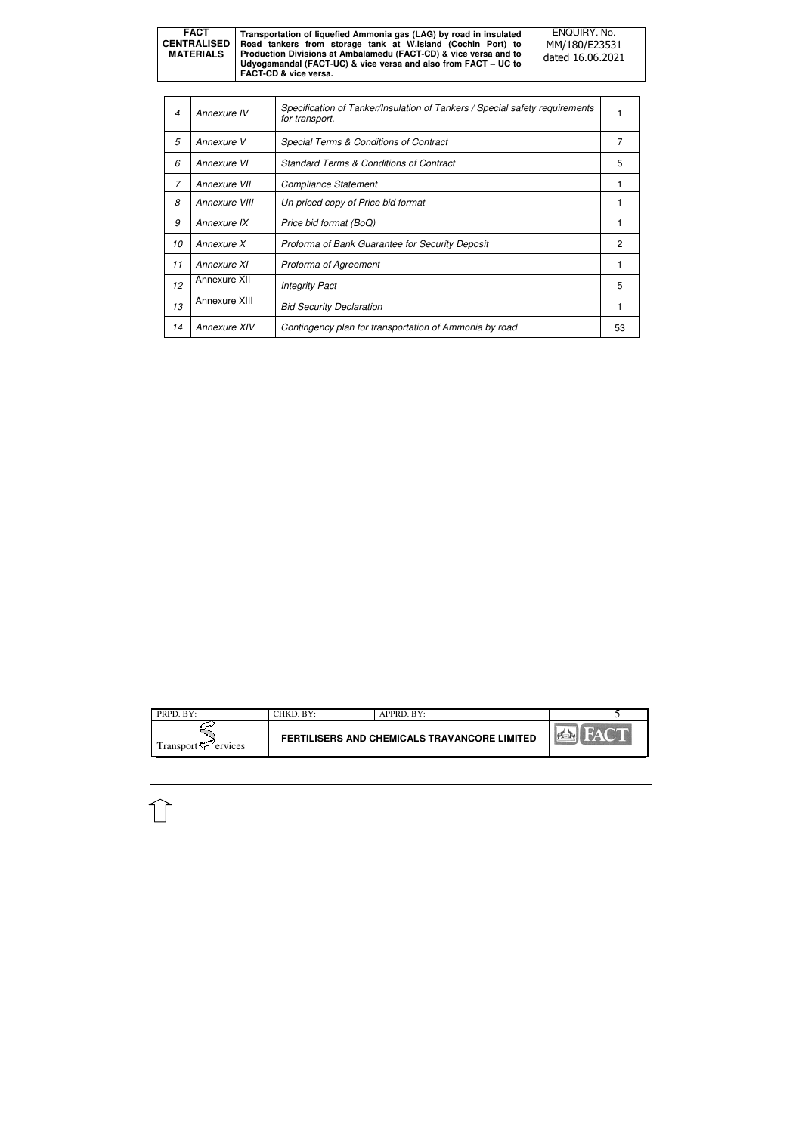| PRPD. BY:                       | CHKD. BY:                                    | APPRD. BY: |        |
|---------------------------------|----------------------------------------------|------------|--------|
| Transport <sup>52</sup> ervices | FERTILISERS AND CHEMICALS TRAVANCORE LIMITED |            | $\sim$ |
|                                 |                                              |            |        |

| <b>FACT</b><br><b>CENTRALISED</b><br><b>MATERIALS</b> |                                                                        |  | Transportation of liquefied Ammonia gas (LAG) by road in insulated<br>Road tankers from storage tank at W.Island (Cochin Port) to<br>Production Divisions at Ambalamedu (FACT-CD) & vice versa and to<br>Udyogamandal (FACT-UC) & vice versa and also from FACT - UC to<br>FACT-CD & vice versa. | ENQUIRY. No.<br>MM/180/E23531<br>dated 16.06.2021 |   |
|-------------------------------------------------------|------------------------------------------------------------------------|--|--------------------------------------------------------------------------------------------------------------------------------------------------------------------------------------------------------------------------------------------------------------------------------------------------|---------------------------------------------------|---|
|                                                       |                                                                        |  |                                                                                                                                                                                                                                                                                                  |                                                   |   |
| 4                                                     | Annexure IV                                                            |  | Specification of Tanker/Insulation of Tankers / Special safety requirements<br>for transport.                                                                                                                                                                                                    |                                                   |   |
| 5                                                     | Annexure V                                                             |  | Special Terms & Conditions of Contract                                                                                                                                                                                                                                                           |                                                   | 7 |
| 6                                                     | Annexure VI                                                            |  | <b>Standard Terms &amp; Conditions of Contract</b>                                                                                                                                                                                                                                               |                                                   | 5 |
| $\overline{z}$                                        | Annexure VII                                                           |  | <b>Compliance Statement</b>                                                                                                                                                                                                                                                                      |                                                   | 1 |
| 8<br>Annexure VIII                                    |                                                                        |  | Un-priced copy of Price bid format                                                                                                                                                                                                                                                               |                                                   | 1 |
| 9                                                     | Annexure IX<br>Price bid format (BoQ)                                  |  | 1                                                                                                                                                                                                                                                                                                |                                                   |   |
| 10                                                    | Annexure X<br>Proforma of Bank Guarantee for Security Deposit          |  |                                                                                                                                                                                                                                                                                                  | $\mathbf{2}$                                      |   |
| 11                                                    | Annexure XI<br>Proforma of Agreement                                   |  | 1                                                                                                                                                                                                                                                                                                |                                                   |   |
| 12                                                    | Annexure XII<br><b>Integrity Pact</b>                                  |  | 5                                                                                                                                                                                                                                                                                                |                                                   |   |
| 13                                                    | Annexure XIII<br><b>Bid Security Declaration</b>                       |  | 1                                                                                                                                                                                                                                                                                                |                                                   |   |
| 14                                                    | Annexure XIV<br>Contingency plan for transportation of Ammonia by road |  | 53                                                                                                                                                                                                                                                                                               |                                                   |   |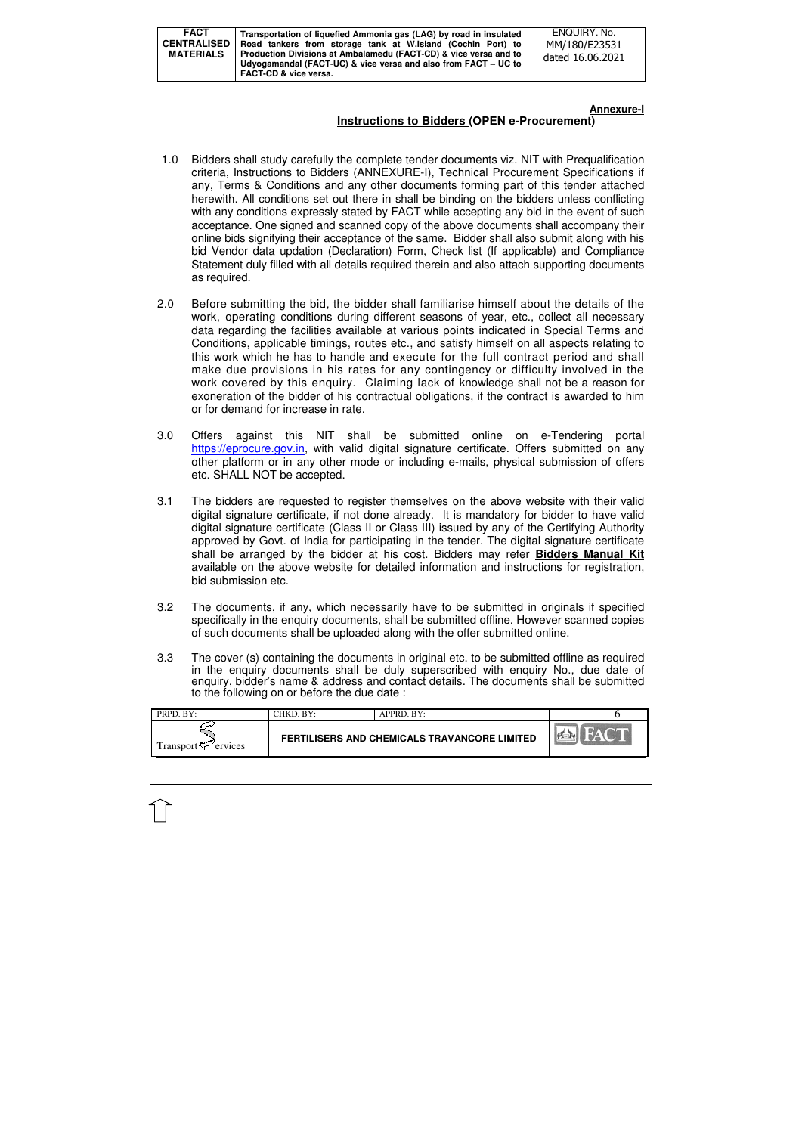| PRPD. BY:                       | CHKD. BY:                                    | APPRD. BY: |  |
|---------------------------------|----------------------------------------------|------------|--|
| Transport <sup>57</sup> ervices | FERTILISERS AND CHEMICALS TRAVANCORE LIMITED |            |  |
|                                 |                                              |            |  |

#### **Annexure-I Instructions to Bidders (OPEN e-Procurement)**

- 1.0 Bidders shall study carefully the complete tender documents viz. NIT with Prequalification criteria, Instructions to Bidders (ANNEXURE-I), Technical Procurement Specifications if any, Terms & Conditions and any other documents forming part of this tender attached herewith. All conditions set out there in shall be binding on the bidders unless conflicting with any conditions expressly stated by FACT while accepting any bid in the event of such acceptance. One signed and scanned copy of the above documents shall accompany their online bids signifying their acceptance of the same. Bidder shall also submit along with his bid Vendor data updation (Declaration) Form, Check list (If applicable) and Compliance Statement duly filled with all details required therein and also attach supporting documents as required.
- 2.0 Before submitting the bid, the bidder shall familiarise himself about the details of the work, operating conditions during different seasons of year, etc., collect all necessary data regarding the facilities available at various points indicated in Special Terms and Conditions, applicable timings, routes etc., and satisfy himself on all aspects relating to this work which he has to handle and execute for the full contract period and shall make due provisions in his rates for any contingency or difficulty involved in the work covered by this enquiry. Claiming lack of knowledge shall not be a reason for exoneration of the bidder of his contractual obligations, if the contract is awarded to him or for demand for increase in rate.
- 3.0 Offers against this NIT shall be submitted online on e-Tendering portal https://eprocure.gov.in, with valid digital signature certificate. Offers submitted on any other platform or in any other mode or including e-mails, physical submission of offers etc. SHALL NOT be accepted.
- 3.1 The bidders are requested to register themselves on the above website with their valid digital signature certificate, if not done already. It is mandatory for bidder to have valid digital signature certificate (Class II or Class III) issued by any of the Certifying Authority approved by Govt. of India for participating in the tender. The digital signature certificate shall be arranged by the bidder at his cost. Bidders may refer **Bidders Manual Kit**  available on the above website for detailed information and instructions for registration, bid submission etc.
- 3.2 The documents, if any, which necessarily have to be submitted in originals if specified specifically in the enquiry documents, shall be submitted offline. However scanned copies of such documents shall be uploaded along with the offer submitted online.
- 3.3 The cover (s) containing the documents in original etc. to be submitted offline as required in the enquiry documents shall be duly superscribed with enquiry No., due date of enquiry, bidder's name & address and contact details. The documents shall be submitted to the following on or before the due date :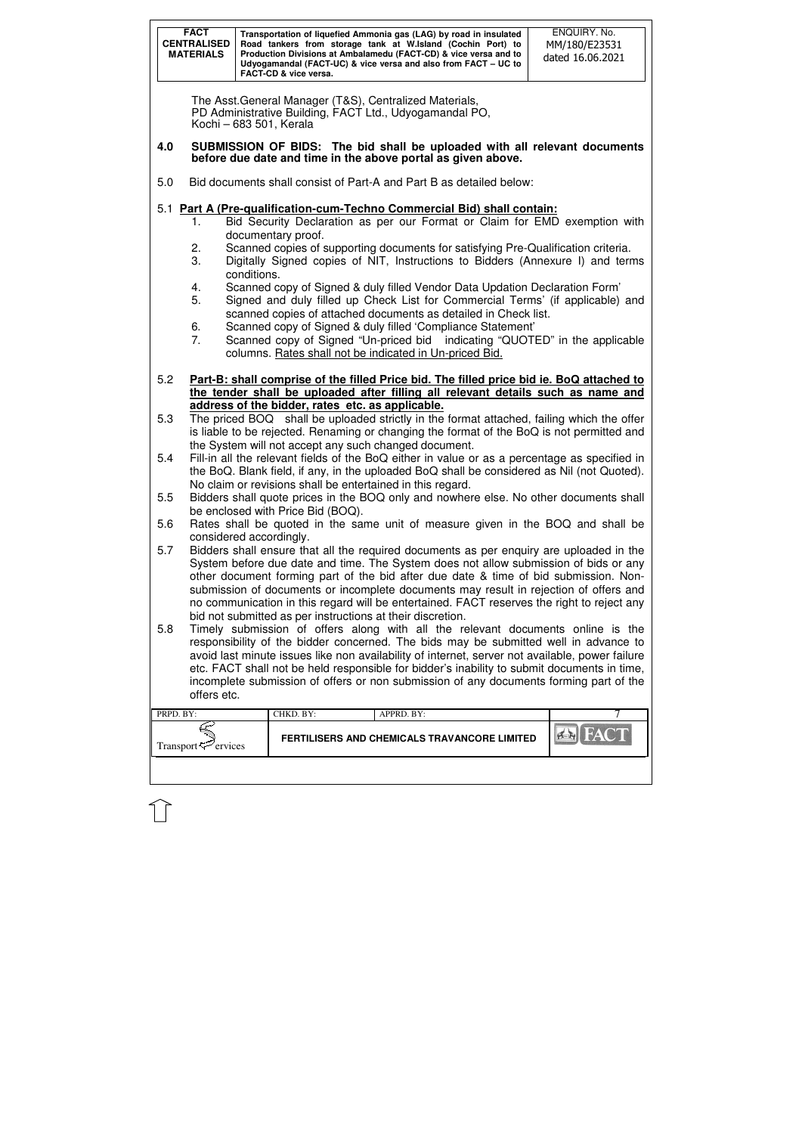|           | <b>FACT</b><br><b>CENTRALISED</b><br><b>MATERIALS</b>                                                                                                                                                                                                     | Transportation of liquefied Ammonia gas (LAG) by road in insulated<br>Road tankers from storage tank at W.Island (Cochin Port) to<br>Production Divisions at Ambalamedu (FACT-CD) & vice versa and to<br>Udyogamandal (FACT-UC) & vice versa and also from FACT - UC to<br><b>FACT-CD &amp; vice versa.</b>                                                                                                                                                                                                                       | ENQUIRY. No.<br>MM/180/E23531<br>dated 16.06.2021 |
|-----------|-----------------------------------------------------------------------------------------------------------------------------------------------------------------------------------------------------------------------------------------------------------|-----------------------------------------------------------------------------------------------------------------------------------------------------------------------------------------------------------------------------------------------------------------------------------------------------------------------------------------------------------------------------------------------------------------------------------------------------------------------------------------------------------------------------------|---------------------------------------------------|
|           |                                                                                                                                                                                                                                                           | The Asst. General Manager (T&S), Centralized Materials,<br>PD Administrative Building, FACT Ltd., Udyogamandal PO,<br>Kochi - 683 501, Kerala                                                                                                                                                                                                                                                                                                                                                                                     |                                                   |
| 4.0       |                                                                                                                                                                                                                                                           | SUBMISSION OF BIDS: The bid shall be uploaded with all relevant documents<br>before due date and time in the above portal as given above.                                                                                                                                                                                                                                                                                                                                                                                         |                                                   |
| 5.0       |                                                                                                                                                                                                                                                           | Bid documents shall consist of Part-A and Part B as detailed below:                                                                                                                                                                                                                                                                                                                                                                                                                                                               |                                                   |
|           | 1.                                                                                                                                                                                                                                                        | 5.1 Part A (Pre-qualification-cum-Techno Commercial Bid) shall contain:<br>Bid Security Declaration as per our Format or Claim for EMD exemption with<br>documentary proof.                                                                                                                                                                                                                                                                                                                                                       |                                                   |
|           | 2.<br>3.                                                                                                                                                                                                                                                  | Scanned copies of supporting documents for satisfying Pre-Qualification criteria.<br>Digitally Signed copies of NIT, Instructions to Bidders (Annexure I) and terms<br>conditions.                                                                                                                                                                                                                                                                                                                                                |                                                   |
|           | 4.<br>5.                                                                                                                                                                                                                                                  | Scanned copy of Signed & duly filled Vendor Data Updation Declaration Form'<br>Signed and duly filled up Check List for Commercial Terms' (if applicable) and<br>scanned copies of attached documents as detailed in Check list.                                                                                                                                                                                                                                                                                                  |                                                   |
|           | 6.<br>7.                                                                                                                                                                                                                                                  | Scanned copy of Signed & duly filled 'Compliance Statement'<br>Scanned copy of Signed "Un-priced bid indicating "QUOTED" in the applicable<br>columns. Rates shall not be indicated in Un-priced Bid.                                                                                                                                                                                                                                                                                                                             |                                                   |
| 5.2       |                                                                                                                                                                                                                                                           | Part-B: shall comprise of the filled Price bid. The filled price bid ie. BoQ attached to<br>the tender shall be uploaded after filling all relevant details such as name and<br>address of the bidder, rates etc. as applicable.                                                                                                                                                                                                                                                                                                  |                                                   |
| 5.3       |                                                                                                                                                                                                                                                           | The priced BOQ shall be uploaded strictly in the format attached, failing which the offer<br>is liable to be rejected. Renaming or changing the format of the BoQ is not permitted and<br>the System will not accept any such changed document.                                                                                                                                                                                                                                                                                   |                                                   |
| 5.4       | Fill-in all the relevant fields of the BoQ either in value or as a percentage as specified in<br>the BoQ. Blank field, if any, in the uploaded BoQ shall be considered as Nil (not Quoted).<br>No claim or revisions shall be entertained in this regard. |                                                                                                                                                                                                                                                                                                                                                                                                                                                                                                                                   |                                                   |
| 5.5       |                                                                                                                                                                                                                                                           | Bidders shall quote prices in the BOQ only and nowhere else. No other documents shall<br>be enclosed with Price Bid (BOQ).                                                                                                                                                                                                                                                                                                                                                                                                        |                                                   |
| 5.6       |                                                                                                                                                                                                                                                           | Rates shall be quoted in the same unit of measure given in the BOQ and shall be<br>considered accordingly.                                                                                                                                                                                                                                                                                                                                                                                                                        |                                                   |
| 5.7       |                                                                                                                                                                                                                                                           | Bidders shall ensure that all the required documents as per enquiry are uploaded in the<br>System before due date and time. The System does not allow submission of bids or any<br>other document forming part of the bid after due date & time of bid submission. Non-<br>submission of documents or incomplete documents may result in rejection of offers and<br>no communication in this regard will be entertained. FACT reserves the right to reject any                                                                    |                                                   |
| 5.8       | offers etc.                                                                                                                                                                                                                                               | bid not submitted as per instructions at their discretion.<br>Timely submission of offers along with all the relevant documents online is the<br>responsibility of the bidder concerned. The bids may be submitted well in advance to<br>avoid last minute issues like non availability of internet, server not available, power failure<br>etc. FACT shall not be held responsible for bidder's inability to submit documents in time,<br>incomplete submission of offers or non submission of any documents forming part of the |                                                   |
| PRPD. BY: |                                                                                                                                                                                                                                                           | CHKD. BY:<br>APPRD. BY:                                                                                                                                                                                                                                                                                                                                                                                                                                                                                                           |                                                   |
|           | Transport <sup>5</sup> ervices                                                                                                                                                                                                                            | FERTILISERS AND CHEMICALS TRAVANCORE LIMITED                                                                                                                                                                                                                                                                                                                                                                                                                                                                                      |                                                   |
|           |                                                                                                                                                                                                                                                           |                                                                                                                                                                                                                                                                                                                                                                                                                                                                                                                                   |                                                   |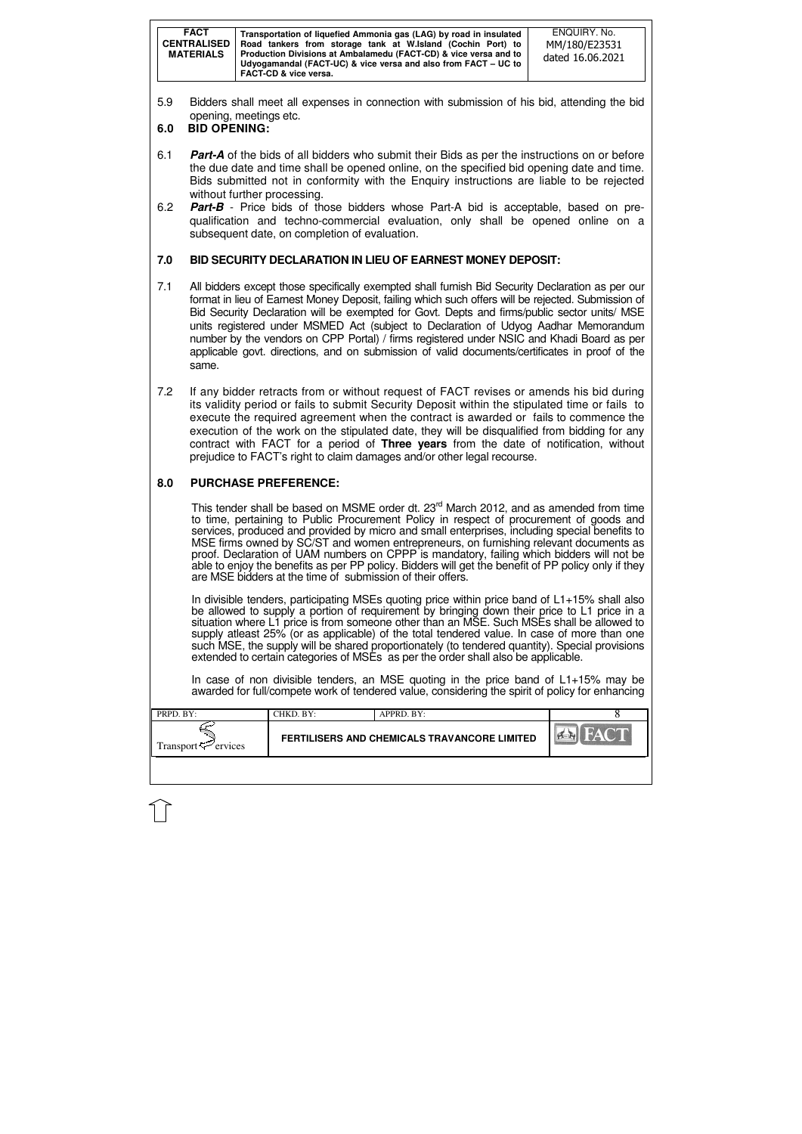| PRPD. BY:                       | CHKD. BY:                                           | APPRD. BY: |  |
|---------------------------------|-----------------------------------------------------|------------|--|
| Transport $\mathcal{L}$ ervices | <b>FERTILISERS AND CHEMICALS TRAVANCORE LIMITED</b> |            |  |
|                                 |                                                     |            |  |

5.9 Bidders shall meet all expenses in connection with submission of his bid, attending the bid opening, meetings etc.

# **6.0 BID OPENING:**

- 6.1 **Part-A** of the bids of all bidders who submit their Bids as per the instructions on or before the due date and time shall be opened online, on the specified bid opening date and time. Bids submitted not in conformity with the Enquiry instructions are liable to be rejected without further processing.
- 6.2 **Part-B** Price bids of those bidders whose Part-A bid is acceptable, based on prequalification and techno-commercial evaluation, only shall be opened online on a subsequent date, on completion of evaluation.

# **7.0 BID SECURITY DECLARATION IN LIEU OF EARNEST MONEY DEPOSIT:**

This tender shall be based on MSME order dt. 23<sup>rd</sup> March 2012, and as amended from time to time, pertaining to Public Procurement Policy in respect of procurement of goods and services, produced and provided by micro and small enterprises, including special benefits to MSE firms owned by SC/ST and women entrepreneurs, on furnishing relevant documents as proof. Declaration of UAM numbers on CPPP is mandatory, failing which bidders will not be able to enjoy the benefits as per PP policy. Bidders will get the benefit of PP policy only if they are MSE bidders at the time of submission of their offers.

- 7.1 All bidders except those specifically exempted shall furnish Bid Security Declaration as per our format in lieu of Earnest Money Deposit, failing which such offers will be rejected. Submission of Bid Security Declaration will be exempted for Govt. Depts and firms/public sector units/ MSE units registered under MSMED Act (subject to Declaration of Udyog Aadhar Memorandum number by the vendors on CPP Portal) / firms registered under NSIC and Khadi Board as per applicable govt. directions, and on submission of valid documents/certificates in proof of the same.
- 7.2 If any bidder retracts from or without request of FACT revises or amends his bid during its validity period or fails to submit Security Deposit within the stipulated time or fails to execute the required agreement when the contract is awarded or fails to commence the execution of the work on the stipulated date, they will be disqualified from bidding for any contract with FACT for a period of **Three years** from the date of notification, without prejudice to FACT's right to claim damages and/or other legal recourse.

# **8.0 PURCHASE PREFERENCE:**

In divisible tenders, participating MSEs quoting price within price band of L1+15% shall also be allowed to supply a portion of requirement by bringing down their price to L1 price in a situation where L1 price is from someone other than an MSE. Such MSEs shall be allowed to supply atleast 25% (or as applicable) of the total tendered value. In case of more than one such MSE, the supply will be shared proportionately (to tendered quantity). Special provisions extended to certain categories of MSEs as per the order shall also be applicable.

In case of non divisible tenders, an MSE quoting in the price band of L1+15% may be awarded for full/compete work of tendered value, considering the spirit of policy for enhancing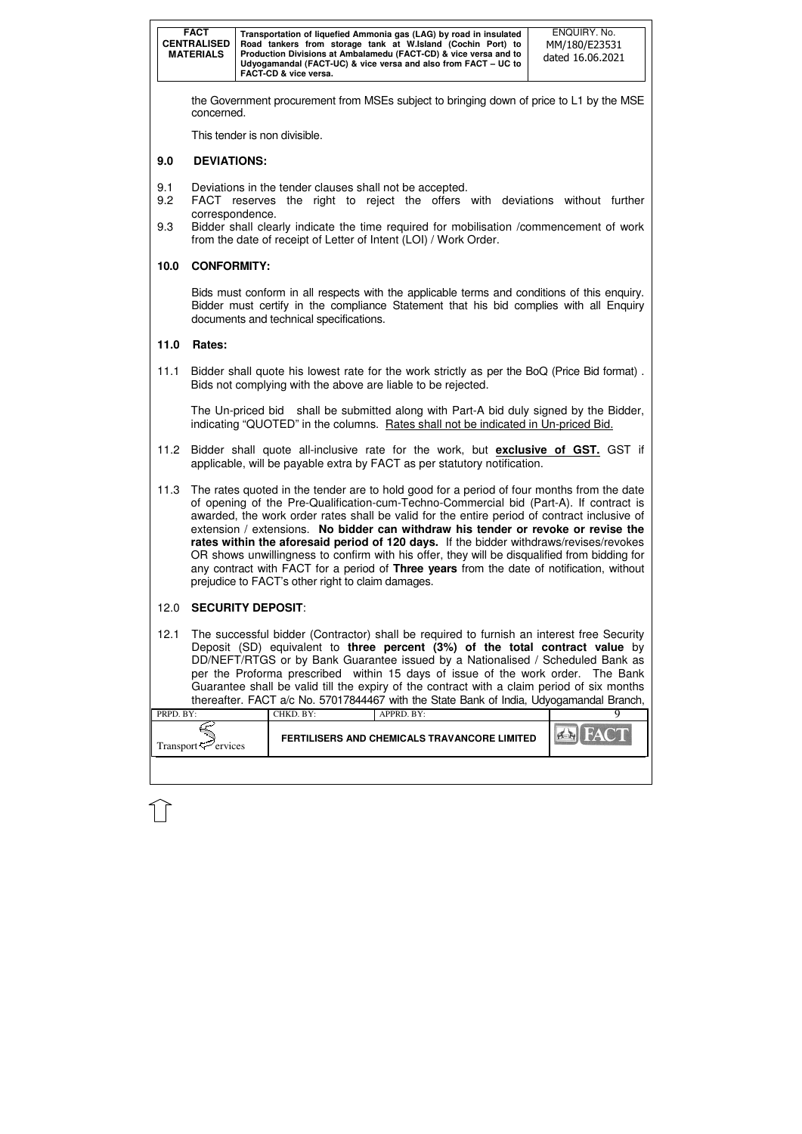| <b>FACT</b><br><b>CENTRALISED</b><br><b>MATERIALS</b> | Transportation of liquefied Ammonia gas (LAG) by road in insulated<br>Road tankers from storage tank at W.Island (Cochin Port) to<br>Production Divisions at Ambalamedu (FACT-CD) & vice versa and to<br>Udyogamandal (FACT-UC) & vice versa and also from FACT - UC to<br><b>FACT-CD &amp; vice versa.</b> | ENQUIRY. No.<br>MM/180/E23531<br>dated 16.06.2021 |
|-------------------------------------------------------|-------------------------------------------------------------------------------------------------------------------------------------------------------------------------------------------------------------------------------------------------------------------------------------------------------------|---------------------------------------------------|
|-------------------------------------------------------|-------------------------------------------------------------------------------------------------------------------------------------------------------------------------------------------------------------------------------------------------------------------------------------------------------------|---------------------------------------------------|

| PRPD. BY:                       | CHKD. BY:                                    | $APPRD$ . BY: |  |
|---------------------------------|----------------------------------------------|---------------|--|
| Transport <sup>-C</sup> ervices | FERTILISERS AND CHEMICALS TRAVANCORE LIMITED |               |  |
|                                 |                                              |               |  |

the Government procurement from MSEs subject to bringing down of price to L1 by the MSE concerned.

This tender is non divisible.

# **9.0 DEVIATIONS:**

- 9.1 Deviations in the tender clauses shall not be accepted.
- 9.2 FACT reserves the right to reject the offers with deviations without further correspondence.
- 9.3 Bidder shall clearly indicate the time required for mobilisation /commencement of work from the date of receipt of Letter of Intent (LOI) / Work Order.

# **10.0 CONFORMITY:**

Bids must conform in all respects with the applicable terms and conditions of this enquiry. Bidder must certify in the compliance Statement that his bid complies with all Enquiry documents and technical specifications.

## **11.0 Rates:**

11.1 Bidder shall quote his lowest rate for the work strictly as per the BoQ (Price Bid format) . Bids not complying with the above are liable to be rejected.

The Un-priced bid shall be submitted along with Part-A bid duly signed by the Bidder, indicating "QUOTED" in the columns. Rates shall not be indicated in Un-priced Bid.

- 11.2 Bidder shall quote all-inclusive rate for the work, but **exclusive of GST.** GST if applicable, will be payable extra by FACT as per statutory notification.
- 11.3 The rates quoted in the tender are to hold good for a period of four months from the date of opening of the Pre-Qualification-cum-Techno-Commercial bid (Part-A). If contract is awarded, the work order rates shall be valid for the entire period of contract inclusive of extension / extensions. **No bidder can withdraw his tender or revoke or revise the rates within the aforesaid period of 120 days.** If the bidder withdraws/revises/revokes OR shows unwillingness to confirm with his offer, they will be disqualified from bidding for any contract with FACT for a period of **Three years** from the date of notification, without prejudice to FACT's other right to claim damages.

# 12.0 **SECURITY DEPOSIT**:

12.1 The successful bidder (Contractor) shall be required to furnish an interest free Security Deposit (SD) equivalent to **three percent (3%) of the total contract value** by DD/NEFT/RTGS or by Bank Guarantee issued by a Nationalised / Scheduled Bank as per the Proforma prescribed within 15 days of issue of the work order. The Bank Guarantee shall be valid till the expiry of the contract with a claim period of six months thereafter. FACT a/c No. 57017844467 with the State Bank of India, Udyogamandal Branch,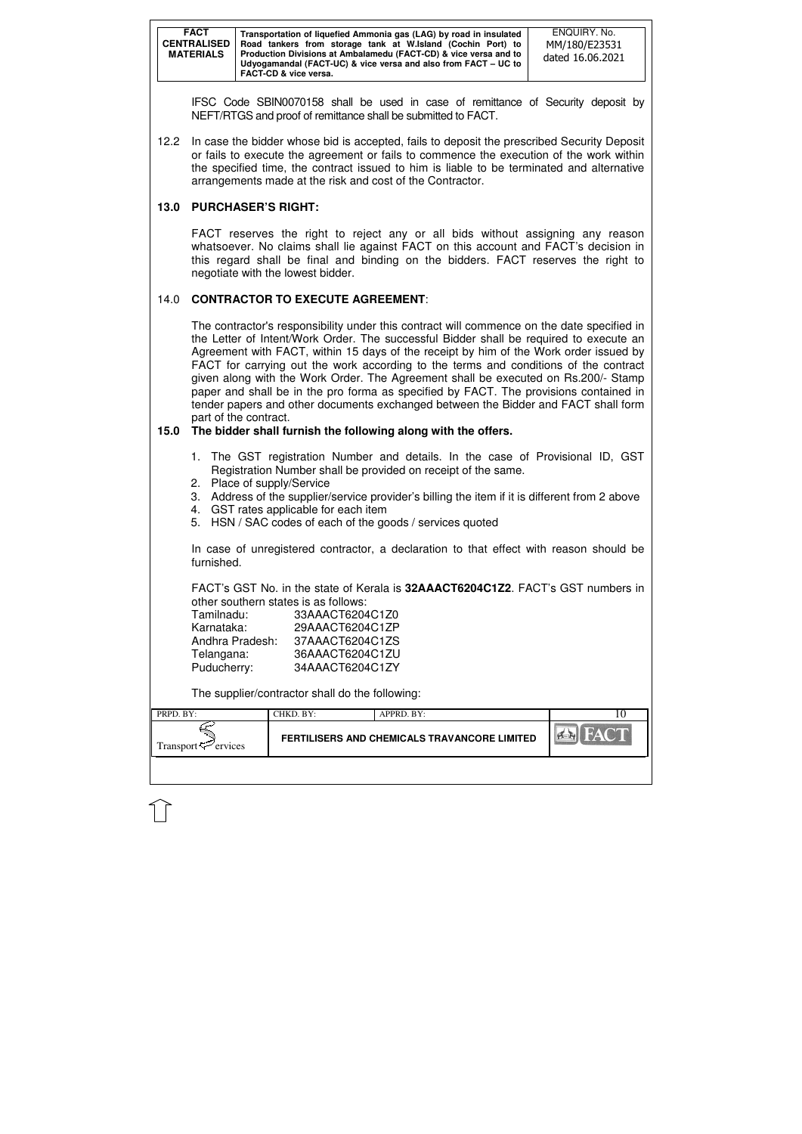| <b>FACT</b><br><b>CENTRALISED</b><br><b>MATERIALS</b> | Transportation of liquefied Ammonia gas (LAG) by road in insulated<br>Road tankers from storage tank at W.Island (Cochin Port) to<br>Production Divisions at Ambalamedu (FACT-CD) & vice versa and to<br>Udyogamandal (FACT-UC) & vice versa and also from FACT – UC to<br>FACT-CD & vice versa. | ENQUIRY. No.<br>MM/180/E23531<br>dated 16.06.2021 |
|-------------------------------------------------------|--------------------------------------------------------------------------------------------------------------------------------------------------------------------------------------------------------------------------------------------------------------------------------------------------|---------------------------------------------------|
|-------------------------------------------------------|--------------------------------------------------------------------------------------------------------------------------------------------------------------------------------------------------------------------------------------------------------------------------------------------------|---------------------------------------------------|

| PRPD. BY:                | CHKD. BY:                                    | APPRD. BY: |     |
|--------------------------|----------------------------------------------|------------|-----|
| Transport $\leq$ ervices | FERTILISERS AND CHEMICALS TRAVANCORE LIMITED |            | PER |

IFSC Code SBIN0070158 shall be used in case of remittance of Security deposit by NEFT/RTGS and proof of remittance shall be submitted to FACT.

12.2 In case the bidder whose bid is accepted, fails to deposit the prescribed Security Deposit or fails to execute the agreement or fails to commence the execution of the work within the specified time, the contract issued to him is liable to be terminated and alternative arrangements made at the risk and cost of the Contractor.

# **13.0 PURCHASER'S RIGHT:**

 FACT reserves the right to reject any or all bids without assigning any reason whatsoever. No claims shall lie against FACT on this account and FACT's decision in this regard shall be final and binding on the bidders. FACT reserves the right to negotiate with the lowest bidder.

# 14.0 **CONTRACTOR TO EXECUTE AGREEMENT**:

 The contractor's responsibility under this contract will commence on the date specified in the Letter of Intent/Work Order. The successful Bidder shall be required to execute an Agreement with FACT, within 15 days of the receipt by him of the Work order issued by FACT for carrying out the work according to the terms and conditions of the contract given along with the Work Order. The Agreement shall be executed on Rs.200/- Stamp paper and shall be in the pro forma as specified by FACT. The provisions contained in tender papers and other documents exchanged between the Bidder and FACT shall form part of the contract.

# **15.0 The bidder shall furnish the following along with the offers.**

- 1. The GST registration Number and details. In the case of Provisional ID, GST Registration Number shall be provided on receipt of the same.
- 2. Place of supply/Service
- 3. Address of the supplier/service provider's billing the item if it is different from 2 above
- 4. GST rates applicable for each item
- 5. HSN / SAC codes of each of the goods / services quoted

In case of unregistered contractor, a declaration to that effect with reason should be furnished.

FACT's GST No. in the state of Kerala is **32AAACT6204C1Z2**. FACT's GST numbers in other southern states is as follows:

| Tamilnadu:      | 33AAACT6204C1Z0 |
|-----------------|-----------------|
| Karnataka:      | 29AAACT6204C1ZP |
| Andhra Pradesh: | 37AAACT6204C1ZS |
| Telangana:      | 36AAACT6204C1ZU |
| Puducherry:     | 34AAACT6204C1ZY |

The supplier/contractor shall do the following: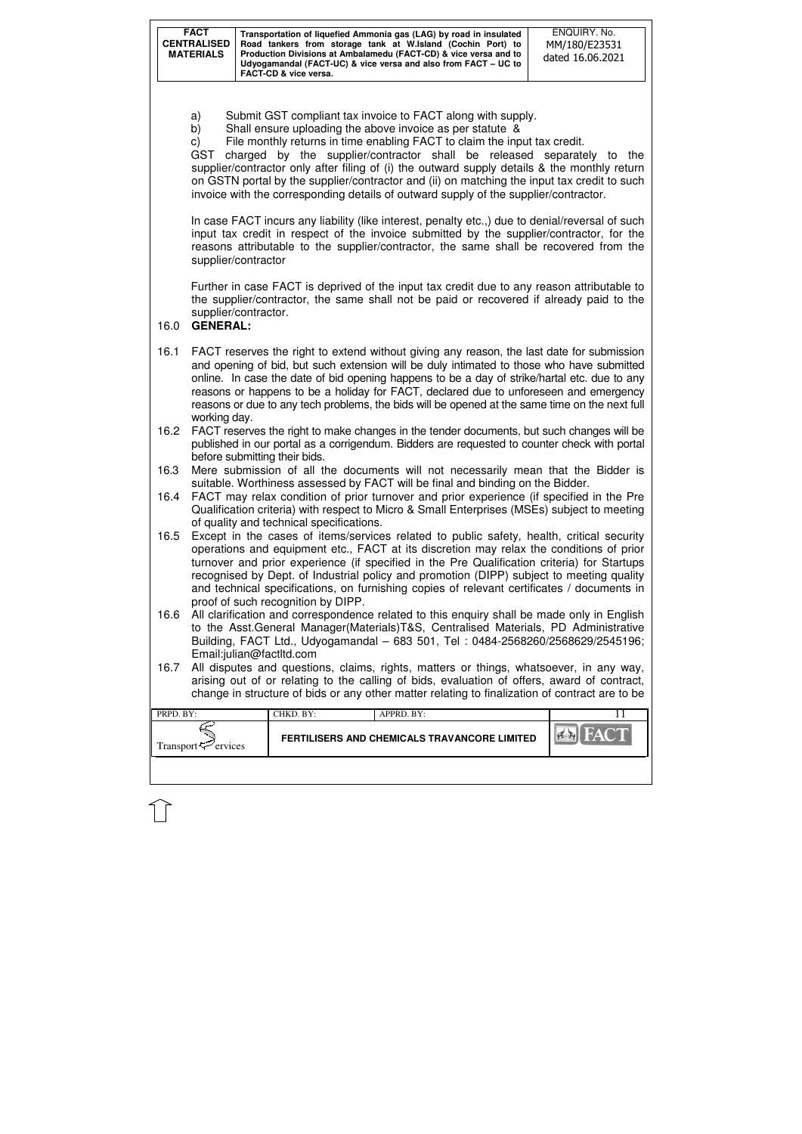| <b>FACT</b><br><b>CENTRALISED</b><br><b>MATERIALS</b> | Transportation of liquefied Ammonia gas (LAG) by road in insulated<br>Road tankers from storage tank at W.Island (Cochin Port) to<br>Production Divisions at Ambalamedu (FACT-CD) & vice versa and to<br>Udyogamandal (FACT-UC) & vice versa and also from FACT – UC to<br><b>FACT-CD &amp; vice versa.</b> | ENQUIRY, No.<br>MM/180/E23531<br>dated 16.06.2021 |
|-------------------------------------------------------|-------------------------------------------------------------------------------------------------------------------------------------------------------------------------------------------------------------------------------------------------------------------------------------------------------------|---------------------------------------------------|
|-------------------------------------------------------|-------------------------------------------------------------------------------------------------------------------------------------------------------------------------------------------------------------------------------------------------------------------------------------------------------------|---------------------------------------------------|

| PRPD. BY:                       | CHKD. BY:                                    | APPRD. BY: |  |
|---------------------------------|----------------------------------------------|------------|--|
| Transport $\mathcal{F}$ ervices | FERTILISERS AND CHEMICALS TRAVANCORE LIMITED |            |  |
|                                 |                                              |            |  |

- a) Submit GST compliant tax invoice to FACT along with supply.
- b) Shall ensure uploading the above invoice as per statute &
- c) File monthly returns in time enabling FACT to claim the input tax credit.

GST charged by the supplier/contractor shall be released separately to the supplier/contractor only after filing of (i) the outward supply details & the monthly return on GSTN portal by the supplier/contractor and (ii) on matching the input tax credit to such invoice with the corresponding details of outward supply of the supplier/contractor.

In case FACT incurs any liability (like interest, penalty etc.,) due to denial/reversal of such input tax credit in respect of the invoice submitted by the supplier/contractor, for the reasons attributable to the supplier/contractor, the same shall be recovered from the supplier/contractor

Further in case FACT is deprived of the input tax credit due to any reason attributable to the supplier/contractor, the same shall not be paid or recovered if already paid to the supplier/contractor.

# 16.0 **GENERAL:**

- 16.1 FACT reserves the right to extend without giving any reason, the last date for submission and opening of bid, but such extension will be duly intimated to those who have submitted online. In case the date of bid opening happens to be a day of strike/hartal etc. due to any reasons or happens to be a holiday for FACT, declared due to unforeseen and emergency reasons or due to any tech problems, the bids will be opened at the same time on the next full working day.
- 16.2 FACT reserves the right to make changes in the tender documents, but such changes will be published in our portal as a corrigendum. Bidders are requested to counter check with portal before submitting their bids.
- 16.3 Mere submission of all the documents will not necessarily mean that the Bidder is suitable. Worthiness assessed by FACT will be final and binding on the Bidder.
- 16.4 FACT may relax condition of prior turnover and prior experience (if specified in the Pre Qualification criteria) with respect to Micro & Small Enterprises (MSEs) subject to meeting of quality and technical specifications.
- 16.5 Except in the cases of items/services related to public safety, health, critical security operations and equipment etc., FACT at its discretion may relax the conditions of prior turnover and prior experience (if specified in the Pre Qualification criteria) for Startups recognised by Dept. of Industrial policy and promotion (DIPP) subject to meeting quality and technical specifications, on furnishing copies of relevant certificates / documents in proof of such recognition by DIPP.
- 16.6 All clarification and correspondence related to this enquiry shall be made only in English to the Asst.General Manager(Materials)T&S, Centralised Materials, PD Administrative Building, FACT Ltd., Udyogamandal – 683 501, Tel : 0484-2568260/2568629/2545196; Email:julian@factltd.com
- 16.7 All disputes and questions, claims, rights, matters or things, whatsoever, in any way, arising out of or relating to the calling of bids, evaluation of offers, award of contract, change in structure of bids or any other matter relating to finalization of contract are to be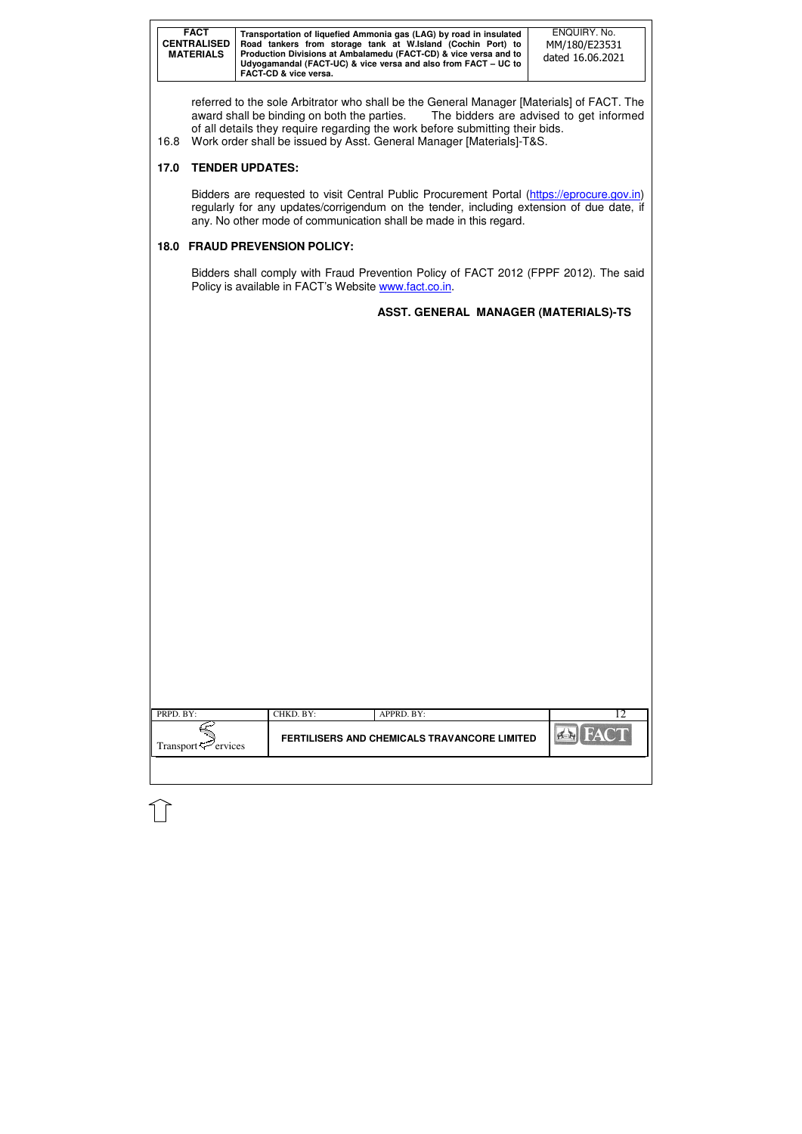| <b>FACT</b><br><b>CENTRALISED</b><br><b>MATERIALS</b> | Transportation of liquefied Ammonia gas (LAG) by road in insulated<br>Road tankers from storage tank at W.Island (Cochin Port) to<br>Production Divisions at Ambalamedu (FACT-CD) & vice versa and to<br>Udyogamandal (FACT-UC) & vice versa and also from FACT – UC to<br><b>FACT-CD &amp; vice versa.</b> | ENQUIRY, No.<br>MM/180/E23531<br>dated 16.06.2021 |
|-------------------------------------------------------|-------------------------------------------------------------------------------------------------------------------------------------------------------------------------------------------------------------------------------------------------------------------------------------------------------------|---------------------------------------------------|
|-------------------------------------------------------|-------------------------------------------------------------------------------------------------------------------------------------------------------------------------------------------------------------------------------------------------------------------------------------------------------------|---------------------------------------------------|

| PRPD. BY:                      | CHKD. BY:                                    | APPRD. BY: |              |
|--------------------------------|----------------------------------------------|------------|--------------|
| Transport <sup>7</sup> ervices | FERTILISERS AND CHEMICALS TRAVANCORE LIMITED |            | $\mathbb{Q}$ |
|                                |                                              |            |              |

referred to the sole Arbitrator who shall be the General Manager [Materials] of FACT. The award shall be binding on both the parties. The bidders are advised to get informed award shall be binding on both the parties. of all details they require regarding the work before submitting their bids.

Bidders are requested to visit Central Public Procurement Portal (https://eprocure.gov.in) regularly for any updates/corrigendum on the tender, including extension of due date, if any. No other mode of communication shall be made in this regard.

Bidders shall comply with Fraud Prevention Policy of FACT 2012 (FPPF 2012). The said Policy is available in FACT's Website www.fact.co.in.

16.8 Work order shall be issued by Asst. General Manager [Materials]-T&S.

# **17.0 TENDER UPDATES:**

# **18.0 FRAUD PREVENSION POLICY:**

# **ASST. GENERAL MANAGER (MATERIALS)-TS**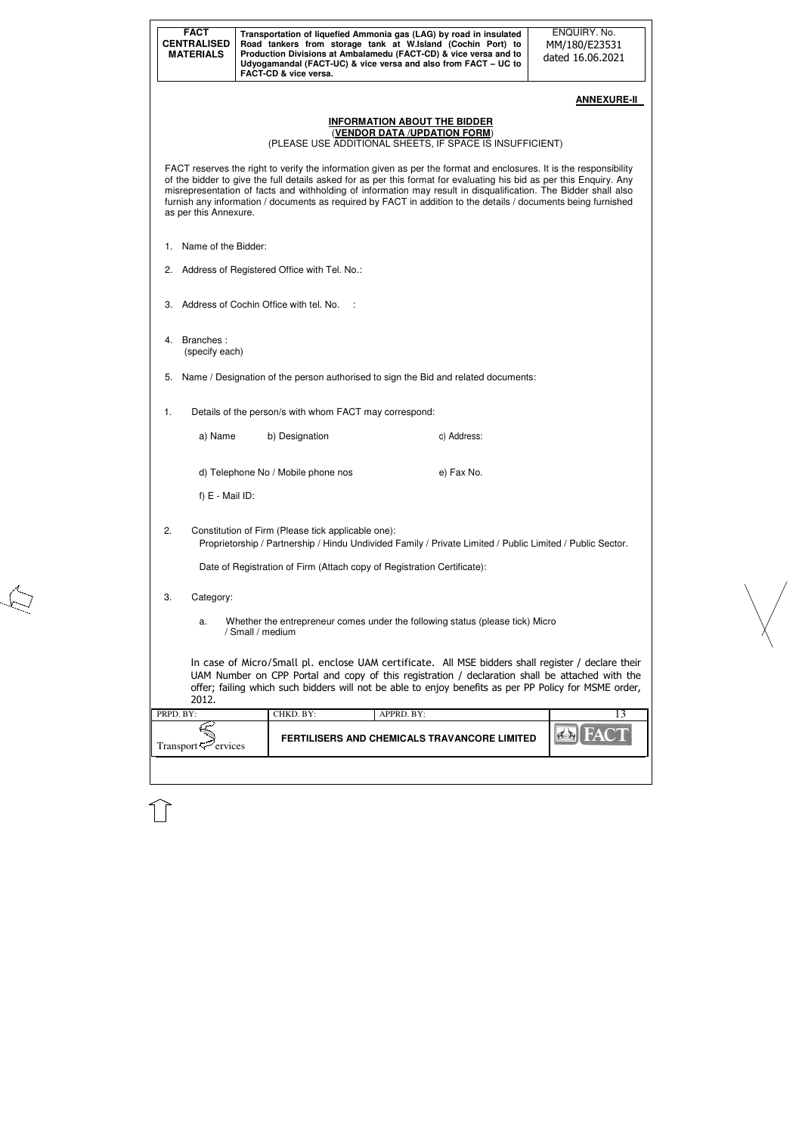| <b>FACT</b><br><b>CENTRALISED</b><br><b>MATERIALS</b> |                  | FACT-CD & vice versa.                                  | Transportation of liquefied Ammonia gas (LAG) by road in insulated<br>Road tankers from storage tank at W.Island (Cochin Port) to<br>Production Divisions at Ambalamedu (FACT-CD) & vice versa and to<br>Udyogamandal (FACT-UC) & vice versa and also from FACT - UC to                                                                                                                                                                                                        | ENQUIRY. No.<br>MM/180/E23531<br>dated 16.06.2021 |
|-------------------------------------------------------|------------------|--------------------------------------------------------|--------------------------------------------------------------------------------------------------------------------------------------------------------------------------------------------------------------------------------------------------------------------------------------------------------------------------------------------------------------------------------------------------------------------------------------------------------------------------------|---------------------------------------------------|
|                                                       |                  |                                                        |                                                                                                                                                                                                                                                                                                                                                                                                                                                                                | <b>ANNEXURE-II</b>                                |
|                                                       |                  |                                                        | <b>INFORMATION ABOUT THE BIDDER</b><br>(VENDOR DATA /UPDATION FORM)<br>(PLEASE USE ADDITIONAL SHEETS, IF SPACE IS INSUFFICIENT)                                                                                                                                                                                                                                                                                                                                                |                                                   |
| as per this Annexure.                                 |                  |                                                        | FACT reserves the right to verify the information given as per the format and enclosures. It is the responsibility<br>of the bidder to give the full details asked for as per this format for evaluating his bid as per this Enquiry. Any<br>misrepresentation of facts and withholding of information may result in disqualification. The Bidder shall also<br>furnish any information / documents as required by FACT in addition to the details / documents being furnished |                                                   |
| Name of the Bidder:<br>1.                             |                  |                                                        |                                                                                                                                                                                                                                                                                                                                                                                                                                                                                |                                                   |
| 2.                                                    |                  | Address of Registered Office with Tel. No.:            |                                                                                                                                                                                                                                                                                                                                                                                                                                                                                |                                                   |
| З.                                                    |                  | Address of Cochin Office with tel. No.                 |                                                                                                                                                                                                                                                                                                                                                                                                                                                                                |                                                   |
| Branches:<br>4.<br>(specify each)                     |                  |                                                        |                                                                                                                                                                                                                                                                                                                                                                                                                                                                                |                                                   |
| 5.                                                    |                  |                                                        | Name / Designation of the person authorised to sign the Bid and related documents:                                                                                                                                                                                                                                                                                                                                                                                             |                                                   |
| 1.                                                    |                  | Details of the person/s with whom FACT may correspond: |                                                                                                                                                                                                                                                                                                                                                                                                                                                                                |                                                   |
| a) Name                                               |                  | b) Designation                                         | c) Address:                                                                                                                                                                                                                                                                                                                                                                                                                                                                    |                                                   |
|                                                       |                  | d) Telephone No / Mobile phone nos                     | e) Fax No.                                                                                                                                                                                                                                                                                                                                                                                                                                                                     |                                                   |
| $f) E - Mail ID$ :                                    |                  |                                                        |                                                                                                                                                                                                                                                                                                                                                                                                                                                                                |                                                   |
| 2.                                                    |                  | Constitution of Firm (Please tick applicable one):     | Proprietorship / Partnership / Hindu Undivided Family / Private Limited / Public Limited / Public Sector.                                                                                                                                                                                                                                                                                                                                                                      |                                                   |
|                                                       |                  |                                                        | Date of Registration of Firm (Attach copy of Registration Certificate):                                                                                                                                                                                                                                                                                                                                                                                                        |                                                   |
| 3.<br>Category:                                       |                  |                                                        |                                                                                                                                                                                                                                                                                                                                                                                                                                                                                |                                                   |
| a.                                                    | / Small / medium |                                                        | Whether the entrepreneur comes under the following status (please tick) Micro                                                                                                                                                                                                                                                                                                                                                                                                  |                                                   |
| 2012.                                                 |                  |                                                        | In case of Micro/Small pl. enclose UAM certificate. All MSE bidders shall register / declare their<br>UAM Number on CPP Portal and copy of this registration / declaration shall be attached with the<br>offer; failing which such bidders will not be able to enjoy benefits as per PP Policy for MSME order,                                                                                                                                                                 |                                                   |
| PRPD. BY:                                             |                  | CHKD. BY:                                              | APPRD. BY:                                                                                                                                                                                                                                                                                                                                                                                                                                                                     | 13                                                |
| Transport <sup>er</sup> ervices                       |                  |                                                        | FERTILISERS AND CHEMICALS TRAVANCORE LIMITED                                                                                                                                                                                                                                                                                                                                                                                                                                   | <b>FAC</b>                                        |

 $\leftarrow$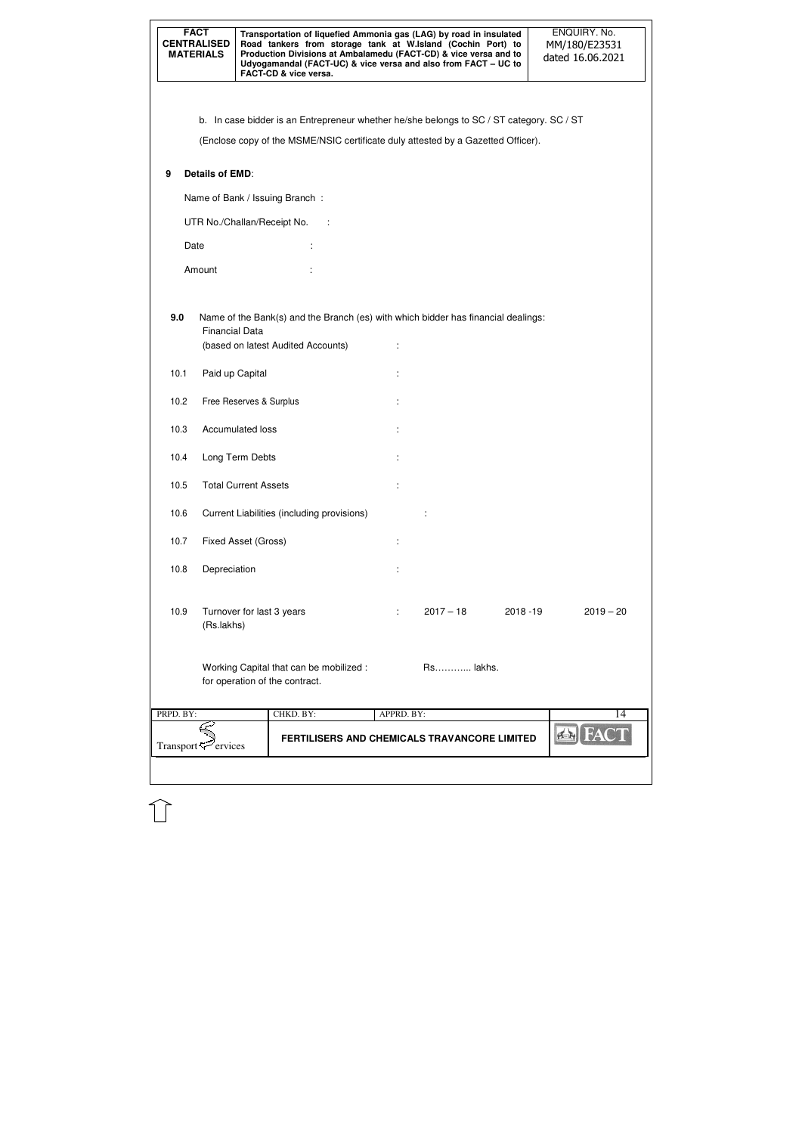| <b>FACT</b><br><b>CENTRALISED</b><br><b>MATERIALS</b> |                                | FACT-CD & vice versa.              |                                            |            | Transportation of liquefied Ammonia gas (LAG) by road in insulated<br>Road tankers from storage tank at W.Island (Cochin Port) to<br>Production Divisions at Ambalamedu (FACT-CD) & vice versa and to<br>Udyogamandal (FACT-UC) & vice versa and also from FACT - UC to |             | ENQUIRY. No.<br>MM/180/E23531<br>dated 16.06.2021 |
|-------------------------------------------------------|--------------------------------|------------------------------------|--------------------------------------------|------------|-------------------------------------------------------------------------------------------------------------------------------------------------------------------------------------------------------------------------------------------------------------------------|-------------|---------------------------------------------------|
|                                                       |                                |                                    |                                            |            |                                                                                                                                                                                                                                                                         |             |                                                   |
|                                                       |                                |                                    |                                            |            | b. In case bidder is an Entrepreneur whether he/she belongs to SC / ST category. SC / ST                                                                                                                                                                                |             |                                                   |
|                                                       |                                |                                    |                                            |            | (Enclose copy of the MSME/NSIC certificate duly attested by a Gazetted Officer).                                                                                                                                                                                        |             |                                                   |
| 9                                                     | <b>Details of EMD:</b>         |                                    |                                            |            |                                                                                                                                                                                                                                                                         |             |                                                   |
|                                                       |                                | Name of Bank / Issuing Branch:     |                                            |            |                                                                                                                                                                                                                                                                         |             |                                                   |
|                                                       |                                | UTR No./Challan/Receipt No.        | - 1                                        |            |                                                                                                                                                                                                                                                                         |             |                                                   |
| Date                                                  |                                |                                    |                                            |            |                                                                                                                                                                                                                                                                         |             |                                                   |
|                                                       | Amount                         |                                    |                                            |            |                                                                                                                                                                                                                                                                         |             |                                                   |
|                                                       |                                |                                    |                                            |            |                                                                                                                                                                                                                                                                         |             |                                                   |
| 9.0                                                   | <b>Financial Data</b>          | (based on latest Audited Accounts) |                                            |            | Name of the Bank(s) and the Branch (es) with which bidder has financial dealings:                                                                                                                                                                                       |             |                                                   |
| 10.1                                                  | Paid up Capital                |                                    |                                            |            |                                                                                                                                                                                                                                                                         |             |                                                   |
| 10.2                                                  |                                | Free Reserves & Surplus            |                                            |            |                                                                                                                                                                                                                                                                         |             |                                                   |
| 10.3                                                  |                                | <b>Accumulated loss</b>            |                                            |            |                                                                                                                                                                                                                                                                         |             |                                                   |
| 10.4                                                  |                                | Long Term Debts                    |                                            |            |                                                                                                                                                                                                                                                                         |             |                                                   |
| 10.5                                                  |                                | <b>Total Current Assets</b>        |                                            | ÷          |                                                                                                                                                                                                                                                                         |             |                                                   |
| 10.6                                                  |                                |                                    | Current Liabilities (including provisions) |            |                                                                                                                                                                                                                                                                         |             |                                                   |
| 10.7                                                  |                                | Fixed Asset (Gross)                |                                            | t          |                                                                                                                                                                                                                                                                         |             |                                                   |
| 10.8                                                  | Depreciation                   |                                    |                                            |            |                                                                                                                                                                                                                                                                         |             |                                                   |
| 10.9                                                  | (Rs.lakhs)                     | Turnover for last 3 years          |                                            |            | $2017 - 18$                                                                                                                                                                                                                                                             | $2018 - 19$ | $2019 - 20$                                       |
|                                                       |                                | for operation of the contract.     | Working Capital that can be mobilized :    |            | Rs lakhs.                                                                                                                                                                                                                                                               |             |                                                   |
| PRPD. BY:                                             |                                | CHKD. BY:                          |                                            | APPRD. BY: |                                                                                                                                                                                                                                                                         |             | $\overline{14}$                                   |
|                                                       | Transport <sup>7</sup> ervices |                                    |                                            |            | FERTILISERS AND CHEMICALS TRAVANCORE LIMITED                                                                                                                                                                                                                            |             |                                                   |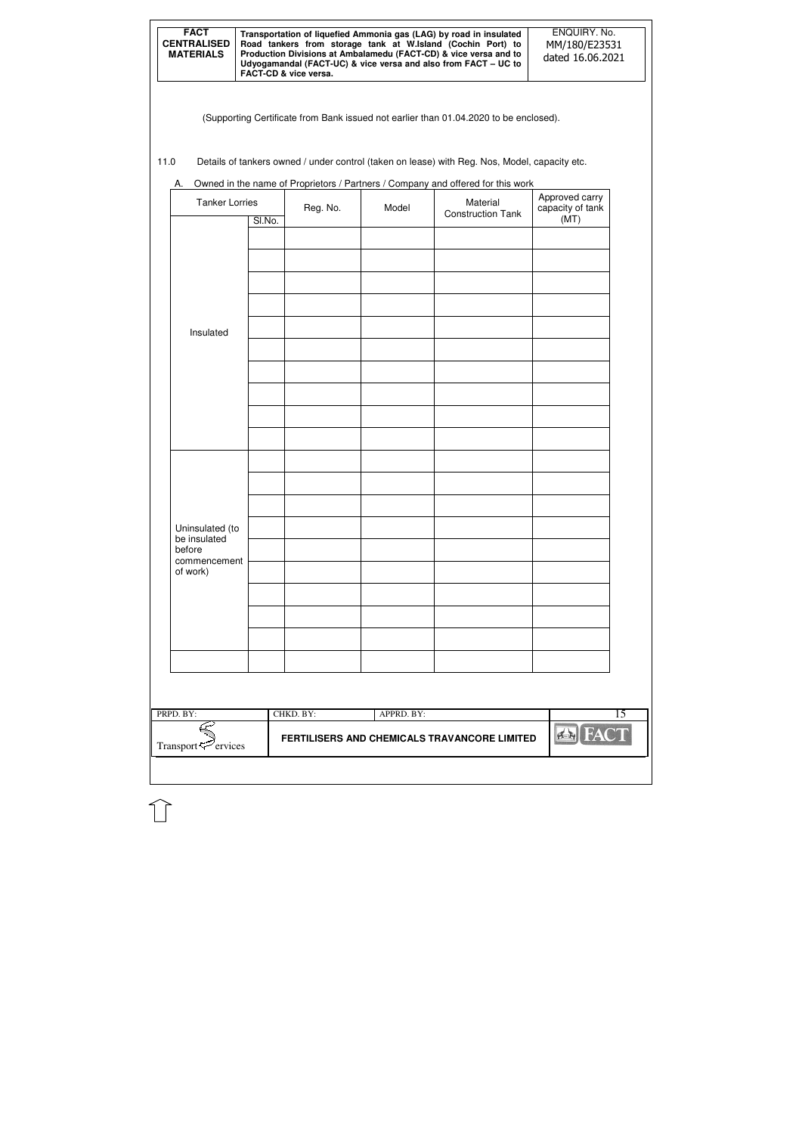| <b>FACT</b><br><b>CENTRALISED</b><br><b>MATERIALS</b> | Transportation of liquefied Ammonia gas (LAG) by road in insulated<br>Road tankers from storage tank at W.Island (Cochin Port) to<br>Production Divisions at Ambalamedu (FACT-CD) & vice versa and to<br>Udyogamandal (FACT-UC) & vice versa and also from FACT - UC to<br><b>FACT-CD &amp; vice versa.</b> | ENQUIRY. No.<br>MM/180/E23531<br>dated 16.06.2021 |
|-------------------------------------------------------|-------------------------------------------------------------------------------------------------------------------------------------------------------------------------------------------------------------------------------------------------------------------------------------------------------------|---------------------------------------------------|
|-------------------------------------------------------|-------------------------------------------------------------------------------------------------------------------------------------------------------------------------------------------------------------------------------------------------------------------------------------------------------------|---------------------------------------------------|

(Supporting Certificate from Bank issued not earlier than 01.04.2020 to be enclosed).

11.0 Details of tankers owned / under control (taken on lease) with Reg. Nos, Model, capacity etc.

| <b>Tanker Lorries</b>                     |        | Reg. No.<br>Model |            | Material<br><b>Construction Tank</b> | Approved carry<br>capacity of tank |
|-------------------------------------------|--------|-------------------|------------|--------------------------------------|------------------------------------|
|                                           | SI.No. |                   |            |                                      | (MT)                               |
|                                           |        |                   |            |                                      |                                    |
|                                           |        |                   |            |                                      |                                    |
| Insulated                                 |        |                   |            |                                      |                                    |
|                                           |        |                   |            |                                      |                                    |
|                                           |        |                   |            |                                      |                                    |
|                                           |        |                   |            |                                      |                                    |
|                                           |        |                   |            |                                      |                                    |
|                                           |        |                   |            |                                      |                                    |
|                                           |        |                   |            |                                      |                                    |
| Uninsulated (to<br>be insulated<br>before |        |                   |            |                                      |                                    |
| commencement<br>of work)                  |        |                   |            |                                      |                                    |
|                                           |        |                   |            |                                      |                                    |
|                                           |        |                   |            |                                      |                                    |
|                                           |        |                   |            |                                      |                                    |
|                                           |        |                   |            |                                      |                                    |
| PRPD. BY:                                 |        | CHKD. BY:         | APPRD. BY: |                                      |                                    |

A. Owned in the name of Proprietors / Partners / Company and offered for this work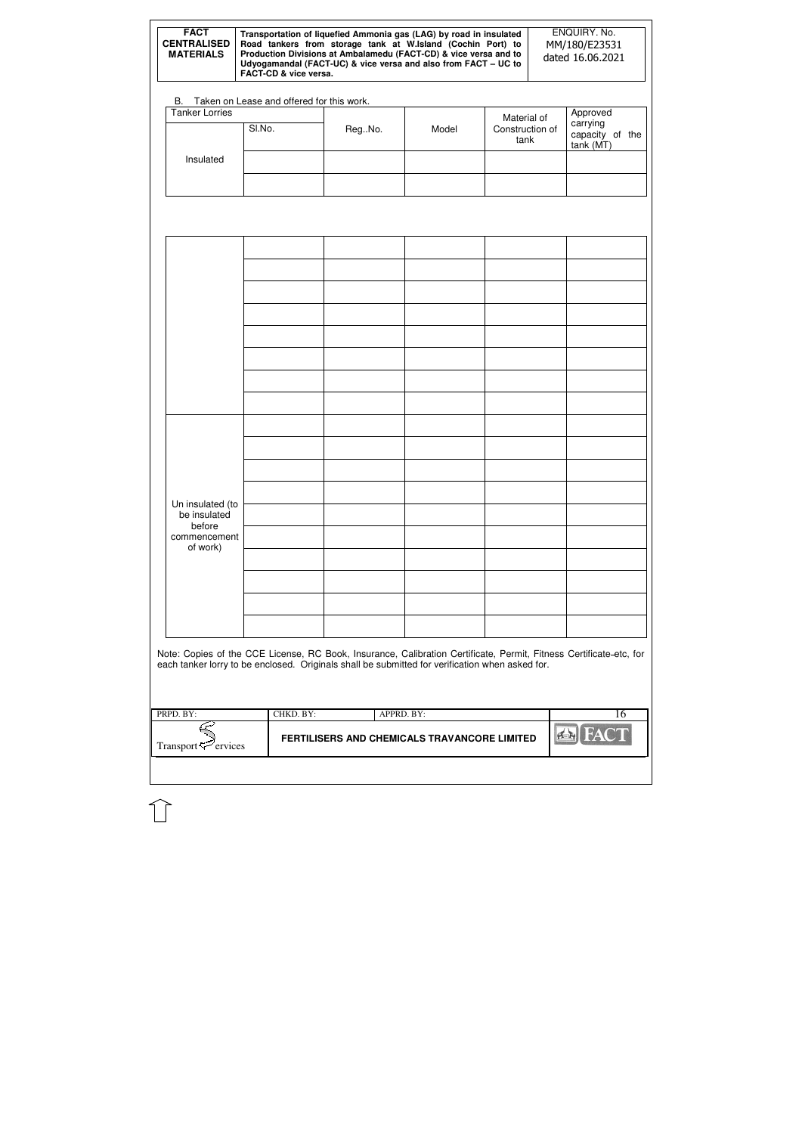| PRPD BY:                       | CHKD. BY: | $APPRD$ $BY:$                                       |         |
|--------------------------------|-----------|-----------------------------------------------------|---------|
| Transport <sup>7</sup> ervices |           | <b>FERTILISERS AND CHEMICALS TRAVANCORE LIMITED</b> | $E = 1$ |
|                                |           |                                                     |         |

| <b>FACT</b><br><b>CENTRALISED</b><br><b>MATERIALS</b> | Transportation of liquefied Ammonia gas (LAG) by road in insulated<br>Road tankers from storage tank at W.Island (Cochin Port) to<br>Production Divisions at Ambalamedu (FACT-CD) & vice versa and to<br>Udyogamandal (FACT-UC) & vice versa and also from FACT - UC to<br>FACT-CD & vice versa. |        | ENQUIRY. No.<br>MM/180/E23531<br>dated 16.06.2021                                                                                                                                                                     |  |                                        |                                                      |
|-------------------------------------------------------|--------------------------------------------------------------------------------------------------------------------------------------------------------------------------------------------------------------------------------------------------------------------------------------------------|--------|-----------------------------------------------------------------------------------------------------------------------------------------------------------------------------------------------------------------------|--|----------------------------------------|------------------------------------------------------|
|                                                       | B. Taken on Lease and offered for this work.                                                                                                                                                                                                                                                     |        |                                                                                                                                                                                                                       |  |                                        |                                                      |
| <b>Tanker Lorries</b>                                 | SI.No.                                                                                                                                                                                                                                                                                           | RegNo. | Model                                                                                                                                                                                                                 |  | Material of<br>Construction of<br>tank | Approved<br>carrying<br>capacity of the<br>tank (MT) |
| Insulated                                             |                                                                                                                                                                                                                                                                                                  |        |                                                                                                                                                                                                                       |  |                                        |                                                      |
|                                                       |                                                                                                                                                                                                                                                                                                  |        |                                                                                                                                                                                                                       |  |                                        |                                                      |
|                                                       |                                                                                                                                                                                                                                                                                                  |        |                                                                                                                                                                                                                       |  |                                        |                                                      |
|                                                       |                                                                                                                                                                                                                                                                                                  |        |                                                                                                                                                                                                                       |  |                                        |                                                      |
|                                                       |                                                                                                                                                                                                                                                                                                  |        |                                                                                                                                                                                                                       |  |                                        |                                                      |
|                                                       |                                                                                                                                                                                                                                                                                                  |        |                                                                                                                                                                                                                       |  |                                        |                                                      |
|                                                       |                                                                                                                                                                                                                                                                                                  |        |                                                                                                                                                                                                                       |  |                                        |                                                      |
| Un insulated (to<br>be insulated                      |                                                                                                                                                                                                                                                                                                  |        |                                                                                                                                                                                                                       |  |                                        |                                                      |
| before<br>commencement<br>of work)                    |                                                                                                                                                                                                                                                                                                  |        |                                                                                                                                                                                                                       |  |                                        |                                                      |
|                                                       |                                                                                                                                                                                                                                                                                                  |        |                                                                                                                                                                                                                       |  |                                        |                                                      |
|                                                       |                                                                                                                                                                                                                                                                                                  |        |                                                                                                                                                                                                                       |  |                                        |                                                      |
|                                                       |                                                                                                                                                                                                                                                                                                  |        | Note: Copies of the CCE License, RC Book, Insurance, Calibration Certificate, Permit, Fitness Certificate-etc, for<br>each tanker lorry to be enclosed. Originals shall be submitted for verification when asked for. |  |                                        |                                                      |
|                                                       |                                                                                                                                                                                                                                                                                                  |        |                                                                                                                                                                                                                       |  |                                        |                                                      |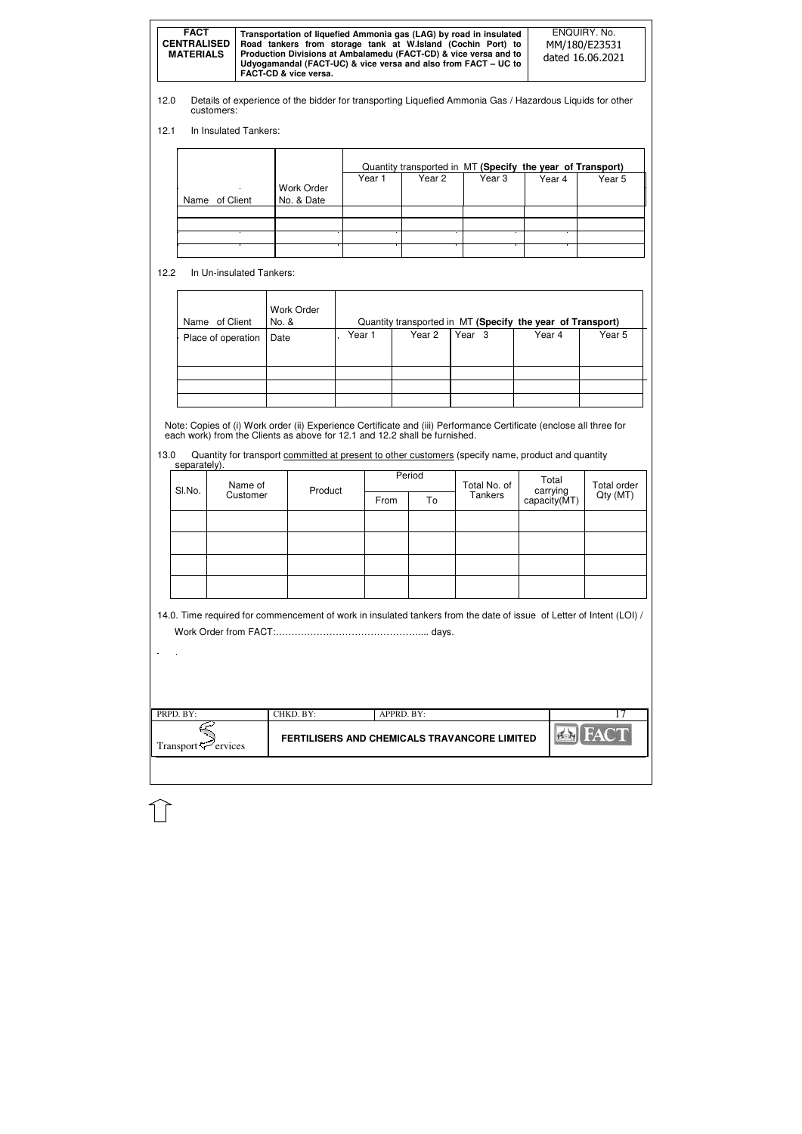| <b>FACT</b><br>Transportation of liquefied Ammonia gas (LAG) by road in insulated<br><b>CENTRALISED</b><br>Road tankers from storage tank at W.Island (Cochin Port) to<br>Production Divisions at Ambalamedu (FACT-CD) & vice versa and to<br><b>MATERIALS</b><br>Udyogamandal (FACT-UC) & vice versa and also from FACT - UC to<br>FACT-CD & vice versa. | ENQUIRY, No.<br>MM/180/E23531<br>dated 16.06.2021 |
|-----------------------------------------------------------------------------------------------------------------------------------------------------------------------------------------------------------------------------------------------------------------------------------------------------------------------------------------------------------|---------------------------------------------------|
|-----------------------------------------------------------------------------------------------------------------------------------------------------------------------------------------------------------------------------------------------------------------------------------------------------------------------------------------------------------|---------------------------------------------------|

| PRPD. BY:                      | CHKD. BY: | APPRD. BY:                                   |                    |
|--------------------------------|-----------|----------------------------------------------|--------------------|
| Transport <sup>7</sup> ervices |           | FERTILISERS AND CHEMICALS TRAVANCORE LIMITED | <b>FACT</b><br> AB |
|                                |           |                                              |                    |

- 12.0 Details of experience of the bidder for transporting Liquefied Ammonia Gas / Hazardous Liquids for other customers:
- 12.1 In Insulated Tankers:

13.0 Quantity for transport committed at present to other customers (specify name, product and quantity separately).

|                |                   | Quantity transported in MT (Specify the year of Transport) |        |        |        |        |  |  |
|----------------|-------------------|------------------------------------------------------------|--------|--------|--------|--------|--|--|
|                | <b>Work Order</b> | Year 1                                                     | Year 2 | Year 3 | Year 4 | Year 5 |  |  |
| Name of Client | No. & Date        |                                                            |        |        |        |        |  |  |
|                |                   |                                                            |        |        |        |        |  |  |
|                |                   |                                                            |        |        |        |        |  |  |
|                |                   |                                                            |        |        |        |        |  |  |
|                |                   |                                                            |        |        |        |        |  |  |

12.2 In Un-insulated Tankers:

| Name of Client     | Work Order<br>No. & |        |        |                   | Quantity transported in MT (Specify the year of Transport) |        |
|--------------------|---------------------|--------|--------|-------------------|------------------------------------------------------------|--------|
| Place of operation | Date                | Year 1 | Year 2 | Year <sub>3</sub> | Year 4                                                     | Year 5 |
|                    |                     |        |        |                   |                                                            |        |
|                    |                     |        |        |                   |                                                            |        |
|                    |                     |        |        |                   |                                                            |        |
|                    |                     |        |        |                   |                                                            |        |

Note: Copies of (i) Work order (ii) Experience Certificate and (iii) Performance Certificate (enclose all three for each work) from the Clients as above for 12.1 and 12.2 shall be furnished.

| Name of<br>SI.No. |          | Product |      | Period | Total No. of | Total                    | Total order |
|-------------------|----------|---------|------|--------|--------------|--------------------------|-------------|
|                   | Customer |         | From | To     | Tankers      | carrying<br>capacity(MT) | Qty (MT)    |
|                   |          |         |      |        |              |                          |             |
|                   |          |         |      |        |              |                          |             |
|                   |          |         |      |        |              |                          |             |
|                   |          |         |      |        |              |                          |             |

14.0. Time required for commencement of work in insulated tankers from the date of issue of Letter of Intent (LOI) / Work Order from FACT:……………………………………….... days.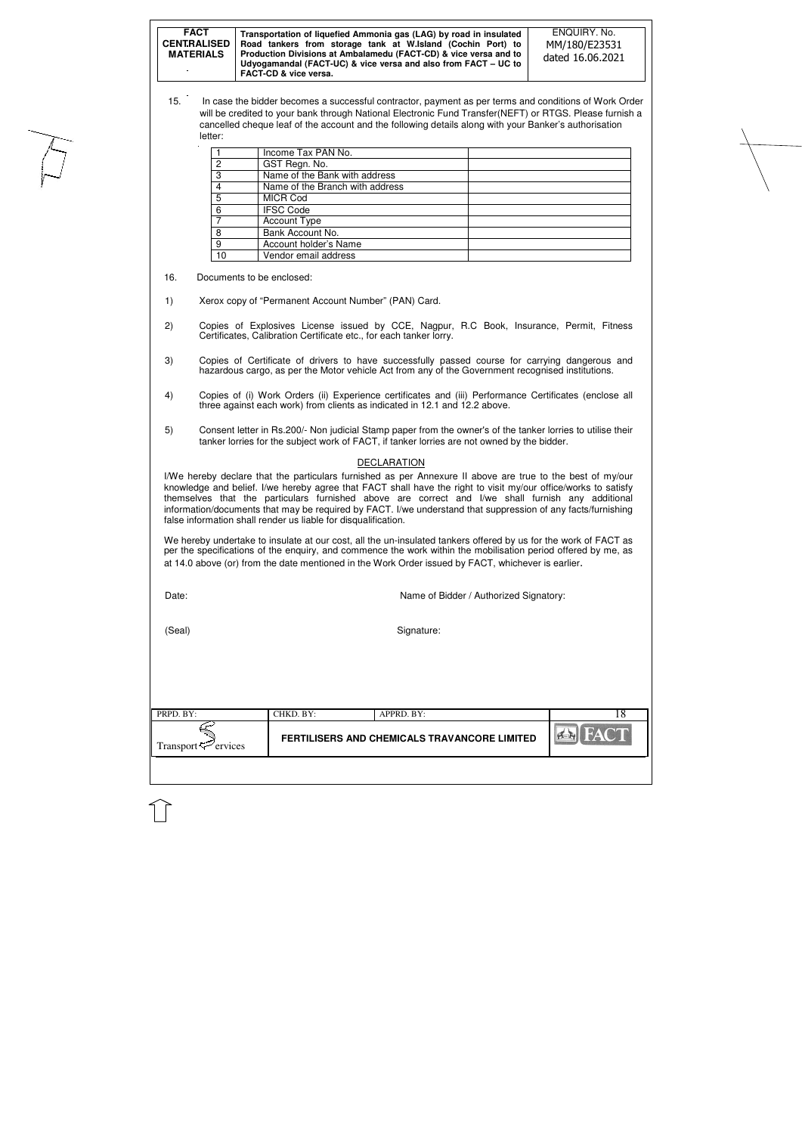| <b>FACT</b><br><b>CENTRALISED</b><br><b>MATERIALS</b><br><b>COLUM</b> | Transportation of liquefied Ammonia gas (LAG) by road in insulated<br>Road tankers from storage tank at W.Island (Cochin Port) to<br>Production Divisions at Ambalamedu (FACT-CD) & vice versa and to<br>Udyogamandal (FACT-UC) & vice versa and also from FACT - UC to<br><b>FACT-CD &amp; vice versa.</b> | ENQUIRY, No.<br>MM/180/E23531<br>dated 16.06.2021 |
|-----------------------------------------------------------------------|-------------------------------------------------------------------------------------------------------------------------------------------------------------------------------------------------------------------------------------------------------------------------------------------------------------|---------------------------------------------------|
|-----------------------------------------------------------------------|-------------------------------------------------------------------------------------------------------------------------------------------------------------------------------------------------------------------------------------------------------------------------------------------------------------|---------------------------------------------------|

| $\blacksquare$ PRPD. BY:    | CHKD. BY: | APPRD. BY:                                   |                               |
|-----------------------------|-----------|----------------------------------------------|-------------------------------|
| Transport $\approx$ ervices |           | FERTILISERS AND CHEMICALS TRAVANCORE LIMITED | $\mathbb{R}$ and $\mathbb{R}$ |
|                             |           |                                              |                               |

15. In case the bidder becomes a successful contractor, payment as per terms and conditions of Work Order will be credited to your bank through National Electronic Fund Transfer(NEFT) or RTGS. Please furnish a cancelled cheque leaf of the account and the following details along with your Banker's authorisation letter:

|    | Income Tax PAN No.              |
|----|---------------------------------|
| 2  | GST Regn. No.                   |
| 3  | Name of the Bank with address   |
|    | Name of the Branch with address |
| 5  | <b>MICR Cod</b>                 |
| 6  | <b>IFSC Code</b>                |
|    | <b>Account Type</b>             |
| 8  | Bank Account No.                |
| 9  | Account holder's Name           |
| 10 | Vendor email address            |

16. Documents to be enclosed:

1) Xerox copy of "Permanent Account Number" (PAN) Card.

- 2) Copies of Explosives License issued by CCE, Nagpur, R.C Book, Insurance, Permit, Fitness Certificates, Calibration Certificate etc., for each tanker lorry.
- 3) Copies of Certificate of drivers to have successfully passed course for carrying dangerous and hazardous cargo, as per the Motor vehicle Act from any of the Government recognised institutions.
- 4) Copies of (i) Work Orders (ii) Experience certificates and (iii) Performance Certificates (enclose all three against each work) from clients as indicated in 12.1 and 12.2 above.
- 5) Consent letter in Rs.200/- Non judicial Stamp paper from the owner's of the tanker lorries to utilise their tanker lorries for the subject work of FACT, if tanker lorries are not owned by the bidder.

### **DECLARATION**

I/We hereby declare that the particulars furnished as per Annexure II above are true to the best of my/our knowledge and belief. I/we hereby agree that FACT shall have the right to visit my/our office/works to satisfy themselves that the particulars furnished above are correct and I/we shall furnish any additional information/documents that may be required by FACT. I/we understand that suppression of any facts/furnishing false information shall render us liable for disqualification.

We hereby undertake to insulate at our cost, all the un-insulated tankers offered by us for the work of FACT as per the specifications of the enquiry, and commence the work within the mobilisation period offered by me, as at 14.0 above (or) from the date mentioned in the Work Order issued by FACT, whichever is earlier.

| ۰,<br>×<br>×<br>v<br>۹ |  |
|------------------------|--|

Name of Bidder / Authorized Signatory:

(Seal) Signature: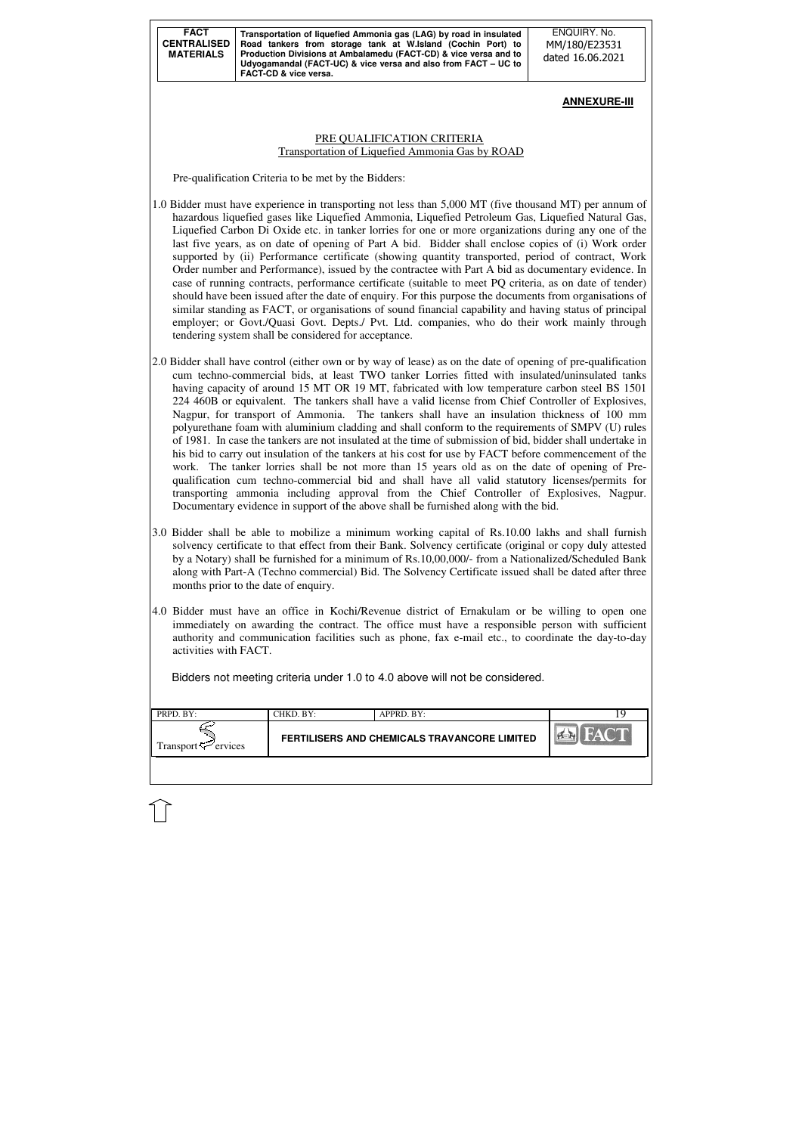| <b>FACT</b><br><b>CENTRALISED</b><br><b>MATERIALS</b> | Transportation of liquefied Ammonia gas (LAG) by road in insulated<br>Road tankers from storage tank at W.Island (Cochin Port) to<br>Production Divisions at Ambalamedu (FACT-CD) & vice versa and to<br>Udyogamandal (FACT-UC) & vice versa and also from FACT – UC to<br><b>FACT-CD &amp; vice versa.</b> |
|-------------------------------------------------------|-------------------------------------------------------------------------------------------------------------------------------------------------------------------------------------------------------------------------------------------------------------------------------------------------------------|
|-------------------------------------------------------|-------------------------------------------------------------------------------------------------------------------------------------------------------------------------------------------------------------------------------------------------------------------------------------------------------------|

| PRPD. BY:                      | CHKD. BY: | APPRD. BY:                                   |  |
|--------------------------------|-----------|----------------------------------------------|--|
| Transport <sup>5</sup> ervices |           | FERTILISERS AND CHEMICALS TRAVANCORE LIMITED |  |
|                                |           |                                              |  |

ENQUIRY. No. MM/180/E23531 dated 16.06.2021

## **ANNEXURE-III**

## PRE QUALIFICATION CRITERIA Transportation of Liquefied Ammonia Gas by ROAD

Pre-qualification Criteria to be met by the Bidders:

- 1.0 Bidder must have experience in transporting not less than 5,000 MT (five thousand MT) per annum of hazardous liquefied gases like Liquefied Ammonia, Liquefied Petroleum Gas, Liquefied Natural Gas, Liquefied Carbon Di Oxide etc. in tanker lorries for one or more organizations during any one of the last five years, as on date of opening of Part A bid. Bidder shall enclose copies of (i) Work order supported by (ii) Performance certificate (showing quantity transported, period of contract, Work Order number and Performance), issued by the contractee with Part A bid as documentary evidence. In case of running contracts, performance certificate (suitable to meet PQ criteria, as on date of tender) should have been issued after the date of enquiry. For this purpose the documents from organisations of similar standing as FACT, or organisations of sound financial capability and having status of principal employer; or Govt./Quasi Govt. Depts./ Pvt. Ltd. companies, who do their work mainly through tendering system shall be considered for acceptance.
- 2.0 Bidder shall have control (either own or by way of lease) as on the date of opening of pre-qualification cum techno-commercial bids, at least TWO tanker Lorries fitted with insulated/uninsulated tanks having capacity of around 15 MT OR 19 MT, fabricated with low temperature carbon steel BS 1501 224 460B or equivalent. The tankers shall have a valid license from Chief Controller of Explosives, Nagpur, for transport of Ammonia. The tankers shall have an insulation thickness of 100 mm polyurethane foam with aluminium cladding and shall conform to the requirements of SMPV (U) rules of 1981. In case the tankers are not insulated at the time of submission of bid, bidder shall undertake in his bid to carry out insulation of the tankers at his cost for use by FACT before commencement of the work. The tanker lorries shall be not more than 15 years old as on the date of opening of Prequalification cum techno-commercial bid and shall have all valid statutory licenses/permits for transporting ammonia including approval from the Chief Controller of Explosives, Nagpur. Documentary evidence in support of the above shall be furnished along with the bid.
- 3.0 Bidder shall be able to mobilize a minimum working capital of Rs.10.00 lakhs and shall furnish solvency certificate to that effect from their Bank. Solvency certificate (original or copy duly attested by a Notary) shall be furnished for a minimum of Rs.10,00,000/- from a Nationalized/Scheduled Bank along with Part-A (Techno commercial) Bid. The Solvency Certificate issued shall be dated after three months prior to the date of enquiry.
- 4.0 Bidder must have an office in Kochi/Revenue district of Ernakulam or be willing to open one immediately on awarding the contract. The office must have a responsible person with sufficient authority and communication facilities such as phone, fax e-mail etc., to coordinate the day-to-day activities with FACT.

Bidders not meeting criteria under 1.0 to 4.0 above will not be considered.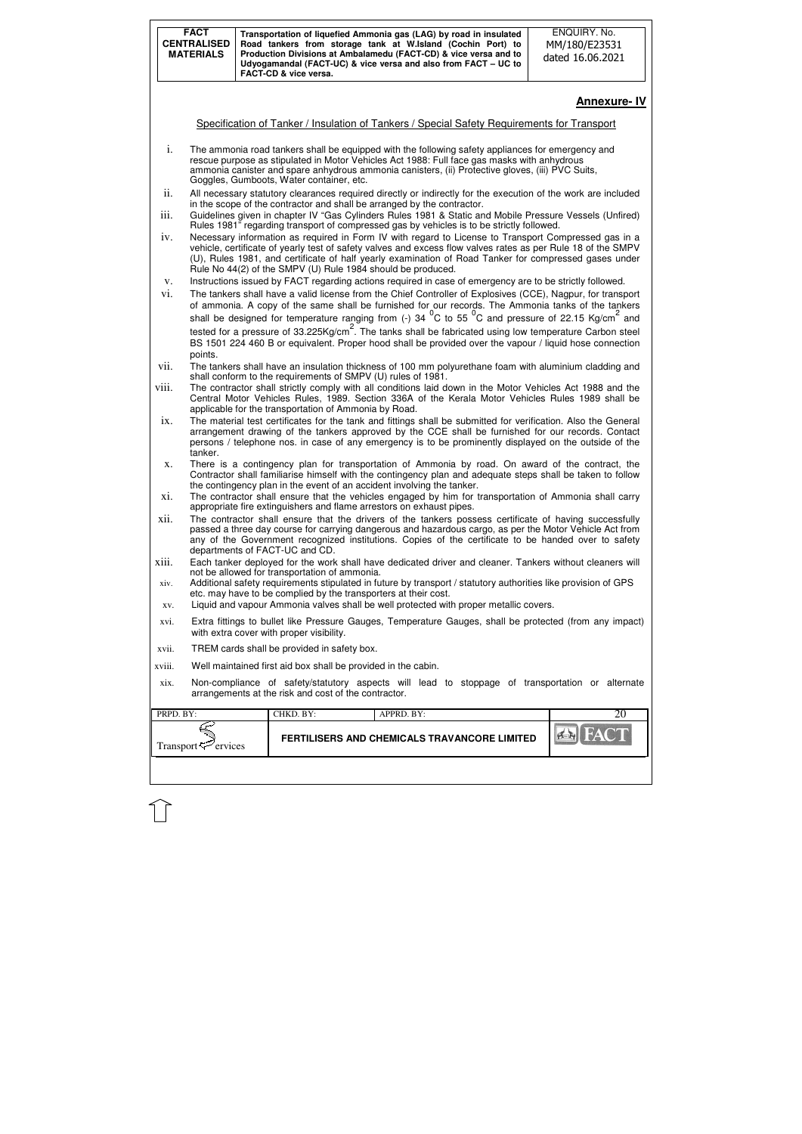| <b>FACT</b><br><b>CENTRALISED</b><br><b>MATERIALS</b> |                                | Transportation of liquefied Ammonia gas (LAG) by road in insulated<br>Road tankers from storage tank at W.Island (Cochin Port) to<br>Production Divisions at Ambalamedu (FACT-CD) & vice versa and to<br>Udyogamandal (FACT-UC) & vice versa and also from FACT - UC to<br>FACT-CD & vice versa.                                                                                             | ENQUIRY. No.<br>MM/180/E23531<br>dated 16.06.2021 |
|-------------------------------------------------------|--------------------------------|----------------------------------------------------------------------------------------------------------------------------------------------------------------------------------------------------------------------------------------------------------------------------------------------------------------------------------------------------------------------------------------------|---------------------------------------------------|
|                                                       |                                |                                                                                                                                                                                                                                                                                                                                                                                              | <b>Annexure-IV</b>                                |
|                                                       |                                | Specification of Tanker / Insulation of Tankers / Special Safety Requirements for Transport                                                                                                                                                                                                                                                                                                  |                                                   |
| i.                                                    |                                | The ammonia road tankers shall be equipped with the following safety appliances for emergency and<br>rescue purpose as stipulated in Motor Vehicles Act 1988: Full face gas masks with anhydrous<br>ammonia canister and spare anhydrous ammonia canisters, (ii) Protective gloves, (iii) PVC Suits,<br>Goggles, Gumboots, Water container, etc.                                             |                                                   |
| ii.                                                   |                                | All necessary statutory clearances required directly or indirectly for the execution of the work are included<br>in the scope of the contractor and shall be arranged by the contractor.                                                                                                                                                                                                     |                                                   |
| iii.                                                  |                                | Guidelines given in chapter IV "Gas Cylinders Rules 1981 & Static and Mobile Pressure Vessels (Unfired)<br>Rules 1981" regarding transport of compressed gas by vehicles is to be strictly followed.                                                                                                                                                                                         |                                                   |
| iv.                                                   |                                | Necessary information as required in Form IV with regard to License to Transport Compressed gas in a<br>vehicle, certificate of yearly test of safety valves and excess flow valves rates as per Rule 18 of the SMPV<br>(U), Rules 1981, and certificate of half yearly examination of Road Tanker for compressed gases under<br>Rule No 44(2) of the SMPV (U) Rule 1984 should be produced. |                                                   |
| V.                                                    |                                | Instructions issued by FACT regarding actions required in case of emergency are to be strictly followed.                                                                                                                                                                                                                                                                                     |                                                   |
| vi.                                                   |                                | The tankers shall have a valid license from the Chief Controller of Explosives (CCE), Nagpur, for transport<br>of ammonia. A copy of the same shall be furnished for our records. The Ammonia tanks of the tankers                                                                                                                                                                           |                                                   |
|                                                       | points.                        | shall be designed for temperature ranging from (-) 34 $^{0}$ C to 55 $^{0}$ C and pressure of 22.15 Kg/cm <sup>2</sup> and<br>tested for a pressure of 33.225Kg/cm <sup>2</sup> . The tanks shall be fabricated using low temperature Carbon steel<br>BS 1501 224 460 B or equivalent. Proper hood shall be provided over the vapour / liquid hose connection                                |                                                   |
| vii.                                                  |                                | The tankers shall have an insulation thickness of 100 mm polyurethane foam with aluminium cladding and<br>shall conform to the requirements of SMPV (U) rules of 1981.                                                                                                                                                                                                                       |                                                   |
| viii.                                                 |                                | The contractor shall strictly comply with all conditions laid down in the Motor Vehicles Act 1988 and the<br>Central Motor Vehicles Rules, 1989. Section 336A of the Kerala Motor Vehicles Rules 1989 shall be<br>applicable for the transportation of Ammonia by Road.                                                                                                                      |                                                   |
| ix.                                                   | tanker.                        | The material test certificates for the tank and fittings shall be submitted for verification. Also the General<br>arrangement drawing of the tankers approved by the CCE shall be furnished for our records. Contact<br>persons / telephone nos. in case of any emergency is to be prominently displayed on the outside of the                                                               |                                                   |
| X.                                                    |                                | There is a contingency plan for transportation of Ammonia by road. On award of the contract, the<br>Contractor shall familiarise himself with the contingency plan and adequate steps shall be taken to follow<br>the contingency plan in the event of an accident involving the tanker.                                                                                                     |                                                   |
| xi.                                                   |                                | The contractor shall ensure that the vehicles engaged by him for transportation of Ammonia shall carry<br>appropriate fire extinguishers and flame arrestors on exhaust pipes.                                                                                                                                                                                                               |                                                   |
| xii.                                                  |                                | The contractor shall ensure that the drivers of the tankers possess certificate of having successfully<br>passed a three day course for carrying dangerous and hazardous cargo, as per the Motor Vehicle Act from<br>any of the Government recognized institutions. Copies of the certificate to be handed over to safety<br>departments of FACT-UC and CD.                                  |                                                   |
| xiii.                                                 |                                | Each tanker deployed for the work shall have dedicated driver and cleaner. Tankers without cleaners will<br>not be allowed for transportation of ammonia.                                                                                                                                                                                                                                    |                                                   |
| xiv.                                                  |                                | Additional safety requirements stipulated in future by transport / statutory authorities like provision of GPS<br>etc. may have to be complied by the transporters at their cost.<br>Liquid and vapour Ammonia valves shall be well protected with proper metallic covers.                                                                                                                   |                                                   |
| XV.<br>xvi.                                           |                                | Extra fittings to bullet like Pressure Gauges, Temperature Gauges, shall be protected (from any impact)                                                                                                                                                                                                                                                                                      |                                                   |
| xvii.                                                 |                                | with extra cover with proper visibility.<br>TREM cards shall be provided in safety box.                                                                                                                                                                                                                                                                                                      |                                                   |
| xviii.                                                |                                | Well maintained first aid box shall be provided in the cabin.                                                                                                                                                                                                                                                                                                                                |                                                   |
| xix.                                                  |                                | Non-compliance of safety/statutory aspects will lead to stoppage of transportation or alternate<br>arrangements at the risk and cost of the contractor.                                                                                                                                                                                                                                      |                                                   |
| PRPD. BY:                                             |                                | CHKD. BY:<br>APPRD. BY:                                                                                                                                                                                                                                                                                                                                                                      | 20                                                |
|                                                       | Transport <sup>5</sup> ervices | <b>FERTILISERS AND CHEMICALS TRAVANCORE LIMITED</b>                                                                                                                                                                                                                                                                                                                                          |                                                   |

 $\mathbb{\hat{}}$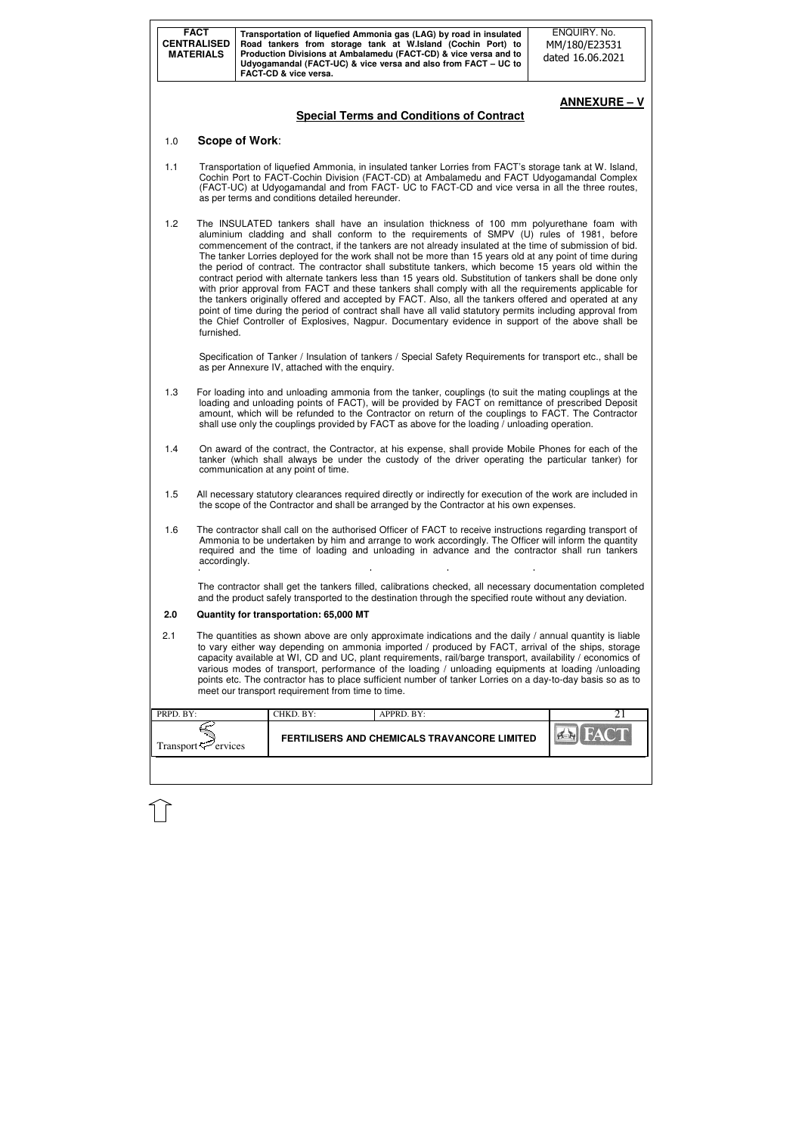| <b>FACT</b><br><b>CENTRALISED</b><br><b>MATERIALS</b> |              |                | FACT-CD & vice versa.                             | Transportation of liquefied Ammonia gas (LAG) by road in insulated<br>Road tankers from storage tank at W.Island (Cochin Port) to<br>Production Divisions at Ambalamedu (FACT-CD) & vice versa and to<br>Udyogamandal (FACT-UC) & vice versa and also from FACT - UC to | ENQUIRY. No.<br>MM/180/E23531<br>dated 16.06.2021                                                                                                                                                                                                                                                                                                                                                                                                                                                                                                                                                                                                                                                                                                                                                                                                                                                                                                                                                                                                                           |
|-------------------------------------------------------|--------------|----------------|---------------------------------------------------|-------------------------------------------------------------------------------------------------------------------------------------------------------------------------------------------------------------------------------------------------------------------------|-----------------------------------------------------------------------------------------------------------------------------------------------------------------------------------------------------------------------------------------------------------------------------------------------------------------------------------------------------------------------------------------------------------------------------------------------------------------------------------------------------------------------------------------------------------------------------------------------------------------------------------------------------------------------------------------------------------------------------------------------------------------------------------------------------------------------------------------------------------------------------------------------------------------------------------------------------------------------------------------------------------------------------------------------------------------------------|
|                                                       |              |                |                                                   | <b>Special Terms and Conditions of Contract</b>                                                                                                                                                                                                                         | <b>ANNEXURE - V</b>                                                                                                                                                                                                                                                                                                                                                                                                                                                                                                                                                                                                                                                                                                                                                                                                                                                                                                                                                                                                                                                         |
| 1.0                                                   |              | Scope of Work: |                                                   |                                                                                                                                                                                                                                                                         |                                                                                                                                                                                                                                                                                                                                                                                                                                                                                                                                                                                                                                                                                                                                                                                                                                                                                                                                                                                                                                                                             |
| 1.1                                                   |              |                | as per terms and conditions detailed hereunder.   |                                                                                                                                                                                                                                                                         | Transportation of liquefied Ammonia, in insulated tanker Lorries from FACT's storage tank at W. Island,<br>Cochin Port to FACT-Cochin Division (FACT-CD) at Ambalamedu and FACT Udyogamandal Complex<br>(FACT-UC) at Udyogamandal and from FACT- UC to FACT-CD and vice versa in all the three routes,                                                                                                                                                                                                                                                                                                                                                                                                                                                                                                                                                                                                                                                                                                                                                                      |
| 1.2                                                   | furnished.   |                |                                                   |                                                                                                                                                                                                                                                                         | The INSULATED tankers shall have an insulation thickness of 100 mm polyurethane foam with<br>aluminium cladding and shall conform to the requirements of SMPV (U) rules of 1981, before<br>commencement of the contract, if the tankers are not already insulated at the time of submission of bid.<br>The tanker Lorries deployed for the work shall not be more than 15 years old at any point of time during<br>the period of contract. The contractor shall substitute tankers, which become 15 years old within the<br>contract period with alternate tankers less than 15 years old. Substitution of tankers shall be done only<br>with prior approval from FACT and these tankers shall comply with all the requirements applicable for<br>the tankers originally offered and accepted by FACT. Also, all the tankers offered and operated at any<br>point of time during the period of contract shall have all valid statutory permits including approval from<br>the Chief Controller of Explosives, Nagpur. Documentary evidence in support of the above shall be |
|                                                       |              |                | as per Annexure IV, attached with the enquiry.    |                                                                                                                                                                                                                                                                         | Specification of Tanker / Insulation of tankers / Special Safety Requirements for transport etc., shall be                                                                                                                                                                                                                                                                                                                                                                                                                                                                                                                                                                                                                                                                                                                                                                                                                                                                                                                                                                  |
| 1.3                                                   |              |                |                                                   | shall use only the couplings provided by FACT as above for the loading / unloading operation.                                                                                                                                                                           | For loading into and unloading ammonia from the tanker, couplings (to suit the mating couplings at the<br>loading and unloading points of FACT), will be provided by FACT on remittance of prescribed Deposit<br>amount, which will be refunded to the Contractor on return of the couplings to FACT. The Contractor                                                                                                                                                                                                                                                                                                                                                                                                                                                                                                                                                                                                                                                                                                                                                        |
| 1.4                                                   |              |                | communication at any point of time.               |                                                                                                                                                                                                                                                                         | On award of the contract, the Contractor, at his expense, shall provide Mobile Phones for each of the<br>tanker (which shall always be under the custody of the driver operating the particular tanker) for                                                                                                                                                                                                                                                                                                                                                                                                                                                                                                                                                                                                                                                                                                                                                                                                                                                                 |
| 1.5                                                   |              |                |                                                   | the scope of the Contractor and shall be arranged by the Contractor at his own expenses.                                                                                                                                                                                | All necessary statutory clearances required directly or indirectly for execution of the work are included in                                                                                                                                                                                                                                                                                                                                                                                                                                                                                                                                                                                                                                                                                                                                                                                                                                                                                                                                                                |
| 1.6                                                   | accordingly. |                |                                                   |                                                                                                                                                                                                                                                                         | The contractor shall call on the authorised Officer of FACT to receive instructions regarding transport of<br>Ammonia to be undertaken by him and arrange to work accordingly. The Officer will inform the quantity<br>required and the time of loading and unloading in advance and the contractor shall run tankers                                                                                                                                                                                                                                                                                                                                                                                                                                                                                                                                                                                                                                                                                                                                                       |
|                                                       |              |                |                                                   |                                                                                                                                                                                                                                                                         | The contractor shall get the tankers filled, calibrations checked, all necessary documentation completed<br>and the product safely transported to the destination through the specified route without any deviation.                                                                                                                                                                                                                                                                                                                                                                                                                                                                                                                                                                                                                                                                                                                                                                                                                                                        |
| 2.0                                                   |              |                | Quantity for transportation: 65,000 MT            |                                                                                                                                                                                                                                                                         |                                                                                                                                                                                                                                                                                                                                                                                                                                                                                                                                                                                                                                                                                                                                                                                                                                                                                                                                                                                                                                                                             |
| 2.1                                                   |              |                | meet our transport requirement from time to time. |                                                                                                                                                                                                                                                                         | The quantities as shown above are only approximate indications and the daily / annual quantity is liable<br>to vary either way depending on ammonia imported / produced by FACT, arrival of the ships, storage<br>capacity available at WI, CD and UC, plant requirements, rail/barge transport, availability / economics of<br>various modes of transport, performance of the loading / unloading equipments at loading /unloading<br>points etc. The contractor has to place sufficient number of tanker Lorries on a day-to-day basis so as to                                                                                                                                                                                                                                                                                                                                                                                                                                                                                                                           |
| PRPD. BY:                                             |              |                | CHKD. BY:                                         | APPRD. BY:                                                                                                                                                                                                                                                              | 21                                                                                                                                                                                                                                                                                                                                                                                                                                                                                                                                                                                                                                                                                                                                                                                                                                                                                                                                                                                                                                                                          |
| Transport                                             | ervices      |                |                                                   | FERTILISERS AND CHEMICALS TRAVANCORE LIMITED                                                                                                                                                                                                                            |                                                                                                                                                                                                                                                                                                                                                                                                                                                                                                                                                                                                                                                                                                                                                                                                                                                                                                                                                                                                                                                                             |
|                                                       |              |                |                                                   |                                                                                                                                                                                                                                                                         |                                                                                                                                                                                                                                                                                                                                                                                                                                                                                                                                                                                                                                                                                                                                                                                                                                                                                                                                                                                                                                                                             |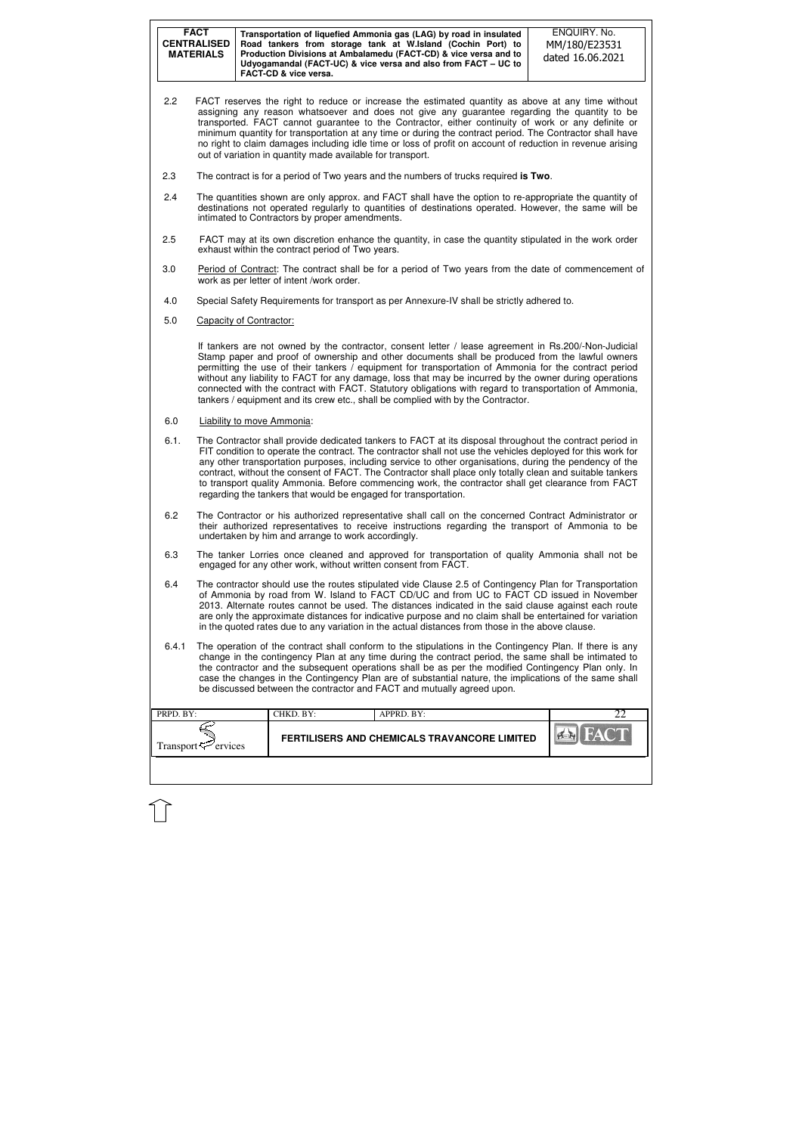| <b>FACT</b><br><b>CENTRALISED</b><br><b>MATERIALS</b> | Transportation of liquefied Ammonia gas (LAG) by road in insulated<br>Road tankers from storage tank at W.Island (Cochin Port) to<br>Production Divisions at Ambalamedu (FACT-CD) & vice versa and to<br>Udyogamandal (FACT-UC) & vice versa and also from FACT – UC to<br><b>FACT-CD &amp; vice versa.</b> | ENQUIRY. No.<br>MM/180/E23531<br>dated 16.06.2021 |
|-------------------------------------------------------|-------------------------------------------------------------------------------------------------------------------------------------------------------------------------------------------------------------------------------------------------------------------------------------------------------------|---------------------------------------------------|
|-------------------------------------------------------|-------------------------------------------------------------------------------------------------------------------------------------------------------------------------------------------------------------------------------------------------------------------------------------------------------------|---------------------------------------------------|

| PRPD. BY:           | CHKD. BY: | APPRD. BY:                                   |  |
|---------------------|-----------|----------------------------------------------|--|
| Transport ⊂ ervices |           | FERTILISERS AND CHEMICALS TRAVANCORE LIMITED |  |
|                     |           |                                              |  |

- 2.2 FACT reserves the right to reduce or increase the estimated quantity as above at any time without assigning any reason whatsoever and does not give any guarantee regarding the quantity to be transported. FACT cannot guarantee to the Contractor, either continuity of work or any definite or minimum quantity for transportation at any time or during the contract period. The Contractor shall have no right to claim damages including idle time or loss of profit on account of reduction in revenue arising out of variation in quantity made available for transport.
- 2.3 The contract is for a period of Two years and the numbers of trucks required **is Two**.
- 2.4 The quantities shown are only approx. and FACT shall have the option to re-appropriate the quantity of destinations not operated regularly to quantities of destinations operated. However, the same will be intimated to Contractors by proper amendments.
- 2.5 FACT may at its own discretion enhance the quantity, in case the quantity stipulated in the work order exhaust within the contract period of Two years.
- 3.0 Period of Contract: The contract shall be for a period of Two years from the date of commencement of work as per letter of intent /work order.
- 4.0 Special Safety Requirements for transport as per Annexure-IV shall be strictly adhered to.
- 5.0 Capacity of Contractor:

If tankers are not owned by the contractor, consent letter / lease agreement in Rs.200/-Non-Judicial Stamp paper and proof of ownership and other documents shall be produced from the lawful owners permitting the use of their tankers / equipment for transportation of Ammonia for the contract period without any liability to FACT for any damage, loss that may be incurred by the owner during operations connected with the contract with FACT. Statutory obligations with regard to transportation of Ammonia, tankers / equipment and its crew etc., shall be complied with by the Contractor.

- 6.0 Liability to move Ammonia:
- 6.1. The Contractor shall provide dedicated tankers to FACT at its disposal throughout the contract period in FIT condition to operate the contract. The contractor shall not use the vehicles deployed for this work for any other transportation purposes, including service to other organisations, during the pendency of the contract, without the consent of FACT. The Contractor shall place only totally clean and suitable tankers to transport quality Ammonia. Before commencing work, the contractor shall get clearance from FACT regarding the tankers that would be engaged for transportation.
- 6.2 The Contractor or his authorized representative shall call on the concerned Contract Administrator or their authorized representatives to receive instructions regarding the transport of Ammonia to be undertaken by him and arrange to work accordingly.
- 6.3 The tanker Lorries once cleaned and approved for transportation of quality Ammonia shall not be engaged for any other work, without written consent from FACT.
- 6.4 The contractor should use the routes stipulated vide Clause 2.5 of Contingency Plan for Transportation of Ammonia by road from W. Island to FACT CD/UC and from UC to FACT CD issued in November 2013. Alternate routes cannot be used. The distances indicated in the said clause against each route are only the approximate distances for indicative purpose and no claim shall be entertained for variation in the quoted rates due to any variation in the actual distances from those in the above clause.
- 6.4.1 The operation of the contract shall conform to the stipulations in the Contingency Plan. If there is any change in the contingency Plan at any time during the contract period, the same shall be intimated to the contractor and the subsequent operations shall be as per the modified Contingency Plan only. In case the changes in the Contingency Plan are of substantial nature, the implications of the same shall be discussed between the contractor and FACT and mutually agreed upon.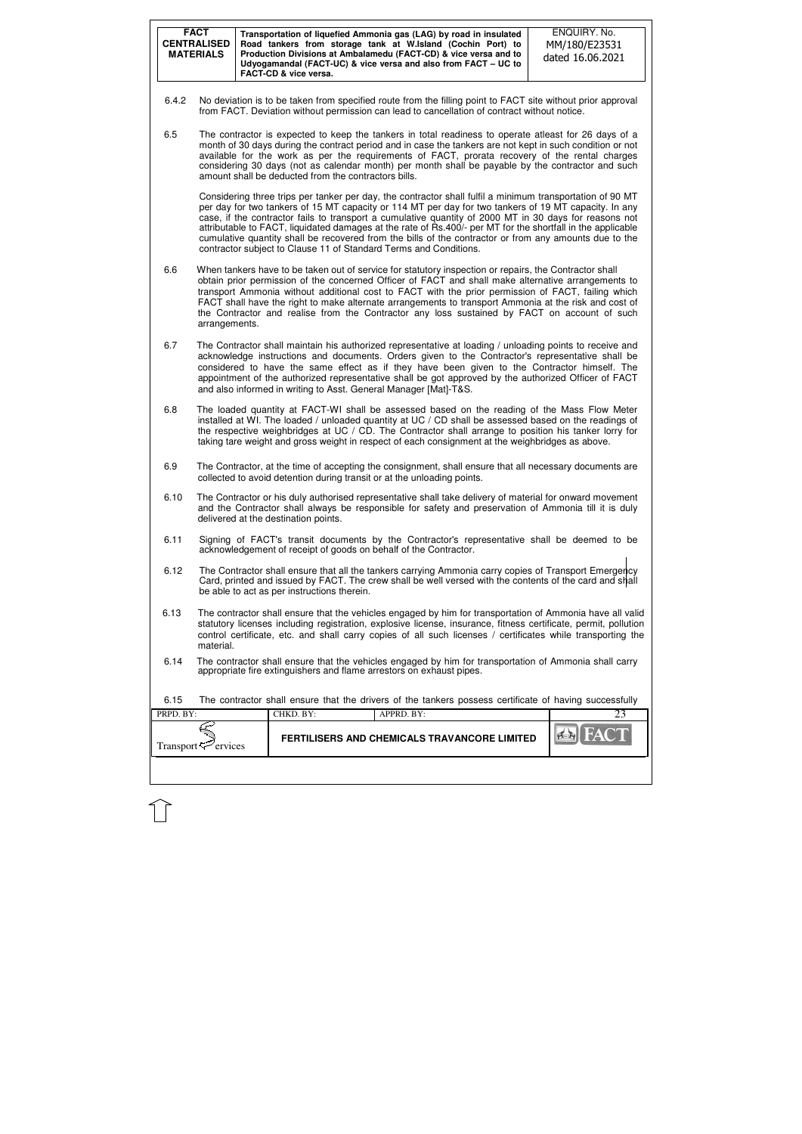|           | <b>FACT</b><br><b>CENTRALISED</b><br><b>MATERIALS</b>                                                                                                                                                                                                                                                                                                                                                                                                                                                                                         |  | FACT-CD & vice versa.                | Transportation of liquefied Ammonia gas (LAG) by road in insulated<br>Road tankers from storage tank at W.Island (Cochin Port) to<br>Production Divisions at Ambalamedu (FACT-CD) & vice versa and to<br>Udyogamandal (FACT-UC) & vice versa and also from FACT - UC to |  | ENQUIRY. No.<br>MM/180/E23531<br>dated 16.06.2021                                                                                                                                                                                                                                                                                                                                                                                                                                                                                                     |  |  |  |
|-----------|-----------------------------------------------------------------------------------------------------------------------------------------------------------------------------------------------------------------------------------------------------------------------------------------------------------------------------------------------------------------------------------------------------------------------------------------------------------------------------------------------------------------------------------------------|--|--------------------------------------|-------------------------------------------------------------------------------------------------------------------------------------------------------------------------------------------------------------------------------------------------------------------------|--|-------------------------------------------------------------------------------------------------------------------------------------------------------------------------------------------------------------------------------------------------------------------------------------------------------------------------------------------------------------------------------------------------------------------------------------------------------------------------------------------------------------------------------------------------------|--|--|--|
| 6.4.2     | No deviation is to be taken from specified route from the filling point to FACT site without prior approval<br>from FACT. Deviation without permission can lead to cancellation of contract without notice.                                                                                                                                                                                                                                                                                                                                   |  |                                      |                                                                                                                                                                                                                                                                         |  |                                                                                                                                                                                                                                                                                                                                                                                                                                                                                                                                                       |  |  |  |
| 6.5       | The contractor is expected to keep the tankers in total readiness to operate atleast for 26 days of a<br>month of 30 days during the contract period and in case the tankers are not kept in such condition or not<br>available for the work as per the requirements of FACT, prorata recovery of the rental charges<br>considering 30 days (not as calendar month) per month shall be payable by the contractor and such<br>amount shall be deducted from the contractors bills.                                                             |  |                                      |                                                                                                                                                                                                                                                                         |  |                                                                                                                                                                                                                                                                                                                                                                                                                                                                                                                                                       |  |  |  |
|           |                                                                                                                                                                                                                                                                                                                                                                                                                                                                                                                                               |  |                                      | contractor subject to Clause 11 of Standard Terms and Conditions.                                                                                                                                                                                                       |  | Considering three trips per tanker per day, the contractor shall fulfil a minimum transportation of 90 MT<br>per day for two tankers of 15 MT capacity or 114 MT per day for two tankers of 19 MT capacity. In any<br>case, if the contractor fails to transport a cumulative quantity of 2000 MT in 30 days for reasons not<br>attributable to FACT, liquidated damages at the rate of Rs.400/- per MT for the shortfall in the applicable<br>cumulative quantity shall be recovered from the bills of the contractor or from any amounts due to the |  |  |  |
| 6.6       | When tankers have to be taken out of service for statutory inspection or repairs, the Contractor shall<br>obtain prior permission of the concerned Officer of FACT and shall make alternative arrangements to<br>transport Ammonia without additional cost to FACT with the prior permission of FACT, failing which<br>FACT shall have the right to make alternate arrangements to transport Ammonia at the risk and cost of<br>the Contractor and realise from the Contractor any loss sustained by FACT on account of such<br>arrangements. |  |                                      |                                                                                                                                                                                                                                                                         |  |                                                                                                                                                                                                                                                                                                                                                                                                                                                                                                                                                       |  |  |  |
| 6.7       |                                                                                                                                                                                                                                                                                                                                                                                                                                                                                                                                               |  |                                      | and also informed in writing to Asst. General Manager [Mat]-T&S.                                                                                                                                                                                                        |  | The Contractor shall maintain his authorized representative at loading / unloading points to receive and<br>acknowledge instructions and documents. Orders given to the Contractor's representative shall be<br>considered to have the same effect as if they have been given to the Contractor himself. The<br>appointment of the authorized representative shall be got approved by the authorized Officer of FACT                                                                                                                                  |  |  |  |
| 6.8       |                                                                                                                                                                                                                                                                                                                                                                                                                                                                                                                                               |  |                                      | taking tare weight and gross weight in respect of each consignment at the weighbridges as above.                                                                                                                                                                        |  | The loaded quantity at FACT-WI shall be assessed based on the reading of the Mass Flow Meter<br>installed at WI. The loaded / unloaded quantity at UC / CD shall be assessed based on the readings of<br>the respective weighbridges at UC / CD. The Contractor shall arrange to position his tanker lorry for                                                                                                                                                                                                                                        |  |  |  |
| 6.9       |                                                                                                                                                                                                                                                                                                                                                                                                                                                                                                                                               |  |                                      | collected to avoid detention during transit or at the unloading points.                                                                                                                                                                                                 |  | The Contractor, at the time of accepting the consignment, shall ensure that all necessary documents are                                                                                                                                                                                                                                                                                                                                                                                                                                               |  |  |  |
| 6.10      |                                                                                                                                                                                                                                                                                                                                                                                                                                                                                                                                               |  | delivered at the destination points. |                                                                                                                                                                                                                                                                         |  | The Contractor or his duly authorised representative shall take delivery of material for onward movement<br>and the Contractor shall always be responsible for safety and preservation of Ammonia till it is duly                                                                                                                                                                                                                                                                                                                                     |  |  |  |
| 6.11      |                                                                                                                                                                                                                                                                                                                                                                                                                                                                                                                                               |  |                                      | acknowledgement of receipt of goods on behalf of the Contractor.                                                                                                                                                                                                        |  | Signing of FACT's transit documents by the Contractor's representative shall be deemed to be                                                                                                                                                                                                                                                                                                                                                                                                                                                          |  |  |  |
| 6.12      | The Contractor shall ensure that all the tankers carrying Ammonia carry copies of Transport Emergency<br>Card, printed and issued by FACT. The crew shall be well versed with the contents of the card and shall<br>be able to act as per instructions therein.                                                                                                                                                                                                                                                                               |  |                                      |                                                                                                                                                                                                                                                                         |  |                                                                                                                                                                                                                                                                                                                                                                                                                                                                                                                                                       |  |  |  |
| 6.13      | The contractor shall ensure that the vehicles engaged by him for transportation of Ammonia have all valid<br>statutory licenses including registration, explosive license, insurance, fitness certificate, permit, pollution<br>control certificate, etc. and shall carry copies of all such licenses / certificates while transporting the<br>material.                                                                                                                                                                                      |  |                                      |                                                                                                                                                                                                                                                                         |  |                                                                                                                                                                                                                                                                                                                                                                                                                                                                                                                                                       |  |  |  |
| 6.14      | The contractor shall ensure that the vehicles engaged by him for transportation of Ammonia shall carry<br>appropriate fire extinguishers and flame arrestors on exhaust pipes.                                                                                                                                                                                                                                                                                                                                                                |  |                                      |                                                                                                                                                                                                                                                                         |  |                                                                                                                                                                                                                                                                                                                                                                                                                                                                                                                                                       |  |  |  |
| 6.15      |                                                                                                                                                                                                                                                                                                                                                                                                                                                                                                                                               |  |                                      |                                                                                                                                                                                                                                                                         |  | The contractor shall ensure that the drivers of the tankers possess certificate of having successfully                                                                                                                                                                                                                                                                                                                                                                                                                                                |  |  |  |
| PRPD. BY: |                                                                                                                                                                                                                                                                                                                                                                                                                                                                                                                                               |  | CHKD. BY:                            | APPRD. BY:                                                                                                                                                                                                                                                              |  | 23                                                                                                                                                                                                                                                                                                                                                                                                                                                                                                                                                    |  |  |  |
|           | Transport $\leq$ ervices                                                                                                                                                                                                                                                                                                                                                                                                                                                                                                                      |  |                                      | FERTILISERS AND CHEMICALS TRAVANCORE LIMITED                                                                                                                                                                                                                            |  |                                                                                                                                                                                                                                                                                                                                                                                                                                                                                                                                                       |  |  |  |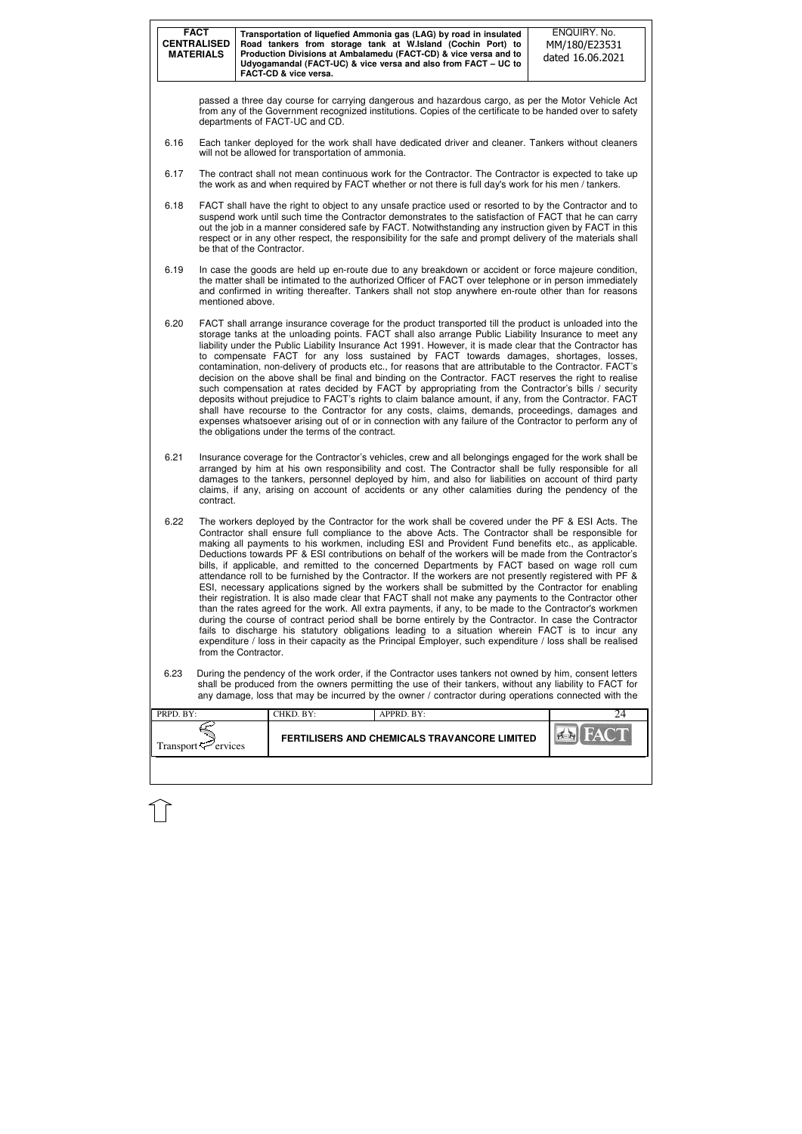|                        | <b>FACT</b><br><b>CENTRALISED</b><br><b>MATERIALS</b>                                                                                                                                                                                                                                                                                                                                                                                                                                                                                                                                                                                                                                                                                                                                                                                                                                                                                                                                                                                                                                                                                                                                                                                                                                                               |  | Transportation of liquefied Ammonia gas (LAG) by road in insulated<br>Road tankers from storage tank at W.Island (Cochin Port) to<br>Production Divisions at Ambalamedu (FACT-CD) & vice versa and to<br>Udyogamandal (FACT-UC) & vice versa and also from FACT - UC to<br><b>FACT-CD &amp; vice versa.</b> |  |                                                     |  |  | ENQUIRY. No.<br>MM/180/E23531<br>dated 16.06.2021                                                                                                                                                                                                                                                                                                                                                                                                                                                                                                                                                                                                                                                                                                                                                                                                                                                                                                                                                                                                                            |  |
|------------------------|---------------------------------------------------------------------------------------------------------------------------------------------------------------------------------------------------------------------------------------------------------------------------------------------------------------------------------------------------------------------------------------------------------------------------------------------------------------------------------------------------------------------------------------------------------------------------------------------------------------------------------------------------------------------------------------------------------------------------------------------------------------------------------------------------------------------------------------------------------------------------------------------------------------------------------------------------------------------------------------------------------------------------------------------------------------------------------------------------------------------------------------------------------------------------------------------------------------------------------------------------------------------------------------------------------------------|--|-------------------------------------------------------------------------------------------------------------------------------------------------------------------------------------------------------------------------------------------------------------------------------------------------------------|--|-----------------------------------------------------|--|--|------------------------------------------------------------------------------------------------------------------------------------------------------------------------------------------------------------------------------------------------------------------------------------------------------------------------------------------------------------------------------------------------------------------------------------------------------------------------------------------------------------------------------------------------------------------------------------------------------------------------------------------------------------------------------------------------------------------------------------------------------------------------------------------------------------------------------------------------------------------------------------------------------------------------------------------------------------------------------------------------------------------------------------------------------------------------------|--|
|                        | passed a three day course for carrying dangerous and hazardous cargo, as per the Motor Vehicle Act<br>from any of the Government recognized institutions. Copies of the certificate to be handed over to safety<br>departments of FACT-UC and CD.                                                                                                                                                                                                                                                                                                                                                                                                                                                                                                                                                                                                                                                                                                                                                                                                                                                                                                                                                                                                                                                                   |  |                                                                                                                                                                                                                                                                                                             |  |                                                     |  |  |                                                                                                                                                                                                                                                                                                                                                                                                                                                                                                                                                                                                                                                                                                                                                                                                                                                                                                                                                                                                                                                                              |  |
| 6.16                   |                                                                                                                                                                                                                                                                                                                                                                                                                                                                                                                                                                                                                                                                                                                                                                                                                                                                                                                                                                                                                                                                                                                                                                                                                                                                                                                     |  | will not be allowed for transportation of ammonia.                                                                                                                                                                                                                                                          |  |                                                     |  |  | Each tanker deployed for the work shall have dedicated driver and cleaner. Tankers without cleaners                                                                                                                                                                                                                                                                                                                                                                                                                                                                                                                                                                                                                                                                                                                                                                                                                                                                                                                                                                          |  |
| 6.17                   |                                                                                                                                                                                                                                                                                                                                                                                                                                                                                                                                                                                                                                                                                                                                                                                                                                                                                                                                                                                                                                                                                                                                                                                                                                                                                                                     |  |                                                                                                                                                                                                                                                                                                             |  |                                                     |  |  | The contract shall not mean continuous work for the Contractor. The Contractor is expected to take up<br>the work as and when required by FACT whether or not there is full day's work for his men / tankers.                                                                                                                                                                                                                                                                                                                                                                                                                                                                                                                                                                                                                                                                                                                                                                                                                                                                |  |
| 6.18                   | be that of the Contractor.                                                                                                                                                                                                                                                                                                                                                                                                                                                                                                                                                                                                                                                                                                                                                                                                                                                                                                                                                                                                                                                                                                                                                                                                                                                                                          |  |                                                                                                                                                                                                                                                                                                             |  |                                                     |  |  | FACT shall have the right to object to any unsafe practice used or resorted to by the Contractor and to<br>suspend work until such time the Contractor demonstrates to the satisfaction of FACT that he can carry<br>out the job in a manner considered safe by FACT. Notwithstanding any instruction given by FACT in this<br>respect or in any other respect, the responsibility for the safe and prompt delivery of the materials shall                                                                                                                                                                                                                                                                                                                                                                                                                                                                                                                                                                                                                                   |  |
| 6.19                   | mentioned above.                                                                                                                                                                                                                                                                                                                                                                                                                                                                                                                                                                                                                                                                                                                                                                                                                                                                                                                                                                                                                                                                                                                                                                                                                                                                                                    |  |                                                                                                                                                                                                                                                                                                             |  |                                                     |  |  | In case the goods are held up en-route due to any breakdown or accident or force majeure condition,<br>the matter shall be intimated to the authorized Officer of FACT over telephone or in person immediately<br>and confirmed in writing thereafter. Tankers shall not stop anywhere en-route other than for reasons                                                                                                                                                                                                                                                                                                                                                                                                                                                                                                                                                                                                                                                                                                                                                       |  |
| 6.20                   |                                                                                                                                                                                                                                                                                                                                                                                                                                                                                                                                                                                                                                                                                                                                                                                                                                                                                                                                                                                                                                                                                                                                                                                                                                                                                                                     |  | the obligations under the terms of the contract.                                                                                                                                                                                                                                                            |  |                                                     |  |  | FACT shall arrange insurance coverage for the product transported till the product is unloaded into the<br>storage tanks at the unloading points. FACT shall also arrange Public Liability Insurance to meet any<br>liability under the Public Liability Insurance Act 1991. However, it is made clear that the Contractor has<br>to compensate FACT for any loss sustained by FACT towards damages, shortages, losses,<br>contamination, non-delivery of products etc., for reasons that are attributable to the Contractor. FACT's<br>decision on the above shall be final and binding on the Contractor. FACT reserves the right to realise<br>such compensation at rates decided by FACT by appropriating from the Contractor's bills / security<br>deposits without prejudice to FACT's rights to claim balance amount, if any, from the Contractor. FACT<br>shall have recourse to the Contractor for any costs, claims, demands, proceedings, damages and<br>expenses whatsoever arising out of or in connection with any failure of the Contractor to perform any of |  |
| 6.21                   | contract.                                                                                                                                                                                                                                                                                                                                                                                                                                                                                                                                                                                                                                                                                                                                                                                                                                                                                                                                                                                                                                                                                                                                                                                                                                                                                                           |  |                                                                                                                                                                                                                                                                                                             |  |                                                     |  |  | Insurance coverage for the Contractor's vehicles, crew and all belongings engaged for the work shall be<br>arranged by him at his own responsibility and cost. The Contractor shall be fully responsible for all<br>damages to the tankers, personnel deployed by him, and also for liabilities on account of third party<br>claims, if any, arising on account of accidents or any other calamities during the pendency of the                                                                                                                                                                                                                                                                                                                                                                                                                                                                                                                                                                                                                                              |  |
| 6.22                   | The workers deployed by the Contractor for the work shall be covered under the PF & ESI Acts. The<br>Contractor shall ensure full compliance to the above Acts. The Contractor shall be responsible for<br>making all payments to his workmen, including ESI and Provident Fund benefits etc., as applicable.<br>Deductions towards PF & ESI contributions on behalf of the workers will be made from the Contractor's<br>bills, if applicable, and remitted to the concerned Departments by FACT based on wage roll cum<br>attendance roll to be furnished by the Contractor. If the workers are not presently registered with PF &<br>ESI, necessary applications signed by the workers shall be submitted by the Contractor for enabling<br>their registration. It is also made clear that FACT shall not make any payments to the Contractor other<br>than the rates agreed for the work. All extra payments, if any, to be made to the Contractor's workmen<br>during the course of contract period shall be borne entirely by the Contractor. In case the Contractor<br>fails to discharge his statutory obligations leading to a situation wherein FACT is to incur any<br>expenditure / loss in their capacity as the Principal Employer, such expenditure / loss shall be realised<br>from the Contractor. |  |                                                                                                                                                                                                                                                                                                             |  |                                                     |  |  |                                                                                                                                                                                                                                                                                                                                                                                                                                                                                                                                                                                                                                                                                                                                                                                                                                                                                                                                                                                                                                                                              |  |
| 6.23                   | During the pendency of the work order, if the Contractor uses tankers not owned by him, consent letters<br>shall be produced from the owners permitting the use of their tankers, without any liability to FACT for<br>any damage, loss that may be incurred by the owner / contractor during operations connected with the                                                                                                                                                                                                                                                                                                                                                                                                                                                                                                                                                                                                                                                                                                                                                                                                                                                                                                                                                                                         |  |                                                                                                                                                                                                                                                                                                             |  |                                                     |  |  |                                                                                                                                                                                                                                                                                                                                                                                                                                                                                                                                                                                                                                                                                                                                                                                                                                                                                                                                                                                                                                                                              |  |
| PRPD. BY:              |                                                                                                                                                                                                                                                                                                                                                                                                                                                                                                                                                                                                                                                                                                                                                                                                                                                                                                                                                                                                                                                                                                                                                                                                                                                                                                                     |  | CHKD. BY:                                                                                                                                                                                                                                                                                                   |  | APPRD. BY:                                          |  |  | 24                                                                                                                                                                                                                                                                                                                                                                                                                                                                                                                                                                                                                                                                                                                                                                                                                                                                                                                                                                                                                                                                           |  |
| Transport <del>V</del> | ervices                                                                                                                                                                                                                                                                                                                                                                                                                                                                                                                                                                                                                                                                                                                                                                                                                                                                                                                                                                                                                                                                                                                                                                                                                                                                                                             |  |                                                                                                                                                                                                                                                                                                             |  | <b>FERTILISERS AND CHEMICALS TRAVANCORE LIMITED</b> |  |  |                                                                                                                                                                                                                                                                                                                                                                                                                                                                                                                                                                                                                                                                                                                                                                                                                                                                                                                                                                                                                                                                              |  |
|                        |                                                                                                                                                                                                                                                                                                                                                                                                                                                                                                                                                                                                                                                                                                                                                                                                                                                                                                                                                                                                                                                                                                                                                                                                                                                                                                                     |  |                                                                                                                                                                                                                                                                                                             |  |                                                     |  |  |                                                                                                                                                                                                                                                                                                                                                                                                                                                                                                                                                                                                                                                                                                                                                                                                                                                                                                                                                                                                                                                                              |  |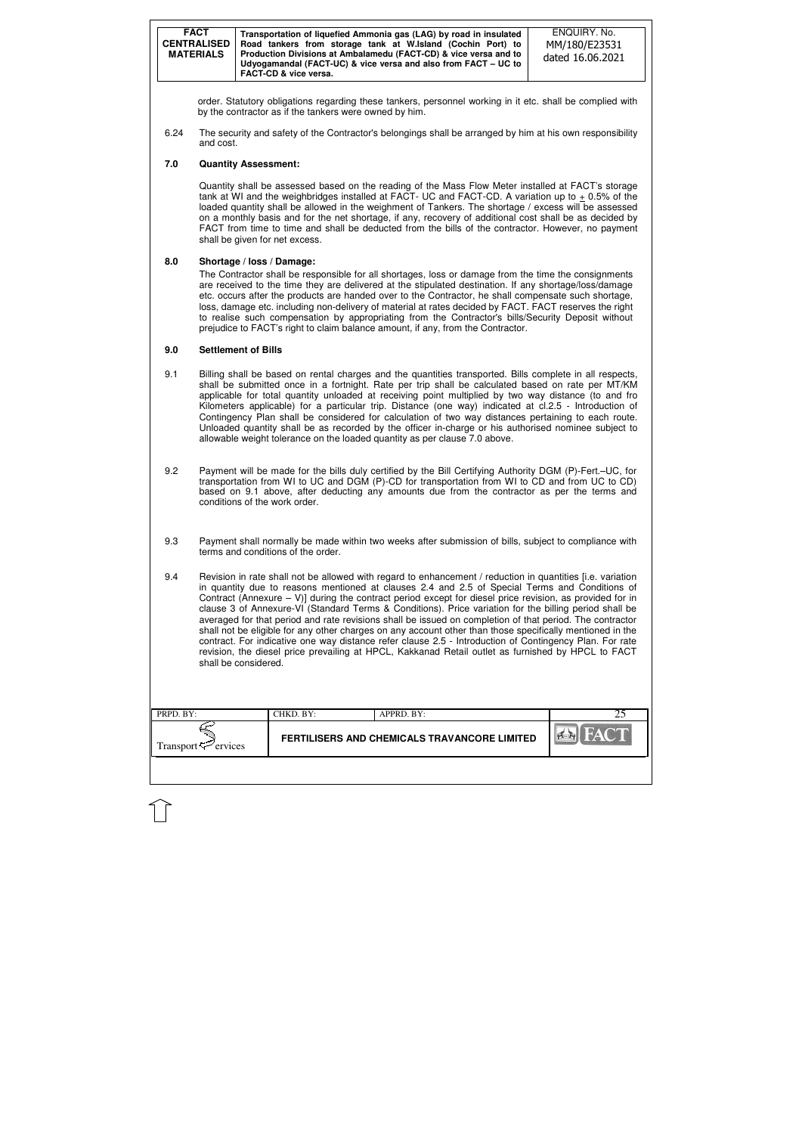| <b>FACT</b><br><b>CENTRALISED</b><br><b>MATERIALS</b> | Transportation of liquefied Ammonia gas (LAG) by road in insulated<br>Road tankers from storage tank at W.Island (Cochin Port) to<br>Production Divisions at Ambalamedu (FACT-CD) & vice versa and to<br>Udyogamandal (FACT-UC) & vice versa and also from FACT - UC to<br>FACT-CD & vice versa. | ENQUIRY, No.<br>MM/180/E23531<br>dated 16.06.2021 |
|-------------------------------------------------------|--------------------------------------------------------------------------------------------------------------------------------------------------------------------------------------------------------------------------------------------------------------------------------------------------|---------------------------------------------------|
|-------------------------------------------------------|--------------------------------------------------------------------------------------------------------------------------------------------------------------------------------------------------------------------------------------------------------------------------------------------------|---------------------------------------------------|

| PRPD. BY:                      | CHKD. BY: | APPRD. BY:                                   |     |
|--------------------------------|-----------|----------------------------------------------|-----|
| Transport <sup>7</sup> ervices |           | FERTILISERS AND CHEMICALS TRAVANCORE LIMITED | PER |
|                                |           |                                              |     |

order. Statutory obligations regarding these tankers, personnel working in it etc. shall be complied with by the contractor as if the tankers were owned by him.

6.24 The security and safety of the Contractor's belongings shall be arranged by him at his own responsibility and cost.

#### **7.0 Quantity Assessment:**

Quantity shall be assessed based on the reading of the Mass Flow Meter installed at FACT's storage tank at WI and the weighbridges installed at FACT- UC and FACT-CD. A variation up to + 0.5% of the loaded quantity shall be allowed in the weighment of Tankers. The shortage / excess will be assessed on a monthly basis and for the net shortage, if any, recovery of additional cost shall be as decided by FACT from time to time and shall be deducted from the bills of the contractor. However, no payment shall be given for net excess.

### **8.0 Shortage / loss / Damage:**

The Contractor shall be responsible for all shortages, loss or damage from the time the consignments are received to the time they are delivered at the stipulated destination. If any shortage/loss/damage etc. occurs after the products are handed over to the Contractor, he shall compensate such shortage, loss, damage etc. including non-delivery of material at rates decided by FACT. FACT reserves the right to realise such compensation by appropriating from the Contractor's bills/Security Deposit without prejudice to FACT's right to claim balance amount, if any, from the Contractor.

#### **9.0 Settlement of Bills**

- 9.1 Billing shall be based on rental charges and the quantities transported. Bills complete in all respects, shall be submitted once in a fortnight. Rate per trip shall be calculated based on rate per MT/KM applicable for total quantity unloaded at receiving point multiplied by two way distance (to and fro Kilometers applicable) for a particular trip. Distance (one way) indicated at cl.2.5 - Introduction of Contingency Plan shall be considered for calculation of two way distances pertaining to each route. Unloaded quantity shall be as recorded by the officer in-charge or his authorised nominee subject to allowable weight tolerance on the loaded quantity as per clause 7.0 above.
- 9.2 Payment will be made for the bills duly certified by the Bill Certifying Authority DGM (P)-Fert.–UC, for transportation from WI to UC and DGM (P)-CD for transportation from WI to CD and from UC to CD) based on 9.1 above, after deducting any amounts due from the contractor as per the terms and conditions of the work order.
- 9.3 Payment shall normally be made within two weeks after submission of bills, subject to compliance with terms and conditions of the order.
- 9.4 Revision in rate shall not be allowed with regard to enhancement / reduction in quantities [i.e. variation in quantity due to reasons mentioned at clauses 2.4 and 2.5 of Special Terms and Conditions of Contract (Annexure  $-$  V)] during the contract period except for diesel price revision, as provided for in clause 3 of Annexure-VI (Standard Terms & Conditions). Price variation for the billing period shall be averaged for that period and rate revisions shall be issued on completion of that period. The contractor shall not be eligible for any other charges on any account other than those specifically mentioned in the contract. For indicative one way distance refer clause 2.5 - Introduction of Contingency Plan. For rate revision, the diesel price prevailing at HPCL, Kakkanad Retail outlet as furnished by HPCL to FACT shall be considered.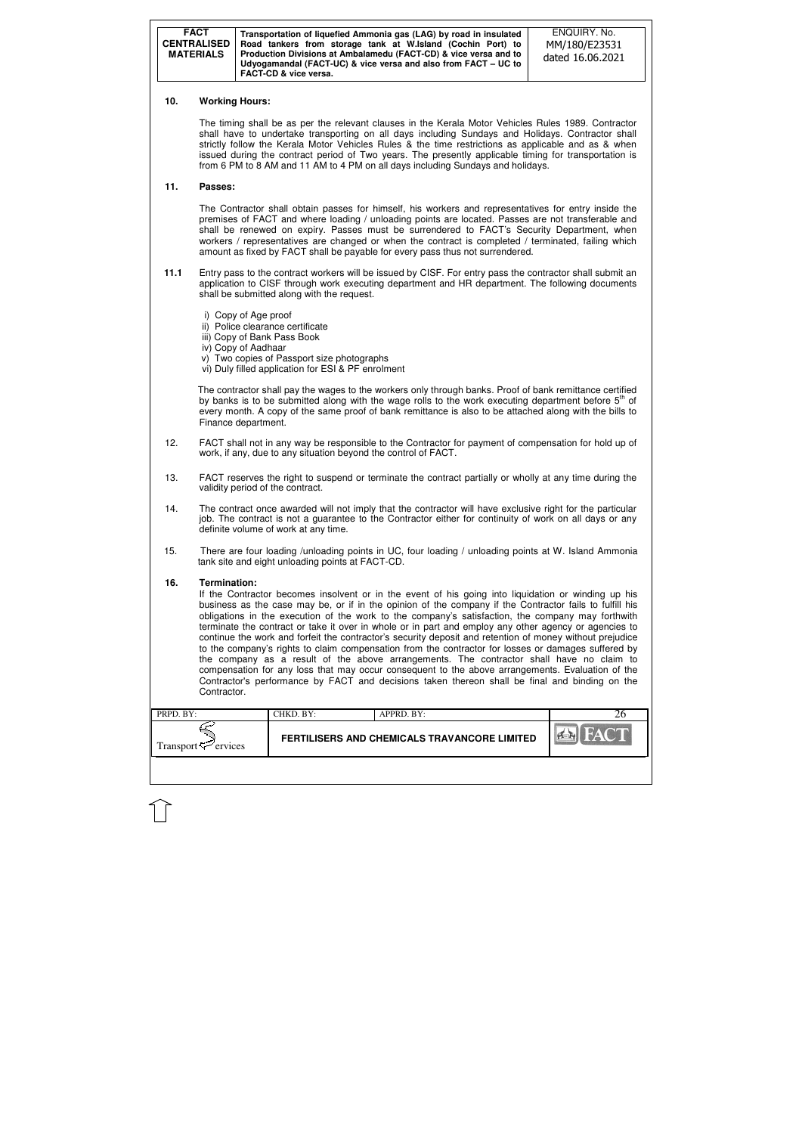| <b>FACT</b>        | Transportation of liquefied Ammonia gas (LAG) by road in insulated                                                                 | ENQUIRY, No.     |
|--------------------|------------------------------------------------------------------------------------------------------------------------------------|------------------|
| <b>CENTRALISED</b> | Road tankers from storage tank at W.Island (Cochin Port) to                                                                        | MM/180/E23531    |
| <b>MATERIALS</b>   | Production Divisions at Ambalamedu (FACT-CD) & vice versa and to<br>Udyogamandal (FACT-UC) & vice versa and also from FACT – UC to | dated 16.06.2021 |
|                    | <b>FACT-CD &amp; vice versa.</b>                                                                                                   |                  |

| $PRPD$ . $BY:$      | CHKD. BY: | $APPRD$ . $BY:$                              |  |
|---------------------|-----------|----------------------------------------------|--|
| Transport < Frances |           | FERTILISERS AND CHEMICALS TRAVANCORE LIMITED |  |

### **10. Working Hours:**

The timing shall be as per the relevant clauses in the Kerala Motor Vehicles Rules 1989. Contractor shall have to undertake transporting on all days including Sundays and Holidays. Contractor shall strictly follow the Kerala Motor Vehicles Rules & the time restrictions as applicable and as & when issued during the contract period of Two years. The presently applicable timing for transportation is from 6 PM to 8 AM and 11 AM to 4 PM on all days including Sundays and holidays.

### **11. Passes:**

The Contractor shall obtain passes for himself, his workers and representatives for entry inside the premises of FACT and where loading / unloading points are located. Passes are not transferable and shall be renewed on expiry. Passes must be surrendered to FACT's Security Department, when workers / representatives are changed or when the contract is completed / terminated, failing which amount as fixed by FACT shall be payable for every pass thus not surrendered.

- **11.1** Entry pass to the contract workers will be issued by CISF. For entry pass the contractor shall submit an application to CISF through work executing department and HR department. The following documents shall be submitted along with the request.
	- i) Copy of Age proof
	- ii) Police clearance certificate
	- iii) Copy of Bank Pass Book
	- iv) Copy of Aadhaar
	- v) Two copies of Passport size photographs
	- vi) Duly filled application for ESI & PF enrolment

The contractor shall pay the wages to the workers only through banks. Proof of bank remittance certified by banks is to be submitted along with the wage rolls to the work executing department before  $5<sup>th</sup>$  of every month. A copy of the same proof of bank remittance is also to be attached along with the bills to Finance department.

- 12. FACT shall not in any way be responsible to the Contractor for payment of compensation for hold up of work, if any, due to any situation beyond the control of FACT.
- 13. FACT reserves the right to suspend or terminate the contract partially or wholly at any time during the validity period of the contract.
- 14. The contract once awarded will not imply that the contractor will have exclusive right for the particular job. The contract is not a guarantee to the Contractor either for continuity of work on all days or any definite volume of work at any time.
- 15. There are four loading /unloading points in UC, four loading / unloading points at W. Island Ammonia tank site and eight unloading points at FACT-CD.

### **16. Termination:**

If the Contractor becomes insolvent or in the event of his going into liquidation or winding up his business as the case may be, or if in the opinion of the company if the Contractor fails to fulfill his obligations in the execution of the work to the company's satisfaction, the company may forthwith terminate the contract or take it over in whole or in part and employ any other agency or agencies to continue the work and forfeit the contractor's security deposit and retention of money without prejudice to the company's rights to claim compensation from the contractor for losses or damages suffered by the company as a result of the above arrangements. The contractor shall have no claim to compensation for any loss that may occur consequent to the above arrangements. Evaluation of the Contractor's performance by FACT and decisions taken thereon shall be final and binding on the Contractor.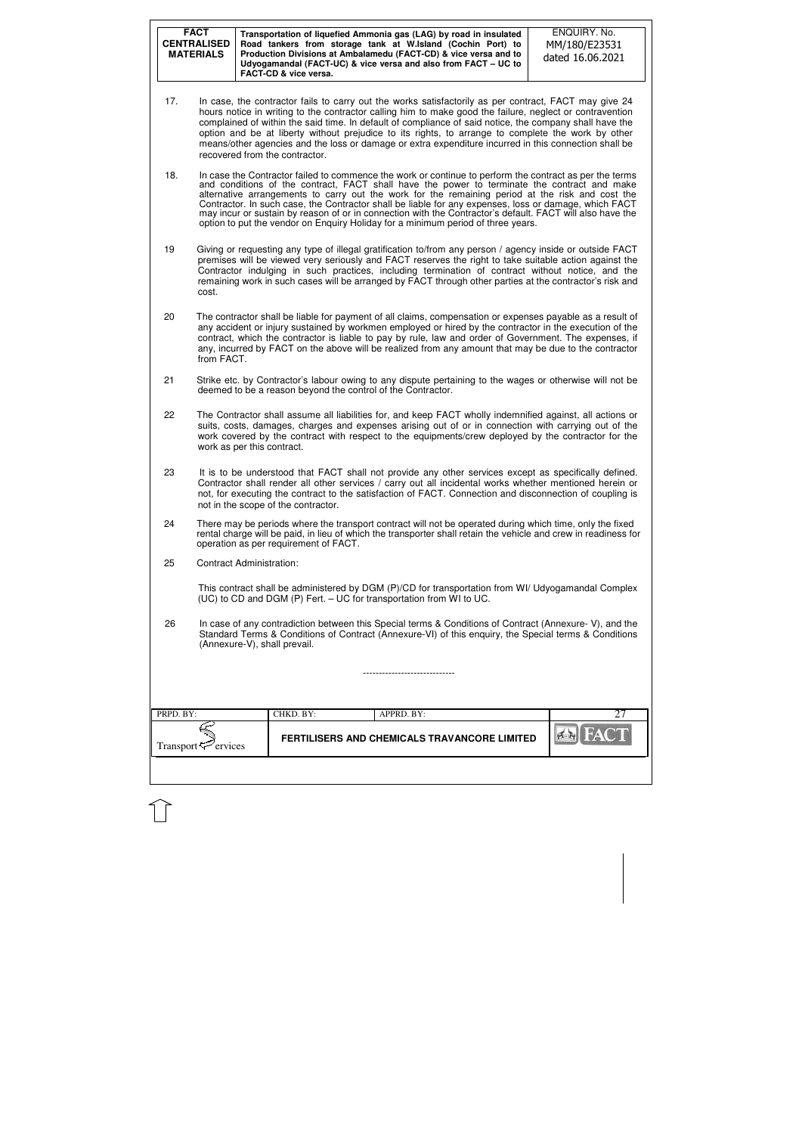|           | <b>FACT</b><br><b>CENTRALISED</b><br><b>MATERIALS</b>                                                                                                                                                                                                                                                                                                                                                                                                                                                                                                                                                                 |  | Transportation of liquefied Ammonia gas (LAG) by road in insulated<br>Road tankers from storage tank at W.Island (Cochin Port) to<br>Production Divisions at Ambalamedu (FACT-CD) & vice versa and to<br>Udyogamandal (FACT-UC) & vice versa and also from FACT - UC to<br>FACT-CD & vice versa. |  |            |                                              | ENQUIRY. No.<br>MM/180/E23531<br>dated 16.06.2021                                                                                                                                                                                                                                                                                                                                                                                                                                                                                           |    |
|-----------|-----------------------------------------------------------------------------------------------------------------------------------------------------------------------------------------------------------------------------------------------------------------------------------------------------------------------------------------------------------------------------------------------------------------------------------------------------------------------------------------------------------------------------------------------------------------------------------------------------------------------|--|--------------------------------------------------------------------------------------------------------------------------------------------------------------------------------------------------------------------------------------------------------------------------------------------------|--|------------|----------------------------------------------|---------------------------------------------------------------------------------------------------------------------------------------------------------------------------------------------------------------------------------------------------------------------------------------------------------------------------------------------------------------------------------------------------------------------------------------------------------------------------------------------------------------------------------------------|----|
| 17.       |                                                                                                                                                                                                                                                                                                                                                                                                                                                                                                                                                                                                                       |  | recovered from the contractor.                                                                                                                                                                                                                                                                   |  |            |                                              | In case, the contractor fails to carry out the works satisfactorily as per contract, FACT may give 24<br>hours notice in writing to the contractor calling him to make good the failure, neglect or contravention<br>complained of within the said time. In default of compliance of said notice, the company shall have the<br>option and be at liberty without prejudice to its rights, to arrange to complete the work by other<br>means/other agencies and the loss or damage or extra expenditure incurred in this connection shall be |    |
| 18.       | In case the Contractor failed to commence the work or continue to perform the contract as per the terms<br>and conditions of the contract, FACT shall have the power to terminate the contract and make<br>alternative arrangements to carry out the work for the remaining period at the risk and cost the<br>Contractor. In such case, the Contractor shall be liable for any expenses, loss or damage, which FACT<br>may incur or sustain by reason of or in connection with the Contractor's default. FACT will also have the<br>option to put the vendor on Enquiry Holiday for a minimum period of three years. |  |                                                                                                                                                                                                                                                                                                  |  |            |                                              |                                                                                                                                                                                                                                                                                                                                                                                                                                                                                                                                             |    |
| 19        | cost.                                                                                                                                                                                                                                                                                                                                                                                                                                                                                                                                                                                                                 |  |                                                                                                                                                                                                                                                                                                  |  |            |                                              | Giving or requesting any type of illegal gratification to/from any person / agency inside or outside FACT<br>premises will be viewed very seriously and FACT reserves the right to take suitable action against the<br>Contractor indulging in such practices, including termination of contract without notice, and the<br>remaining work in such cases will be arranged by FACT through other parties at the contractor's risk and                                                                                                        |    |
| 20        | from FACT.                                                                                                                                                                                                                                                                                                                                                                                                                                                                                                                                                                                                            |  |                                                                                                                                                                                                                                                                                                  |  |            |                                              | The contractor shall be liable for payment of all claims, compensation or expenses payable as a result of<br>any accident or injury sustained by workmen employed or hired by the contractor in the execution of the<br>contract, which the contractor is liable to pay by rule, law and order of Government. The expenses, if<br>any, incurred by FACT on the above will be realized from any amount that may be due to the contractor                                                                                                     |    |
| 21        |                                                                                                                                                                                                                                                                                                                                                                                                                                                                                                                                                                                                                       |  | deemed to be a reason beyond the control of the Contractor.                                                                                                                                                                                                                                      |  |            |                                              | Strike etc. by Contractor's labour owing to any dispute pertaining to the wages or otherwise will not be                                                                                                                                                                                                                                                                                                                                                                                                                                    |    |
| 22        | work as per this contract.                                                                                                                                                                                                                                                                                                                                                                                                                                                                                                                                                                                            |  |                                                                                                                                                                                                                                                                                                  |  |            |                                              | The Contractor shall assume all liabilities for, and keep FACT wholly indemnified against, all actions or<br>suits, costs, damages, charges and expenses arising out of or in connection with carrying out of the<br>work covered by the contract with respect to the equipments/crew deployed by the contractor for the                                                                                                                                                                                                                    |    |
| 23        | It is to be understood that FACT shall not provide any other services except as specifically defined.<br>Contractor shall render all other services / carry out all incidental works whether mentioned herein or<br>not, for executing the contract to the satisfaction of FACT. Connection and disconnection of coupling is<br>not in the scope of the contractor.                                                                                                                                                                                                                                                   |  |                                                                                                                                                                                                                                                                                                  |  |            |                                              |                                                                                                                                                                                                                                                                                                                                                                                                                                                                                                                                             |    |
| 24        |                                                                                                                                                                                                                                                                                                                                                                                                                                                                                                                                                                                                                       |  | operation as per requirement of FACT.                                                                                                                                                                                                                                                            |  |            |                                              | There may be periods where the transport contract will not be operated during which time, only the fixed<br>rental charge will be paid, in lieu of which the transporter shall retain the vehicle and crew in readiness for                                                                                                                                                                                                                                                                                                                 |    |
| 25        | <b>Contract Administration:</b>                                                                                                                                                                                                                                                                                                                                                                                                                                                                                                                                                                                       |  |                                                                                                                                                                                                                                                                                                  |  |            |                                              |                                                                                                                                                                                                                                                                                                                                                                                                                                                                                                                                             |    |
|           |                                                                                                                                                                                                                                                                                                                                                                                                                                                                                                                                                                                                                       |  | (UC) to CD and DGM (P) Fert. - UC for transportation from WI to UC.                                                                                                                                                                                                                              |  |            |                                              | This contract shall be administered by DGM (P)/CD for transportation from WI/ Udyogamandal Complex                                                                                                                                                                                                                                                                                                                                                                                                                                          |    |
| 26        |                                                                                                                                                                                                                                                                                                                                                                                                                                                                                                                                                                                                                       |  | (Annexure-V), shall prevail.                                                                                                                                                                                                                                                                     |  |            |                                              | In case of any contradiction between this Special terms & Conditions of Contract (Annexure-V), and the<br>Standard Terms & Conditions of Contract (Annexure-VI) of this enquiry, the Special terms & Conditions                                                                                                                                                                                                                                                                                                                             |    |
|           |                                                                                                                                                                                                                                                                                                                                                                                                                                                                                                                                                                                                                       |  |                                                                                                                                                                                                                                                                                                  |  |            |                                              |                                                                                                                                                                                                                                                                                                                                                                                                                                                                                                                                             |    |
| PRPD. BY: |                                                                                                                                                                                                                                                                                                                                                                                                                                                                                                                                                                                                                       |  | CHKD. BY:                                                                                                                                                                                                                                                                                        |  | APPRD. BY: |                                              |                                                                                                                                                                                                                                                                                                                                                                                                                                                                                                                                             | 27 |
|           | Transport $\approx$ ervices                                                                                                                                                                                                                                                                                                                                                                                                                                                                                                                                                                                           |  |                                                                                                                                                                                                                                                                                                  |  |            | FERTILISERS AND CHEMICALS TRAVANCORE LIMITED |                                                                                                                                                                                                                                                                                                                                                                                                                                                                                                                                             |    |
|           |                                                                                                                                                                                                                                                                                                                                                                                                                                                                                                                                                                                                                       |  |                                                                                                                                                                                                                                                                                                  |  |            |                                              |                                                                                                                                                                                                                                                                                                                                                                                                                                                                                                                                             |    |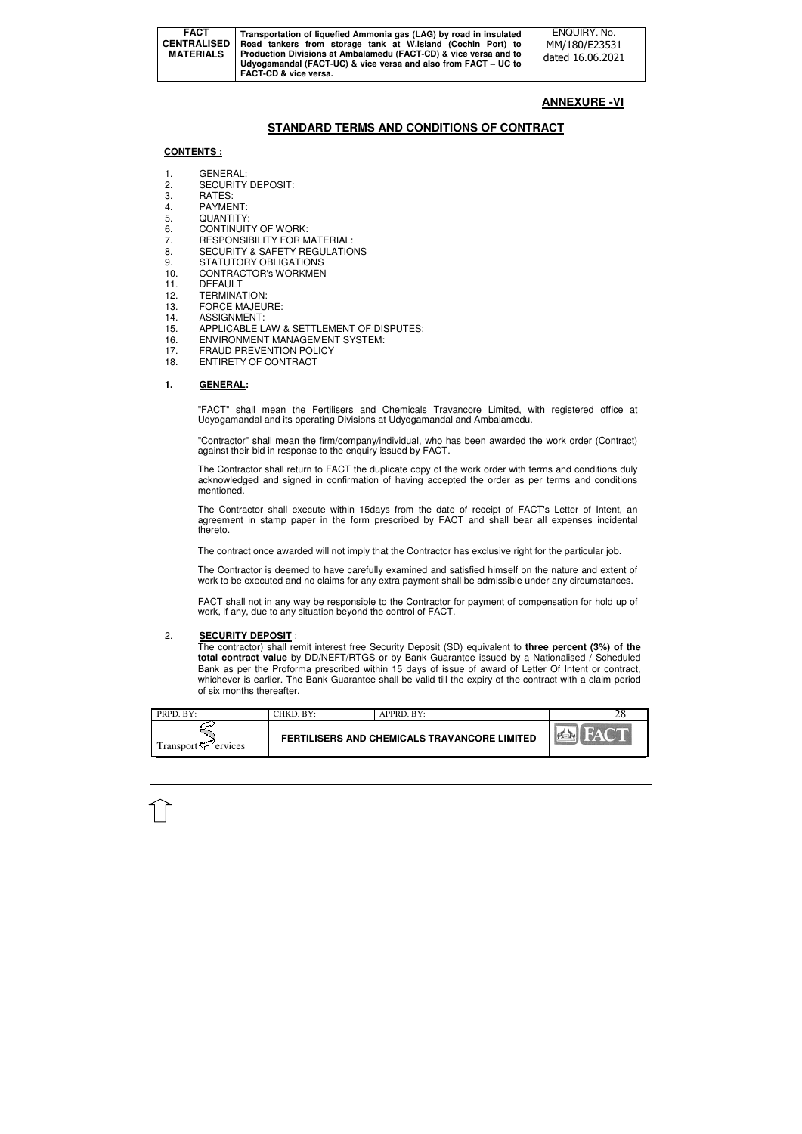| <b>FACT</b><br><b>CENTRALISED</b><br><b>MATERIALS</b> | Transportation of liquefied Ammonia gas (LAG) by road in insulated<br>Road tankers from storage tank at W.Island (Cochin Port) to<br>Production Divisions at Ambalamedu (FACT-CD) & vice versa and to<br>Udyogamandal (FACT-UC) & vice versa and also from FACT - UC to<br><b>FACT-CD &amp; vice versa.</b> | ENQUIRY. No.<br>MM/180/E23531<br>dated 16.06.2021 |
|-------------------------------------------------------|-------------------------------------------------------------------------------------------------------------------------------------------------------------------------------------------------------------------------------------------------------------------------------------------------------------|---------------------------------------------------|
|-------------------------------------------------------|-------------------------------------------------------------------------------------------------------------------------------------------------------------------------------------------------------------------------------------------------------------------------------------------------------------|---------------------------------------------------|

|                             | CHKD. BY: | APPRD. BY:                                   |  |
|-----------------------------|-----------|----------------------------------------------|--|
| <b>Transport</b><br>ervices |           | FERTILISERS AND CHEMICALS TRAVANCORE LIMITED |  |

# **ANNEXURE -VI**

## **STANDARD TERMS AND CONDITIONS OF CONTRACT**

#### **CONTENTS :**

- 1. GENERAL:
- 2. SECURITY DEPOSIT:<br>3. RATES:
- RATES:
- 4. PAYMENT:
- 5. QUANTITY:
- 6. CONTINUITY OF WORK:
- 7. RESPONSIBILITY FOR MATERIAL:
- 8. SECURITY & SAFETY REGULATIONS
- 9. STATUTORY OBLIGATIONS
- 10. CONTRACTOR's WORKMEN
- 11. DEFAULT
- 12. TERMINATION:
- 13. FORCE MAJEURE:
- 14. ASSIGNMENT:
- 15. APPLICABLE LAW & SETTLEMENT OF DISPUTES:
- 16. ENVIRONMENT MANAGEMENT SYSTEM:
- 17. FRAUD PREVENTION POLICY
- 18. ENTIRETY OF CONTRACT

#### **1. GENERAL:**

"FACT" shall mean the Fertilisers and Chemicals Travancore Limited, with registered office at Udyogamandal and its operating Divisions at Udyogamandal and Ambalamedu.

"Contractor" shall mean the firm/company/individual, who has been awarded the work order (Contract) against their bid in response to the enquiry issued by FACT.

The Contractor shall return to FACT the duplicate copy of the work order with terms and conditions duly acknowledged and signed in confirmation of having accepted the order as per terms and conditions mentioned.

The Contractor shall execute within 15days from the date of receipt of FACT's Letter of Intent, an agreement in stamp paper in the form prescribed by FACT and shall bear all expenses incidental thereto.

The contract once awarded will not imply that the Contractor has exclusive right for the particular job.

The Contractor is deemed to have carefully examined and satisfied himself on the nature and extent of work to be executed and no claims for any extra payment shall be admissible under any circumstances.

FACT shall not in any way be responsible to the Contractor for payment of compensation for hold up of work, if any, due to any situation beyond the control of FACT.

#### 2. **SECURITY DEPOSIT** :

The contractor) shall remit interest free Security Deposit (SD) equivalent to **three percent (3%) of the total contract value** by DD/NEFT/RTGS or by Bank Guarantee issued by a Nationalised / Scheduled Bank as per the Proforma prescribed within 15 days of issue of award of Letter Of Intent or contract, whichever is earlier. The Bank Guarantee shall be valid till the expiry of the contract with a claim period of six months thereafter.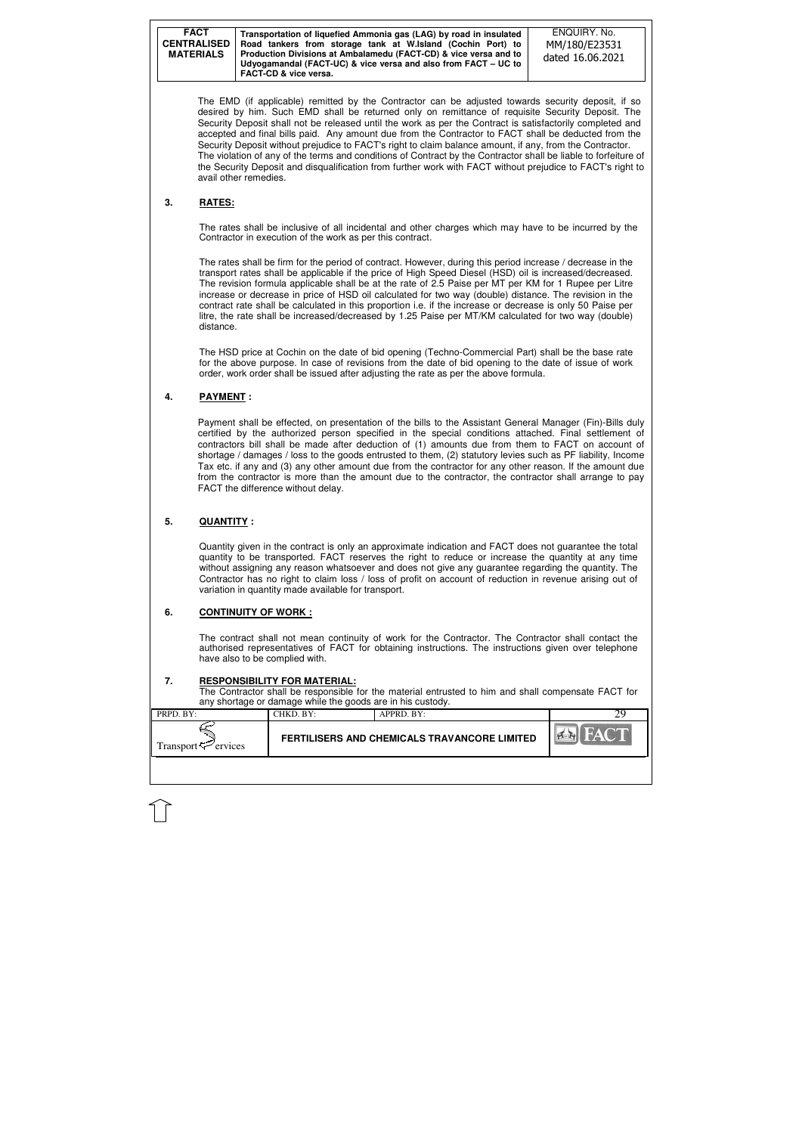| <b>FACT</b><br><b>CENTRALISED</b><br><b>MATERIALS</b> | Transportation of liquefied Ammonia gas (LAG) by road in insulated<br>Road tankers from storage tank at W.Island (Cochin Port) to<br>Production Divisions at Ambalamedu (FACT-CD) & vice versa and to<br>Udyogamandal (FACT-UC) & vice versa and also from FACT – UC to | ENQUIRY, No.<br>MM/180/E23531<br>dated 16.06.2021 |
|-------------------------------------------------------|-------------------------------------------------------------------------------------------------------------------------------------------------------------------------------------------------------------------------------------------------------------------------|---------------------------------------------------|
|                                                       | <b>FACT-CD &amp; vice versa.</b>                                                                                                                                                                                                                                        |                                                   |

| PRPD. BY:           | CHKD. BY: | $APPRD$ . BY:                                       |  |
|---------------------|-----------|-----------------------------------------------------|--|
| Transport — ervices |           | <b>FERTILISERS AND CHEMICALS TRAVANCORE LIMITED</b> |  |
|                     |           |                                                     |  |

The EMD (if applicable) remitted by the Contractor can be adjusted towards security deposit, if so desired by him. Such EMD shall be returned only on remittance of requisite Security Deposit. The Security Deposit shall not be released until the work as per the Contract is satisfactorily completed and accepted and final bills paid. Any amount due from the Contractor to FACT shall be deducted from the Security Deposit without prejudice to FACT's right to claim balance amount, if any, from the Contractor. The violation of any of the terms and conditions of Contract by the Contractor shall be liable to forfeiture of the Security Deposit and disqualification from further work with FACT without prejudice to FACT's right to avail other remedies.

### **3. RATES:**

The rates shall be inclusive of all incidental and other charges which may have to be incurred by the Contractor in execution of the work as per this contract.

The rates shall be firm for the period of contract. However, during this period increase / decrease in the transport rates shall be applicable if the price of High Speed Diesel (HSD) oil is increased/decreased. The revision formula applicable shall be at the rate of 2.5 Paise per MT per KM for 1 Rupee per Litre increase or decrease in price of HSD oil calculated for two way (double) distance. The revision in the contract rate shall be calculated in this proportion i.e. if the increase or decrease is only 50 Paise per litre, the rate shall be increased/decreased by 1.25 Paise per MT/KM calculated for two way (double) distance.

The HSD price at Cochin on the date of bid opening (Techno-Commercial Part) shall be the base rate for the above purpose. In case of revisions from the date of bid opening to the date of issue of work order, work order shall be issued after adjusting the rate as per the above formula.

### **4. PAYMENT :**

Payment shall be effected, on presentation of the bills to the Assistant General Manager (Fin)-Bills duly certified by the authorized person specified in the special conditions attached. Final settlement of contractors bill shall be made after deduction of (1) amounts due from them to FACT on account of shortage / damages / loss to the goods entrusted to them, (2) statutory levies such as PF liability, Income Tax etc. if any and (3) any other amount due from the contractor for any other reason. If the amount due from the contractor is more than the amount due to the contractor, the contractor shall arrange to pay FACT the difference without delay.

### **5. QUANTITY :**

Quantity given in the contract is only an approximate indication and FACT does not guarantee the total quantity to be transported. FACT reserves the right to reduce or increase the quantity at any time without assigning any reason whatsoever and does not give any guarantee regarding the quantity. The Contractor has no right to claim loss / loss of profit on account of reduction in revenue arising out of variation in quantity made available for transport.

### **6. CONTINUITY OF WORK :**

The contract shall not mean continuity of work for the Contractor. The Contractor shall contact the authorised representatives of FACT for obtaining instructions. The instructions given over telephone have also to be complied with.

### **7. RESPONSIBILITY FOR MATERIAL:**

The Contractor shall be responsible for the material entrusted to him and shall compensate FACT for any shortage or damage while the goods are in his custody.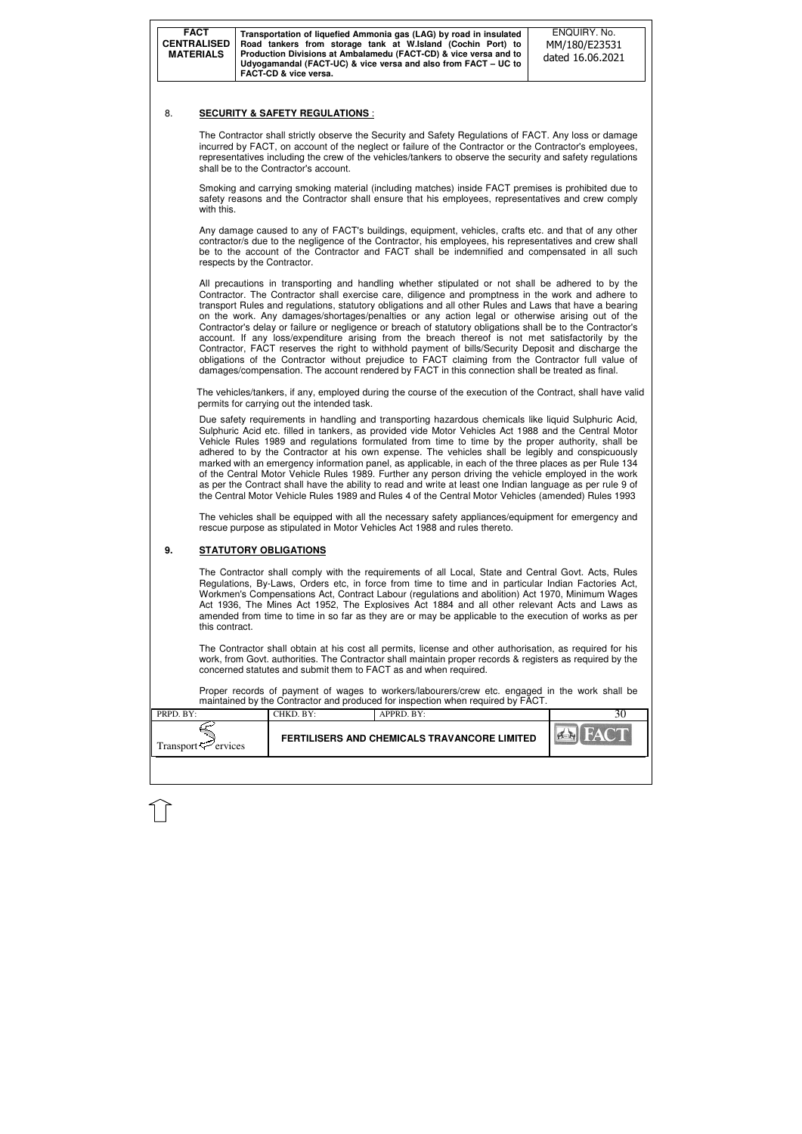| PRPD. BY:                       | CHKD. BY:- | APPRD. BY:                                          |  |
|---------------------------------|------------|-----------------------------------------------------|--|
| Transport <sup>-C</sup> ervices |            | <b>FERTILISERS AND CHEMICALS TRAVANCORE LIMITED</b> |  |
|                                 |            |                                                     |  |

Smoking and carrying smoking material (including matches) inside FACT premises is prohibited due to safety reasons and the Contractor shall ensure that his employees, representatives and crew comply with this.

### 8. **SECURITY & SAFETY REGULATIONS** :

The Contractor shall strictly observe the Security and Safety Regulations of FACT. Any loss or damage incurred by FACT, on account of the neglect or failure of the Contractor or the Contractor's employees, representatives including the crew of the vehicles/tankers to observe the security and safety regulations shall be to the Contractor's account.

Any damage caused to any of FACT's buildings, equipment, vehicles, crafts etc. and that of any other contractor/s due to the negligence of the Contractor, his employees, his representatives and crew shall be to the account of the Contractor and FACT shall be indemnified and compensated in all such respects by the Contractor.

All precautions in transporting and handling whether stipulated or not shall be adhered to by the Contractor. The Contractor shall exercise care, diligence and promptness in the work and adhere to transport Rules and regulations, statutory obligations and all other Rules and Laws that have a bearing on the work. Any damages/shortages/penalties or any action legal or otherwise arising out of the Contractor's delay or failure or negligence or breach of statutory obligations shall be to the Contractor's account. If any loss/expenditure arising from the breach thereof is not met satisfactorily by the Contractor, FACT reserves the right to withhold payment of bills/Security Deposit and discharge the obligations of the Contractor without prejudice to FACT claiming from the Contractor full value of damages/compensation. The account rendered by FACT in this connection shall be treated as final.

 The vehicles/tankers, if any, employed during the course of the execution of the Contract, shall have valid permits for carrying out the intended task.

Due safety requirements in handling and transporting hazardous chemicals like liquid Sulphuric Acid, Sulphuric Acid etc. filled in tankers, as provided vide Motor Vehicles Act 1988 and the Central Motor Vehicle Rules 1989 and regulations formulated from time to time by the proper authority, shall be adhered to by the Contractor at his own expense. The vehicles shall be legibly and conspicuously marked with an emergency information panel, as applicable, in each of the three places as per Rule 134 of the Central Motor Vehicle Rules 1989. Further any person driving the vehicle employed in the work as per the Contract shall have the ability to read and write at least one Indian language as per rule 9 of the Central Motor Vehicle Rules 1989 and Rules 4 of the Central Motor Vehicles (amended) Rules 1993

The vehicles shall be equipped with all the necessary safety appliances/equipment for emergency and rescue purpose as stipulated in Motor Vehicles Act 1988 and rules thereto.

### **9. STATUTORY OBLIGATIONS**

The Contractor shall comply with the requirements of all Local, State and Central Govt. Acts, Rules Regulations, By-Laws, Orders etc, in force from time to time and in particular Indian Factories Act, Workmen's Compensations Act, Contract Labour (regulations and abolition) Act 1970, Minimum Wages Act 1936, The Mines Act 1952, The Explosives Act 1884 and all other relevant Acts and Laws as amended from time to time in so far as they are or may be applicable to the execution of works as per this contract.

The Contractor shall obtain at his cost all permits, license and other authorisation, as required for his work, from Govt. authorities. The Contractor shall maintain proper records & registers as required by the concerned statutes and submit them to FACT as and when required.

Proper records of payment of wages to workers/labourers/crew etc. engaged in the work shall be maintained by the Contractor and produced for inspection when required by FACT.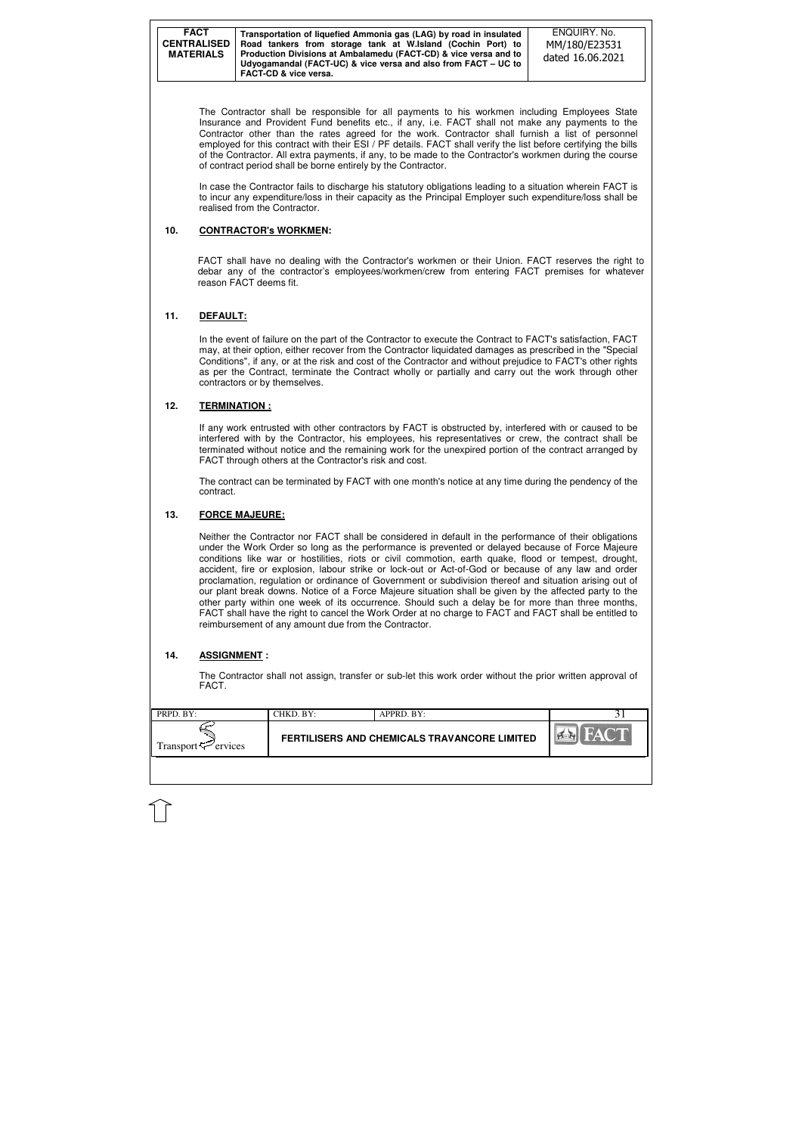| <b>FACT</b><br><b>CENTRALISED</b><br><b>MATERIALS</b> | Transportation of liquefied Ammonia gas (LAG) by road in insulated<br>Road tankers from storage tank at W.Island (Cochin Port) to<br>Production Divisions at Ambalamedu (FACT-CD) & vice versa and to<br>Udyogamandal (FACT-UC) & vice versa and also from FACT - UC to<br><b>FACT-CD &amp; vice versa.</b> | ENQUIRY, No.<br>MM/180/E23531<br>dated 16.06.2021 |
|-------------------------------------------------------|-------------------------------------------------------------------------------------------------------------------------------------------------------------------------------------------------------------------------------------------------------------------------------------------------------------|---------------------------------------------------|
|-------------------------------------------------------|-------------------------------------------------------------------------------------------------------------------------------------------------------------------------------------------------------------------------------------------------------------------------------------------------------------|---------------------------------------------------|

| FERTILISERS AND CHEMICALS TRAVANCORE LIMITED<br>Transport $\approx$ ervices | $\blacksquare$ PRPD. BY: | CHKD. BY: | APPRD. BY: |  |
|-----------------------------------------------------------------------------|--------------------------|-----------|------------|--|
|                                                                             |                          |           |            |  |

The Contractor shall be responsible for all payments to his workmen including Employees State Insurance and Provident Fund benefits etc., if any, i.e. FACT shall not make any payments to the Contractor other than the rates agreed for the work. Contractor shall furnish a list of personnel employed for this contract with their ESI / PF details. FACT shall verify the list before certifying the bills of the Contractor. All extra payments, if any, to be made to the Contractor's workmen during the course of contract period shall be borne entirely by the Contractor.

In the event of failure on the part of the Contractor to execute the Contract to FACT's satisfaction, FACT may, at their option, either recover from the Contractor liquidated damages as prescribed in the "Special Conditions", if any, or at the risk and cost of the Contractor and without prejudice to FACT's other rights as per the Contract, terminate the Contract wholly or partially and carry out the work through other contractors or by themselves.

In case the Contractor fails to discharge his statutory obligations leading to a situation wherein FACT is to incur any expenditure/loss in their capacity as the Principal Employer such expenditure/loss shall be realised from the Contractor.

### **10. CONTRACTOR's WORKMEN:**

FACT shall have no dealing with the Contractor's workmen or their Union. FACT reserves the right to debar any of the contractor's employees/workmen/crew from entering FACT premises for whatever reason FACT deems fit.

### **11. DEFAULT:**

### **12. TERMINATION :**

If any work entrusted with other contractors by FACT is obstructed by, interfered with or caused to be interfered with by the Contractor, his employees, his representatives or crew, the contract shall be terminated without notice and the remaining work for the unexpired portion of the contract arranged by FACT through others at the Contractor's risk and cost.

The contract can be terminated by FACT with one month's notice at any time during the pendency of the contract.

## **13. FORCE MAJEURE:**

Neither the Contractor nor FACT shall be considered in default in the performance of their obligations under the Work Order so long as the performance is prevented or delayed because of Force Majeure conditions like war or hostilities, riots or civil commotion, earth quake, flood or tempest, drought, accident, fire or explosion, labour strike or lock-out or Act-of-God or because of any law and order proclamation, regulation or ordinance of Government or subdivision thereof and situation arising out of our plant break downs. Notice of a Force Majeure situation shall be given by the affected party to the other party within one week of its occurrence. Should such a delay be for more than three months, FACT shall have the right to cancel the Work Order at no charge to FACT and FACT shall be entitled to reimbursement of any amount due from the Contractor.

## **14. ASSIGNMENT :**

The Contractor shall not assign, transfer or sub-let this work order without the prior written approval of FACT.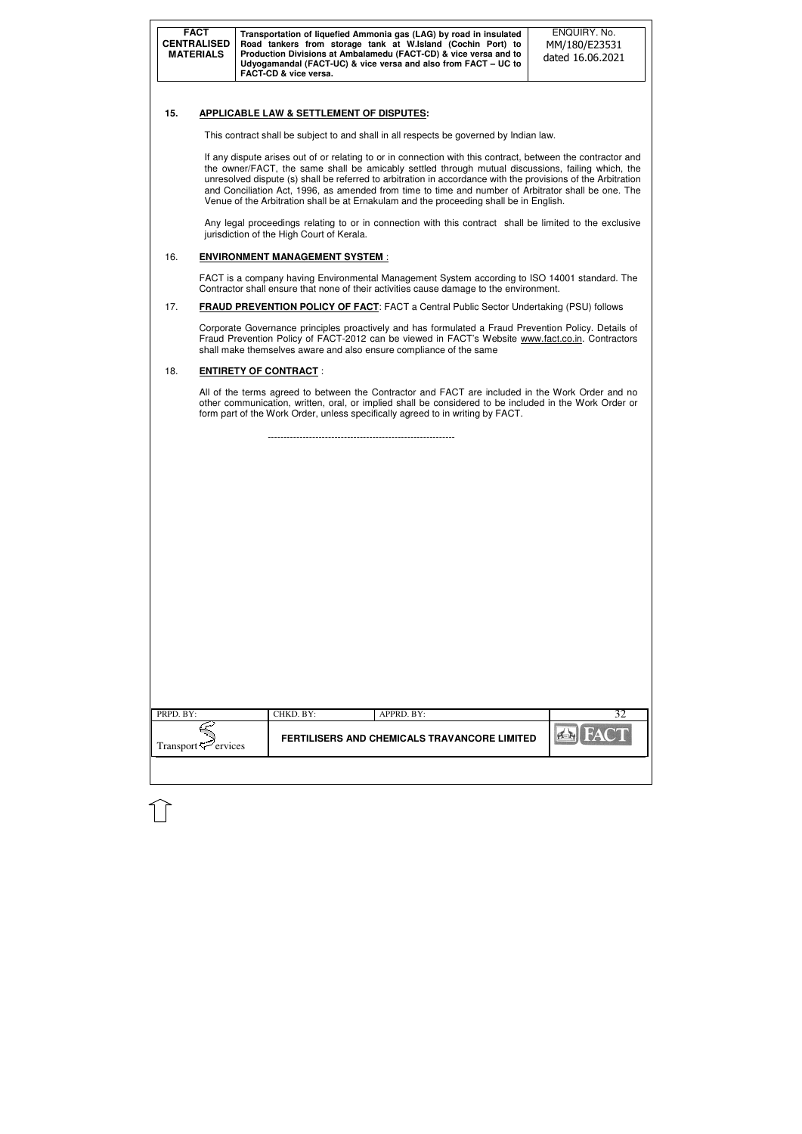| <b>FACT</b><br>Transportation of liquefied Ammonia gas (LAG) by road in insulated<br><b>CENTRALISED</b><br>Road tankers from storage tank at W.Island (Cochin Port) to<br>Production Divisions at Ambalamedu (FACT-CD) & vice versa and to<br><b>MATERIALS</b><br>Udyogamandal (FACT-UC) & vice versa and also from FACT – UC to<br><b>FACT-CD &amp; vice versa.</b> | ENQUIRY, No.<br>MM/180/E23531<br>dated 16.06.2021 |
|----------------------------------------------------------------------------------------------------------------------------------------------------------------------------------------------------------------------------------------------------------------------------------------------------------------------------------------------------------------------|---------------------------------------------------|
|----------------------------------------------------------------------------------------------------------------------------------------------------------------------------------------------------------------------------------------------------------------------------------------------------------------------------------------------------------------------|---------------------------------------------------|

| PRPD. BY:                       | CHKD. BY:                                    | APPRD. BY:     | 32 |
|---------------------------------|----------------------------------------------|----------------|----|
| Transport <sup>ry</sup> ervices | FERTILISERS AND CHEMICALS TRAVANCORE LIMITED | <b>EX</b> FACT |    |

### **15. APPLICABLE LAW & SETTLEMENT OF DISPUTES:**

This contract shall be subject to and shall in all respects be governed by Indian law.

If any dispute arises out of or relating to or in connection with this contract, between the contractor and the owner/FACT, the same shall be amicably settled through mutual discussions, failing which, the unresolved dispute (s) shall be referred to arbitration in accordance with the provisions of the Arbitration and Conciliation Act, 1996, as amended from time to time and number of Arbitrator shall be one. The Venue of the Arbitration shall be at Ernakulam and the proceeding shall be in English.

Any legal proceedings relating to or in connection with this contract shall be limited to the exclusive jurisdiction of the High Court of Kerala.

#### 16. **ENVIRONMENT MANAGEMENT SYSTEM** :

FACT is a company having Environmental Management System according to ISO 14001 standard. The Contractor shall ensure that none of their activities cause damage to the environment.

17. **FRAUD PREVENTION POLICY OF FACT**: FACT a Central Public Sector Undertaking (PSU) follows

Corporate Governance principles proactively and has formulated a Fraud Prevention Policy. Details of Fraud Prevention Policy of FACT-2012 can be viewed in FACT's Website www.fact.co.in. Contractors shall make themselves aware and also ensure compliance of the same

### 18. **ENTIRETY OF CONTRACT** :

All of the terms agreed to between the Contractor and FACT are included in the Work Order and no other communication, written, oral, or implied shall be considered to be included in the Work Order or form part of the Work Order, unless specifically agreed to in writing by FACT.

-----------------------------------------------------------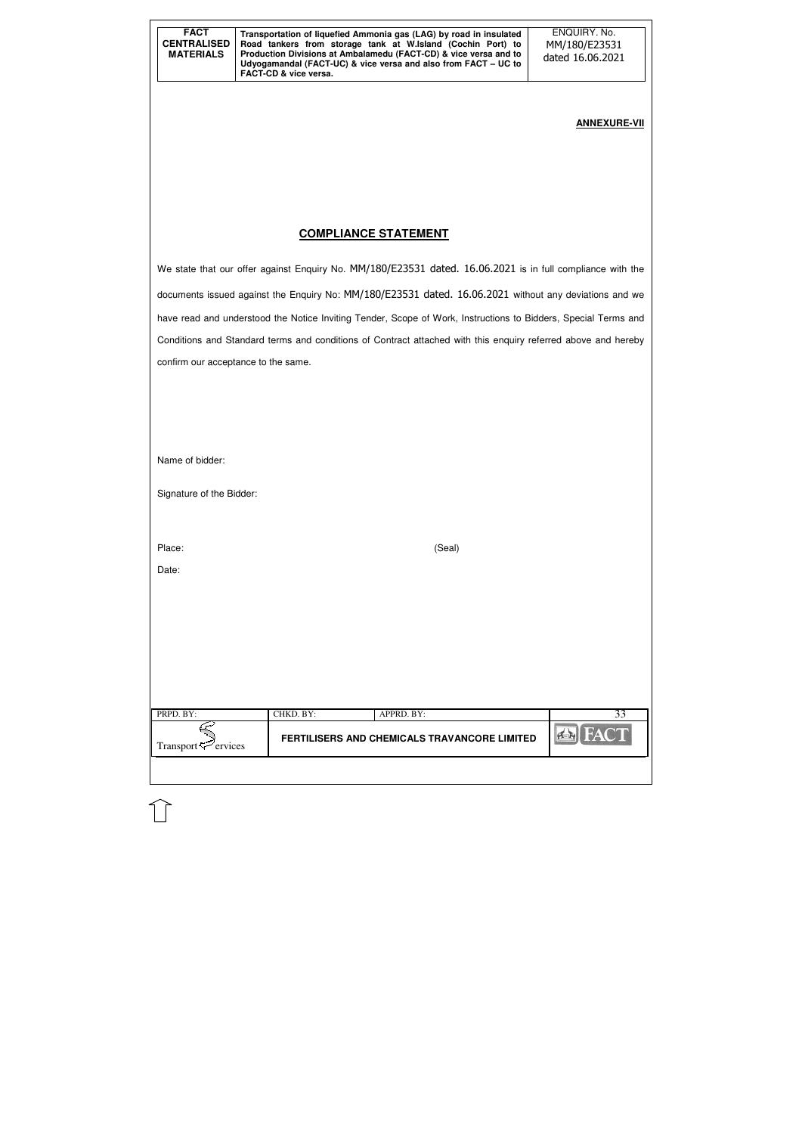| <b>FACT</b><br><b>CENTRALISED</b><br><b>MATERIALS</b> | Transportation of liquefied Ammonia gas (LAG) by road in insulated<br>Road tankers from storage tank at W.Island (Cochin Port) to<br>Production Divisions at Ambalamedu (FACT-CD) & vice versa and to<br>Udyogamandal (FACT-UC) & vice versa and also from FACT – UC to<br><b>FACT-CD &amp; vice versa.</b> | ENQUIRY. No.<br>MM/180/E23531<br>dated 16.06.2021 |
|-------------------------------------------------------|-------------------------------------------------------------------------------------------------------------------------------------------------------------------------------------------------------------------------------------------------------------------------------------------------------------|---------------------------------------------------|
|-------------------------------------------------------|-------------------------------------------------------------------------------------------------------------------------------------------------------------------------------------------------------------------------------------------------------------------------------------------------------------|---------------------------------------------------|

| PRPD. BY:                                        | CHKD. BY: | APPRD. BY:                                          |  |
|--------------------------------------------------|-----------|-----------------------------------------------------|--|
| Transport $\mathbb{Z}^{\mathbb{Z}}$ .<br>ervices |           | <b>FERTILISERS AND CHEMICALS TRAVANCORE LIMITED</b> |  |

# **ANNEXURE-VII**

## **COMPLIANCE STATEMENT**

We state that our offer against Enquiry No. MM/180/E23531 dated. 16.06.2021 is in full compliance with the documents issued against the Enquiry No: MM/180/E23531 dated. 16.06.2021 without any deviations and we have read and understood the Notice Inviting Tender, Scope of Work, Instructions to Bidders, Special Terms and Conditions and Standard terms and conditions of Contract attached with this enquiry referred above and hereby confirm our acceptance to the same.

Name of bidder:

Signature of the Bidder:

Place: (Seal)

Date: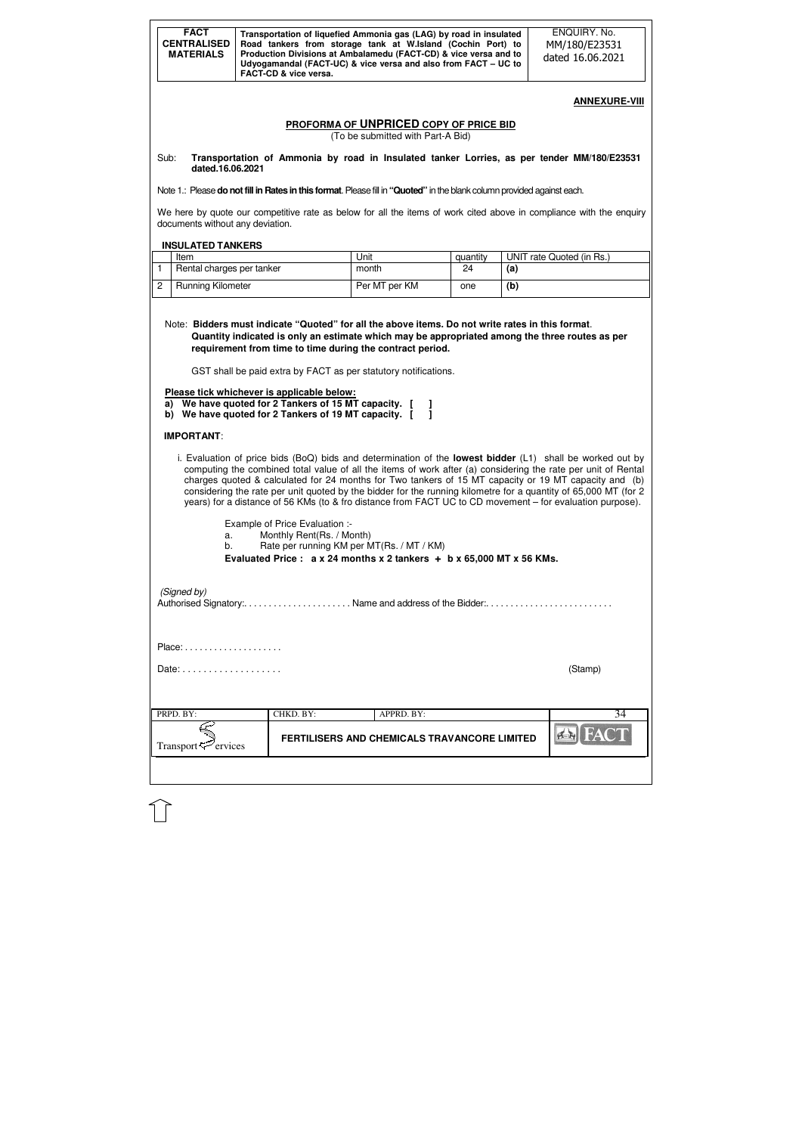|                | <b>FACT</b><br><b>CENTRALISED</b><br><b>MATERIALS</b>      |                                                                                                    | Transportation of liquefied Ammonia gas (LAG) by road in insulated<br>Road tankers from storage tank at W.Island (Cochin Port) to<br>Production Divisions at Ambalamedu (FACT-CD) & vice versa and to<br>Udyogamandal (FACT-UC) & vice versa and also from FACT - UC to                                                                                                                                                                                                                                                                                                                                                                                                                                                                                                                    |          |     | ENQUIRY. No.<br>MM/180/E23531<br>dated 16.06.2021 |
|----------------|------------------------------------------------------------|----------------------------------------------------------------------------------------------------|--------------------------------------------------------------------------------------------------------------------------------------------------------------------------------------------------------------------------------------------------------------------------------------------------------------------------------------------------------------------------------------------------------------------------------------------------------------------------------------------------------------------------------------------------------------------------------------------------------------------------------------------------------------------------------------------------------------------------------------------------------------------------------------------|----------|-----|---------------------------------------------------|
|                |                                                            | FACT-CD & vice versa.                                                                              |                                                                                                                                                                                                                                                                                                                                                                                                                                                                                                                                                                                                                                                                                                                                                                                            |          |     |                                                   |
|                |                                                            |                                                                                                    |                                                                                                                                                                                                                                                                                                                                                                                                                                                                                                                                                                                                                                                                                                                                                                                            |          |     | <b>ANNEXURE-VIII</b>                              |
|                |                                                            |                                                                                                    | PROFORMA OF UNPRICED COPY OF PRICE BID                                                                                                                                                                                                                                                                                                                                                                                                                                                                                                                                                                                                                                                                                                                                                     |          |     |                                                   |
|                |                                                            |                                                                                                    | (To be submitted with Part-A Bid)                                                                                                                                                                                                                                                                                                                                                                                                                                                                                                                                                                                                                                                                                                                                                          |          |     |                                                   |
| Sub:           | dated.16.06.2021                                           |                                                                                                    | Transportation of Ammonia by road in Insulated tanker Lorries, as per tender MM/180/E23531                                                                                                                                                                                                                                                                                                                                                                                                                                                                                                                                                                                                                                                                                                 |          |     |                                                   |
|                |                                                            |                                                                                                    | Note 1.: Please do not fill in Rates in this format. Please fill in "Quoted" in the blank column provided against each.                                                                                                                                                                                                                                                                                                                                                                                                                                                                                                                                                                                                                                                                    |          |     |                                                   |
|                | documents without any deviation.                           |                                                                                                    | We here by quote our competitive rate as below for all the items of work cited above in compliance with the enquiry                                                                                                                                                                                                                                                                                                                                                                                                                                                                                                                                                                                                                                                                        |          |     |                                                   |
|                | <b>INSULATED TANKERS</b>                                   |                                                                                                    |                                                                                                                                                                                                                                                                                                                                                                                                                                                                                                                                                                                                                                                                                                                                                                                            |          |     |                                                   |
|                | Item                                                       |                                                                                                    | Unit                                                                                                                                                                                                                                                                                                                                                                                                                                                                                                                                                                                                                                                                                                                                                                                       | quantity |     | UNIT rate Quoted (in Rs.)                         |
| $\mathbf{1}$   | Rental charges per tanker                                  |                                                                                                    | month                                                                                                                                                                                                                                                                                                                                                                                                                                                                                                                                                                                                                                                                                                                                                                                      | 24       | (a) |                                                   |
| $\overline{2}$ | <b>Running Kilometer</b>                                   |                                                                                                    | Per MT per KM                                                                                                                                                                                                                                                                                                                                                                                                                                                                                                                                                                                                                                                                                                                                                                              | one      | (b) |                                                   |
|                |                                                            | Please tick whichever is applicable below:<br>a) We have quoted for 2 Tankers of 15 MT capacity. [ | requirement from time to time during the contract period.<br>GST shall be paid extra by FACT as per statutory notifications.                                                                                                                                                                                                                                                                                                                                                                                                                                                                                                                                                                                                                                                               |          |     |                                                   |
|                | <b>IMPORTANT:</b><br>a.<br>b.                              | Example of Price Evaluation :-<br>Monthly Rent(Rs. / Month)                                        | b) We have quoted for 2 Tankers of 19 MT capacity. [<br>i. Evaluation of price bids (BoQ) bids and determination of the <b>lowest bidder</b> (L1) shall be worked out by<br>computing the combined total value of all the items of work after (a) considering the rate per unit of Rental<br>charges quoted & calculated for 24 months for Two tankers of 15 MT capacity or 19 MT capacity and (b)<br>considering the rate per unit quoted by the bidder for the running kilometre for a quantity of 65,000 MT (for 2<br>years) for a distance of 56 KMs (to & fro distance from FACT UC to CD movement – for evaluation purpose).<br>Rate per running KM per MT(Rs. / MT / KM)<br>Evaluated Price : $a \times 24$ months $x \times 2$ tankers + b $x \times 65,000$ MT $x \times 56$ KMs. |          |     |                                                   |
|                | (Signed by)                                                |                                                                                                    | Authorised Signatory:Name and address of the Bidder:                                                                                                                                                                                                                                                                                                                                                                                                                                                                                                                                                                                                                                                                                                                                       |          |     |                                                   |
|                |                                                            |                                                                                                    |                                                                                                                                                                                                                                                                                                                                                                                                                                                                                                                                                                                                                                                                                                                                                                                            |          |     |                                                   |
|                | Date: $\ldots$ , $\ldots$ , $\ldots$ , $\ldots$ , $\ldots$ |                                                                                                    |                                                                                                                                                                                                                                                                                                                                                                                                                                                                                                                                                                                                                                                                                                                                                                                            |          |     | (Stamp)                                           |
|                | PRPD. BY:                                                  | CHKD. BY:                                                                                          | APPRD. BY:                                                                                                                                                                                                                                                                                                                                                                                                                                                                                                                                                                                                                                                                                                                                                                                 |          |     | 34                                                |

 $\begin{picture}(150,10) \put(0,0){\line(1,0){10}} \put(15,0){\line(1,0){10}} \put(15,0){\line(1,0){10}} \put(15,0){\line(1,0){10}} \put(15,0){\line(1,0){10}} \put(15,0){\line(1,0){10}} \put(15,0){\line(1,0){10}} \put(15,0){\line(1,0){10}} \put(15,0){\line(1,0){10}} \put(15,0){\line(1,0){10}} \put(15,0){\line(1,0){10}} \put(15,0){\line($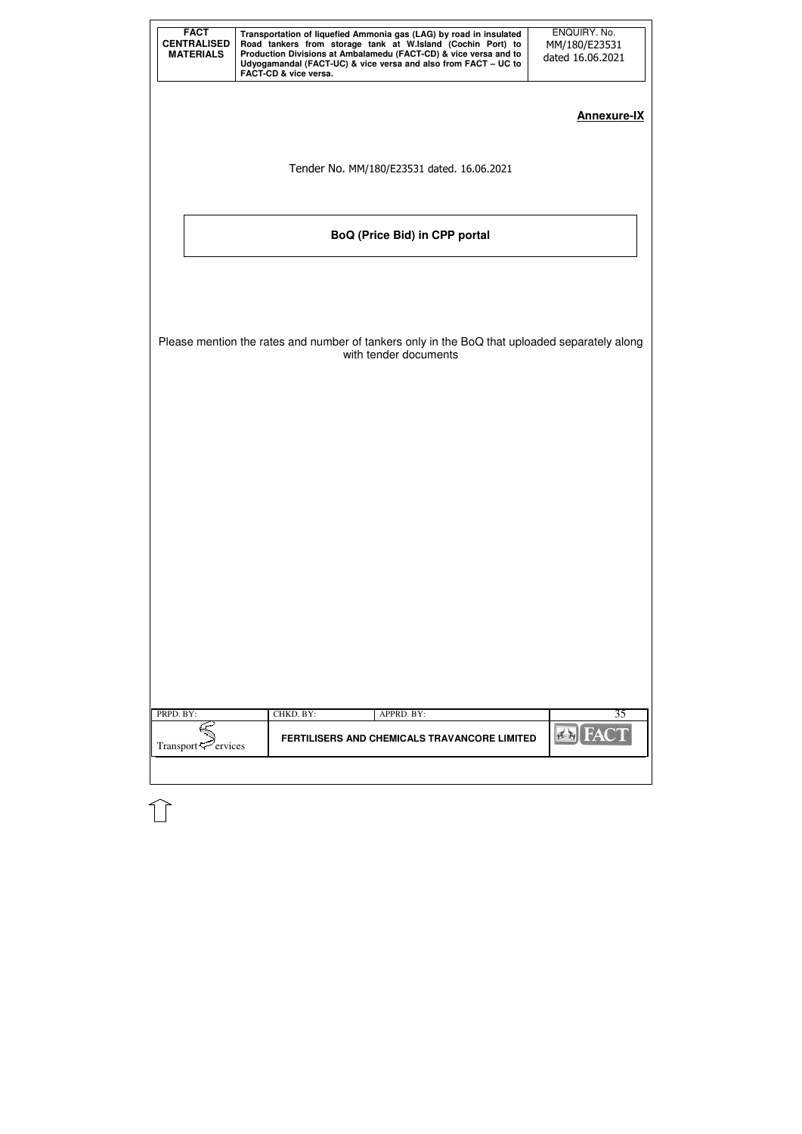| <b>FACT</b><br><b>CENTRALISED</b><br><b>MATERIALS</b> | Transportation of liquefied Ammonia gas (LAG) by road in insulated<br>Road tankers from storage tank at W.Island (Cochin Port) to<br>Production Divisions at Ambalamedu (FACT-CD) & vice versa and to<br>Udyogamandal (FACT-UC) & vice versa and also from FACT - UC to<br>FACT-CD & vice versa. | ENQUIRY. No.<br>MM/180/E23531<br>dated 16.06.2021 |
|-------------------------------------------------------|--------------------------------------------------------------------------------------------------------------------------------------------------------------------------------------------------------------------------------------------------------------------------------------------------|---------------------------------------------------|
|                                                       |                                                                                                                                                                                                                                                                                                  | <b>Annexure-IX</b>                                |
|                                                       | Tender No. MM/180/E23531 dated. 16.06.2021                                                                                                                                                                                                                                                       |                                                   |
|                                                       | <b>BoQ (Price Bid) in CPP portal</b>                                                                                                                                                                                                                                                             |                                                   |
|                                                       |                                                                                                                                                                                                                                                                                                  |                                                   |
|                                                       | Please mention the rates and number of tankers only in the BoQ that uploaded separately along<br>with tender documents                                                                                                                                                                           |                                                   |
|                                                       |                                                                                                                                                                                                                                                                                                  |                                                   |
|                                                       |                                                                                                                                                                                                                                                                                                  |                                                   |
|                                                       |                                                                                                                                                                                                                                                                                                  |                                                   |
|                                                       |                                                                                                                                                                                                                                                                                                  |                                                   |
|                                                       |                                                                                                                                                                                                                                                                                                  |                                                   |
| PRPD. BY:                                             | CHKD. BY:<br>APPRD. BY:                                                                                                                                                                                                                                                                          | 35                                                |
| Transport <sup>7</sup> ervices                        | FERTILISERS AND CHEMICALS TRAVANCORE LIMITED                                                                                                                                                                                                                                                     | BA                                                |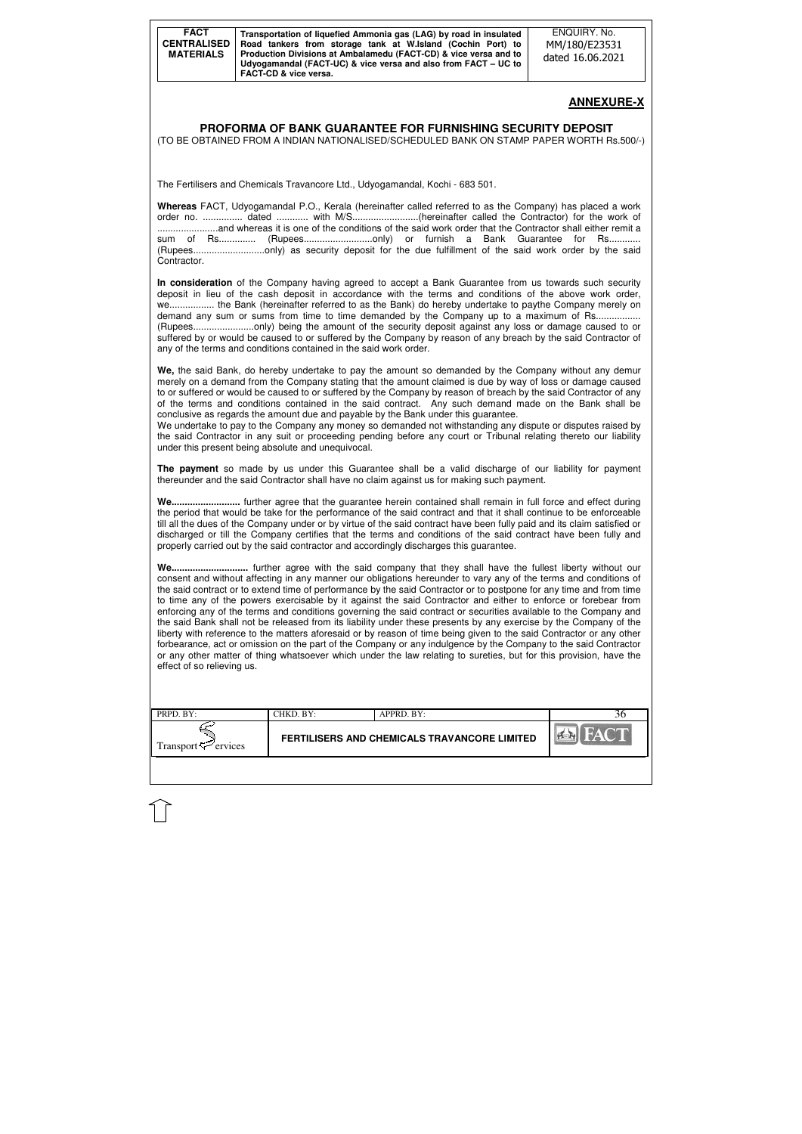| <b>FACT</b><br><b>CENTRALISED</b><br><b>MATERIALS</b> | Transportation of liquefied Ammonia gas (LAG) by road in insulated<br>Road tankers from storage tank at W.Island (Cochin Port) to<br>Production Divisions at Ambalamedu (FACT-CD) & vice versa and to<br>Udyogamandal (FACT-UC) & vice versa and also from FACT – UC to<br><b>FACT-CD &amp; vice versa.</b> | ENQUIRY, No.<br>MM/180/E23531<br>dated 16.06.2021 |
|-------------------------------------------------------|-------------------------------------------------------------------------------------------------------------------------------------------------------------------------------------------------------------------------------------------------------------------------------------------------------------|---------------------------------------------------|
|-------------------------------------------------------|-------------------------------------------------------------------------------------------------------------------------------------------------------------------------------------------------------------------------------------------------------------------------------------------------------------|---------------------------------------------------|

| PRPD. BY:                      | CHKD. BY: | APPRD. BY:                                   |  |
|--------------------------------|-----------|----------------------------------------------|--|
| Transport <sup>7</sup> ervices |           | FERTILISERS AND CHEMICALS TRAVANCORE LIMITED |  |
|                                |           |                                              |  |

**Whereas** FACT, Udyogamandal P.O., Kerala (hereinafter called referred to as the Company) has placed a work order no. ............... dated ............ with M/S.........................(hereinafter called the Contractor) for the work of .......................and whereas it is one of the conditions of the said work order that the Contractor shall either remit a sum of Rs............... (Rupees.............................only) or furnish a Bank Guarantee for Rs........... (Rupees...........................only) as security deposit for the due fulfillment of the said work order by the said **Contractor** 

# **ANNEXURE-X**

### **PROFORMA OF BANK GUARANTEE FOR FURNISHING SECURITY DEPOSIT**

(TO BE OBTAINED FROM A INDIAN NATIONALISED/SCHEDULED BANK ON STAMP PAPER WORTH Rs.500/-)

The Fertilisers and Chemicals Travancore Ltd., Udyogamandal, Kochi - 683 501.

We undertake to pay to the Company any money so demanded not withstanding any dispute or disputes raised by the said Contractor in any suit or proceeding pending before any court or Tribunal relating thereto our liability under this present being absolute and unequivocal.

**In consideration** of the Company having agreed to accept a Bank Guarantee from us towards such security deposit in lieu of the cash deposit in accordance with the terms and conditions of the above work order, we................. the Bank (hereinafter referred to as the Bank) do hereby undertake to paythe Company merely on demand any sum or sums from time to time demanded by the Company up to a maximum of Rs.................. (Rupees.......................only) being the amount of the security deposit against any loss or damage caused to or suffered by or would be caused to or suffered by the Company by reason of any breach by the said Contractor of any of the terms and conditions contained in the said work order.

**We,** the said Bank, do hereby undertake to pay the amount so demanded by the Company without any demur merely on a demand from the Company stating that the amount claimed is due by way of loss or damage caused to or suffered or would be caused to or suffered by the Company by reason of breach by the said Contractor of any of the terms and conditions contained in the said contract. Any such demand made on the Bank shall be conclusive as regards the amount due and payable by the Bank under this guarantee.

**The payment** so made by us under this Guarantee shall be a valid discharge of our liability for payment thereunder and the said Contractor shall have no claim against us for making such payment.

**We..........................** further agree that the guarantee herein contained shall remain in full force and effect during the period that would be take for the performance of the said contract and that it shall continue to be enforceable till all the dues of the Company under or by virtue of the said contract have been fully paid and its claim satisfied or discharged or till the Company certifies that the terms and conditions of the said contract have been fully and properly carried out by the said contractor and accordingly discharges this guarantee.

**We.............................** further agree with the said company that they shall have the fullest liberty without our consent and without affecting in any manner our obligations hereunder to vary any of the terms and conditions of the said contract or to extend time of performance by the said Contractor or to postpone for any time and from time to time any of the powers exercisable by it against the said Contractor and either to enforce or forebear from enforcing any of the terms and conditions governing the said contract or securities available to the Company and the said Bank shall not be released from its liability under these presents by any exercise by the Company of the liberty with reference to the matters aforesaid or by reason of time being given to the said Contractor or any other forbearance, act or omission on the part of the Company or any indulgence by the Company to the said Contractor or any other matter of thing whatsoever which under the law relating to sureties, but for this provision, have the effect of so relieving us.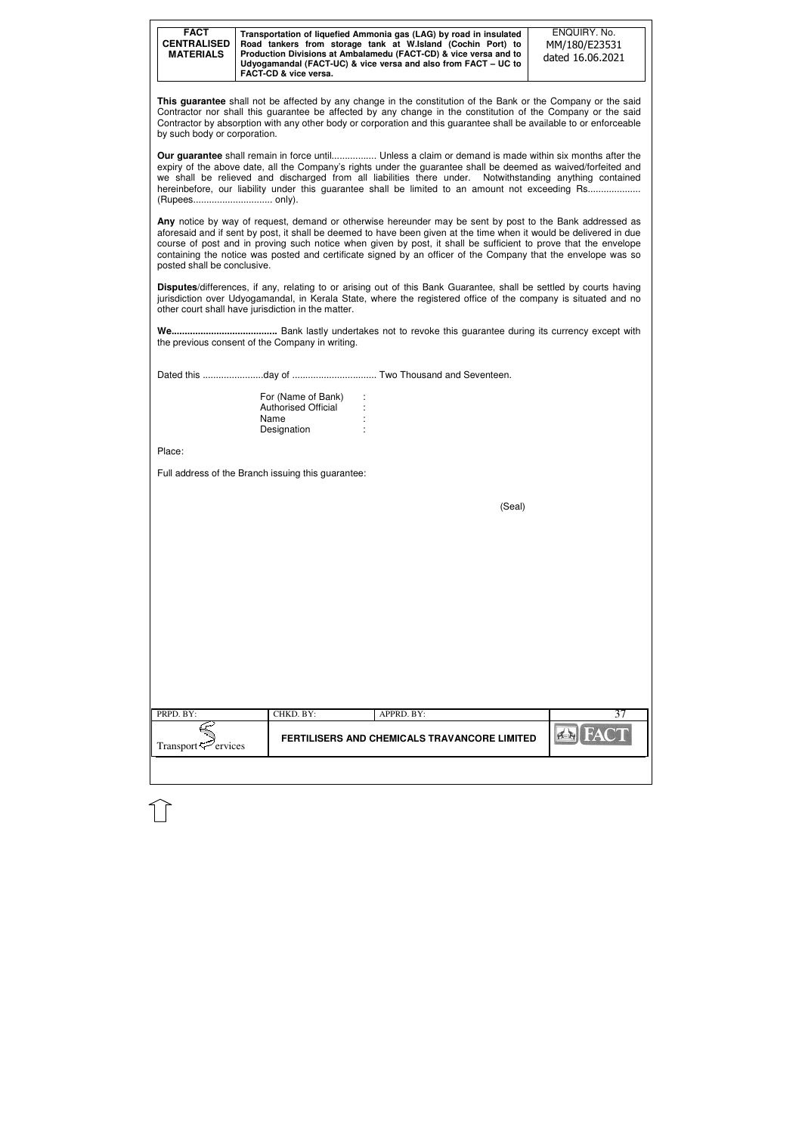| <b>FACT</b><br><b>CENTRALISED</b><br><b>MATERIALS</b> | FACT-CD & vice versa.                                                   | Transportation of liquefied Ammonia gas (LAG) by road in insulated<br>Road tankers from storage tank at W.Island (Cochin Port) to<br>Production Divisions at Ambalamedu (FACT-CD) & vice versa and to<br>Udyogamandal (FACT-UC) & vice versa and also from FACT - UC to                                                                                                                                                                                            | ENQUIRY. No.<br>MM/180/E23531<br>dated 16.06.2021 |
|-------------------------------------------------------|-------------------------------------------------------------------------|--------------------------------------------------------------------------------------------------------------------------------------------------------------------------------------------------------------------------------------------------------------------------------------------------------------------------------------------------------------------------------------------------------------------------------------------------------------------|---------------------------------------------------|
| by such body or corporation.                          |                                                                         | This guarantee shall not be affected by any change in the constitution of the Bank or the Company or the said<br>Contractor nor shall this guarantee be affected by any change in the constitution of the Company or the said<br>Contractor by absorption with any other body or corporation and this guarantee shall be available to or enforceable                                                                                                               |                                                   |
| (Rupees only).                                        |                                                                         | <b>Our guarantee</b> shall remain in force until Unless a claim or demand is made within six months after the<br>expiry of the above date, all the Company's rights under the guarantee shall be deemed as waived/forfeited and<br>we shall be relieved and discharged from all liabilities there under. Notwithstanding anything contained<br>hereinbefore, our liability under this guarantee shall be limited to an amount not exceeding Rs                     |                                                   |
| posted shall be conclusive.                           |                                                                         | Any notice by way of request, demand or otherwise hereunder may be sent by post to the Bank addressed as<br>aforesaid and if sent by post, it shall be deemed to have been given at the time when it would be delivered in due<br>course of post and in proving such notice when given by post, it shall be sufficient to prove that the envelope<br>containing the notice was posted and certificate signed by an officer of the Company that the envelope was so |                                                   |
|                                                       | other court shall have jurisdiction in the matter.                      | Disputes/differences, if any, relating to or arising out of this Bank Guarantee, shall be settled by courts having<br>jurisdiction over Udyogamandal, in Kerala State, where the registered office of the company is situated and no                                                                                                                                                                                                                               |                                                   |
|                                                       | the previous consent of the Company in writing.                         |                                                                                                                                                                                                                                                                                                                                                                                                                                                                    |                                                   |
|                                                       |                                                                         |                                                                                                                                                                                                                                                                                                                                                                                                                                                                    |                                                   |
|                                                       | For (Name of Bank)<br><b>Authorised Official</b><br>Name<br>Designation |                                                                                                                                                                                                                                                                                                                                                                                                                                                                    |                                                   |
| Place:                                                |                                                                         |                                                                                                                                                                                                                                                                                                                                                                                                                                                                    |                                                   |
|                                                       | Full address of the Branch issuing this guarantee:                      |                                                                                                                                                                                                                                                                                                                                                                                                                                                                    |                                                   |
|                                                       |                                                                         | (Seal)                                                                                                                                                                                                                                                                                                                                                                                                                                                             |                                                   |
|                                                       |                                                                         |                                                                                                                                                                                                                                                                                                                                                                                                                                                                    |                                                   |
|                                                       |                                                                         |                                                                                                                                                                                                                                                                                                                                                                                                                                                                    |                                                   |
|                                                       |                                                                         |                                                                                                                                                                                                                                                                                                                                                                                                                                                                    |                                                   |
|                                                       |                                                                         |                                                                                                                                                                                                                                                                                                                                                                                                                                                                    |                                                   |
|                                                       |                                                                         |                                                                                                                                                                                                                                                                                                                                                                                                                                                                    |                                                   |
|                                                       |                                                                         |                                                                                                                                                                                                                                                                                                                                                                                                                                                                    |                                                   |
|                                                       |                                                                         |                                                                                                                                                                                                                                                                                                                                                                                                                                                                    |                                                   |
| PRPD. BY:                                             | CHKD. BY:                                                               | APPRD. BY:                                                                                                                                                                                                                                                                                                                                                                                                                                                         | 37                                                |
| Transport <sup>7</sup> ervices                        |                                                                         | <b>FERTILISERS AND CHEMICALS TRAVANCORE LIMITED</b>                                                                                                                                                                                                                                                                                                                                                                                                                |                                                   |
|                                                       |                                                                         |                                                                                                                                                                                                                                                                                                                                                                                                                                                                    |                                                   |
|                                                       |                                                                         |                                                                                                                                                                                                                                                                                                                                                                                                                                                                    |                                                   |
|                                                       |                                                                         |                                                                                                                                                                                                                                                                                                                                                                                                                                                                    |                                                   |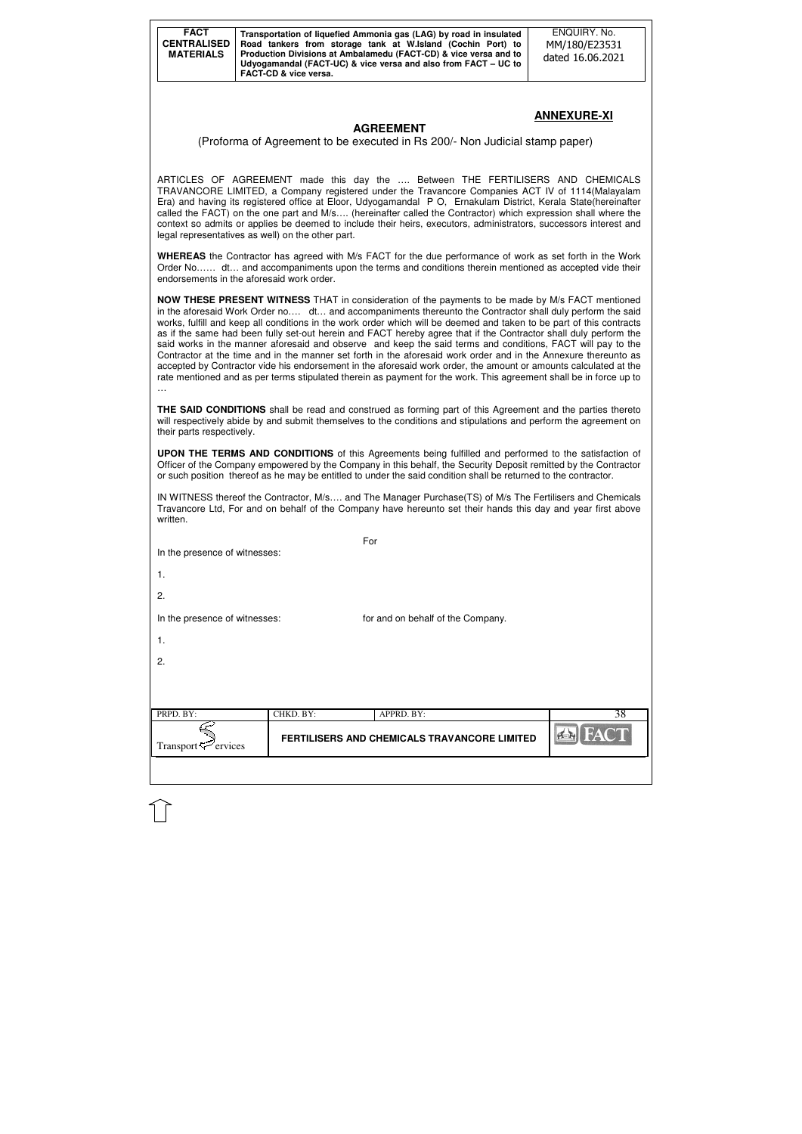| <b>FACT</b><br><b>CENTRALISED</b><br><b>MATERIALS</b> | Transportation of liquefied Ammonia gas (LAG) by road in insulated<br>Road tankers from storage tank at W.Island (Cochin Port) to<br>Production Divisions at Ambalamedu (FACT-CD) & vice versa and to<br>Udyogamandal (FACT-UC) & vice versa and also from FACT - UC to |
|-------------------------------------------------------|-------------------------------------------------------------------------------------------------------------------------------------------------------------------------------------------------------------------------------------------------------------------------|
|                                                       | FACT-CD & vice versa.                                                                                                                                                                                                                                                   |

## **ANNEXURE-XI**

## **AGREEMENT**

### (Proforma of Agreement to be executed in Rs 200/- Non Judicial stamp paper)

ARTICLES OF AGREEMENT made this day the …. Between THE FERTILISERS AND CHEMICALS TRAVANCORE LIMITED, a Company registered under the Travancore Companies ACT IV of 1114(Malayalam Era) and having its registered office at Eloor, Udyogamandal P O, Ernakulam District, Kerala State(hereinafter called the FACT) on the one part and M/s…. (hereinafter called the Contractor) which expression shall where the context so admits or applies be deemed to include their heirs, executors, administrators, successors interest and legal representatives as well) on the other part.

**WHEREAS** the Contractor has agreed with M/s FACT for the due performance of work as set forth in the Work Order No…… dt… and accompaniments upon the terms and conditions therein mentioned as accepted vide their endorsements in the aforesaid work order.

| In the presence of witnesses:   |           | For                                          |                      |
|---------------------------------|-----------|----------------------------------------------|----------------------|
| $\mathbf{1}$ .                  |           |                                              |                      |
| 2.                              |           |                                              |                      |
| In the presence of witnesses:   |           | for and on behalf of the Company.            |                      |
| 1.                              |           |                                              |                      |
| 2.                              |           |                                              |                      |
|                                 |           |                                              |                      |
|                                 |           |                                              |                      |
| PRPD. BY:                       | CHKD. BY: | APPRD. BY:                                   | 38                   |
| Transport <sup>52</sup> ervices |           | FERTILISERS AND CHEMICALS TRAVANCORE LIMITED | <b>FACT</b><br>$H_1$ |
|                                 |           |                                              |                      |

**NOW THESE PRESENT WITNESS** THAT in consideration of the payments to be made by M/s FACT mentioned in the aforesaid Work Order no…. dt… and accompaniments thereunto the Contractor shall duly perform the said works, fulfill and keep all conditions in the work order which will be deemed and taken to be part of this contracts as if the same had been fully set-out herein and FACT hereby agree that if the Contractor shall duly perform the said works in the manner aforesaid and observe and keep the said terms and conditions, FACT will pay to the Contractor at the time and in the manner set forth in the aforesaid work order and in the Annexure thereunto as accepted by Contractor vide his endorsement in the aforesaid work order, the amount or amounts calculated at the rate mentioned and as per terms stipulated therein as payment for the work. This agreement shall be in force up to …

**THE SAID CONDITIONS** shall be read and construed as forming part of this Agreement and the parties thereto will respectively abide by and submit themselves to the conditions and stipulations and perform the agreement on their parts respectively.

**UPON THE TERMS AND CONDITIONS** of this Agreements being fulfilled and performed to the satisfaction of Officer of the Company empowered by the Company in this behalf, the Security Deposit remitted by the Contractor or such position thereof as he may be entitled to under the said condition shall be returned to the contractor.

IN WITNESS thereof the Contractor, M/s…. and The Manager Purchase(TS) of M/s The Fertilisers and Chemicals Travancore Ltd, For and on behalf of the Company have hereunto set their hands this day and year first above written.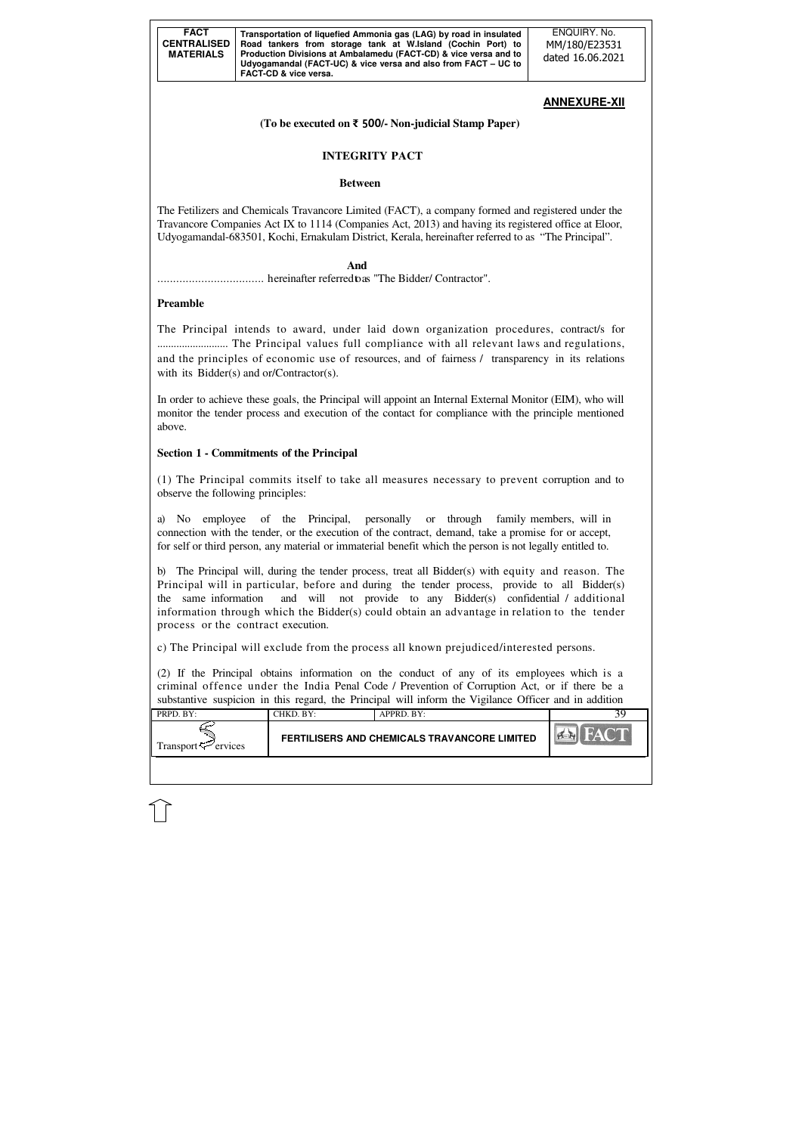| <b>FACT</b><br><b>CENTRALISED</b><br><b>MATERIALS</b> | Transportation of liquefied Ammonia gas (LAG) by road in insulated<br>Road tankers from storage tank at W.Island (Cochin Port) to<br>Production Divisions at Ambalamedu (FACT-CD) & vice versa and to<br>Udyogamandal (FACT-UC) & vice versa and also from FACT – UC to | ENQUIRY, No.<br>MM/180/E23531<br>dated 16.06.2021 |
|-------------------------------------------------------|-------------------------------------------------------------------------------------------------------------------------------------------------------------------------------------------------------------------------------------------------------------------------|---------------------------------------------------|
|                                                       | FACT-CD & vice versa.                                                                                                                                                                                                                                                   |                                                   |

| $\sim$ $\sim$ $\sim$ $\sim$ $\sim$<br>FERTILISERS AND CHEMICALS TRAVANCORE LIMITED<br>Fransport <f<br>ervices</f<br> | $PRPD$ $RY$ | ™KD. BY: | $APPRD$ $BY:$ |  |
|----------------------------------------------------------------------------------------------------------------------|-------------|----------|---------------|--|
|                                                                                                                      |             |          |               |  |

# **ANNEXURE-XII**

The Principal intends to award, under laid down organization procedures, contract/s for .......................... The Principal values full compliance with all relevant laws and regulations, and the principles of economic use of resources, and of fairness / transparency in its relations with its Bidder(s) and or/Contractor(s).

**(To be executed on** ₹ 500**/- Non-judicial Stamp Paper)** 

# **INTEGRITY PACT**

## **Between**

The Fetilizers and Chemicals Travancore Limited (FACT), a company formed and registered under the Travancore Companies Act IX to 1114 (Companies Act, 2013) and having its registered office at Eloor, Udyogamandal-683501, Kochi, Ernakulam District, Kerala, hereinafter referred to as "The Principal".

## **And**

.................................. hereinafter referred to as "The Bidder/ Contractor".

## **Preamble**

In order to achieve these goals, the Principal will appoint an Internal External Monitor (EIM), who will monitor the tender process and execution of the contact for compliance with the principle mentioned above.

# **Section 1 - Commitments of the Principal**

(1) The Principal commits itself to take all measures necessary to prevent corruption and to observe the following principles:

a) No employee of the Principal, personally or through family members, will in connection with the tender, or the execution of the contract, demand, take a promise for or accept, for self or third person, any material or immaterial benefit which the person is not legally entitled to.

b) The Principal will, during the tender process, treat all Bidder(s) with equity and reason. The Principal will in particular, before and during the tender process, provide to all Bidder(s) the same information and will not provide to any Bidder(s) confidential / additional information through which the Bidder(s) could obtain an advantage in relation to the tender process or the contract execution.

c) The Principal will exclude from the process all known prejudiced/interested persons.

(2) If the Principal obtains information on the conduct of any of its employees which is a criminal offence under the India Penal Code / Prevention of Corruption Act, or if there be a substantive suspicion in this regard, the Principal will inform the Vigilance Officer and in addition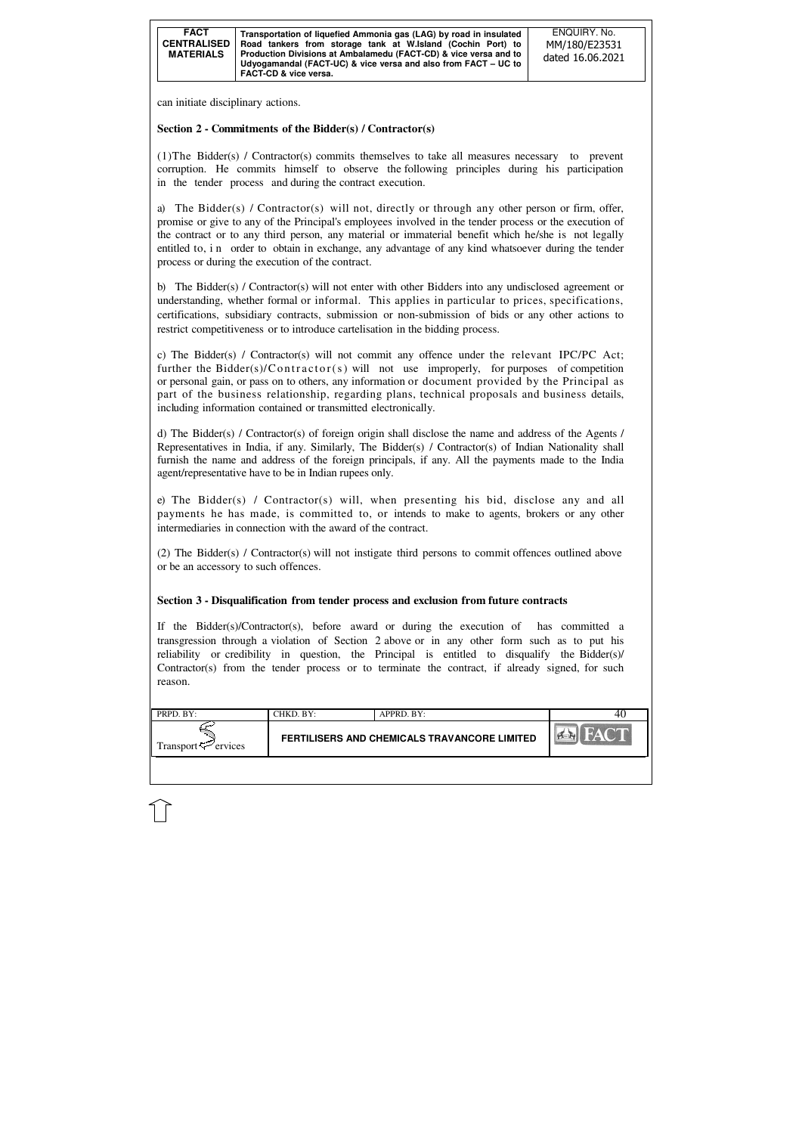| <b>FACT</b><br>Transportation of liquefied Ammonia gas (LAG) by road in insulated<br><b>CENTRALISED</b><br>Road tankers from storage tank at W.Island (Cochin Port) to<br>Production Divisions at Ambalamedu (FACT-CD) & vice versa and to<br><b>MATERIALS</b><br>Udyogamandal (FACT-UC) & vice versa and also from FACT – UC to<br><b>FACT-CD &amp; vice versa.</b> | ENQUIRY, No.<br>MM/180/E23531<br>dated 16.06.2021 |
|----------------------------------------------------------------------------------------------------------------------------------------------------------------------------------------------------------------------------------------------------------------------------------------------------------------------------------------------------------------------|---------------------------------------------------|
|----------------------------------------------------------------------------------------------------------------------------------------------------------------------------------------------------------------------------------------------------------------------------------------------------------------------------------------------------------------------|---------------------------------------------------|

| $\blacksquare$ PRPD, BY:    | CHKD. BY: | $APPRD$ . BY:                                |  |
|-----------------------------|-----------|----------------------------------------------|--|
| Transport $\approx$ ervices |           | FERTILISERS AND CHEMICALS TRAVANCORE LIMITED |  |
|                             |           |                                              |  |

can initiate disciplinary actions.

## **Section 2 - Commitments of the Bidder(s) / Contractor(s)**

(1)The Bidder(s) / Contractor(s) commits themselves to take all measures necessary to prevent corruption. He commits himself to observe the following principles during his participation in the tender process and during the contract execution.

a) The Bidder(s) / Contractor(s) will not, directly or through any other person or firm, offer, promise or give to any of the Principal's employees involved in the tender process or the execution of the contract or to any third person, any material or immaterial benefit which he/she is not legally entitled to, in order to obtain in exchange, any advantage of any kind whatsoever during the tender process or during the execution of the contract.

b) The Bidder(s) / Contractor(s) will not enter with other Bidders into any undisclosed agreement or understanding, whether formal or informal. This applies in particular to prices, specifications, certifications, subsidiary contracts, submission or non-submission of bids or any other actions to restrict competitiveness or to introduce cartelisation in the bidding process.

c) The Bidder(s) / Contractor(s) will not commit any offence under the relevant IPC/PC Act; further the Bidder(s)/C ontractor(s) will not use improperly, for purposes of competition or personal gain, or pass on to others, any information or document provided by the Principal as part of the business relationship, regarding plans, technical proposals and business details, including information contained or transmitted electronically.

d) The Bidder(s) / Contractor(s) of foreign origin shall disclose the name and address of the Agents / Representatives in India, if any. Similarly, The Bidder(s) / Contractor(s) of Indian Nationality shall furnish the name and address of the foreign principals, if any. All the payments made to the India agent/representative have to be in Indian rupees only.

e) The Bidder(s) / Contractor(s) will, when presenting his bid, disclose any and all payments he has made, is committed to, or intends to make to agents, brokers or any other intermediaries in connection with the award of the contract.

(2) The Bidder(s) / Contractor(s) will not instigate third persons to commit offences outlined above or be an accessory to such offences.

## **Section 3 - Disqualification from tender process and exclusion from future contracts**

If the Bidder(s)/Contractor(s), before award or during the execution of has committed a transgression through a violation of Section 2 above or in any other form such as to put his reliability or credibility in question, the Principal is entitled to disqualify the Bidder(s)/ Contractor(s) from the tender process or to terminate the contract, if already signed, for such reason.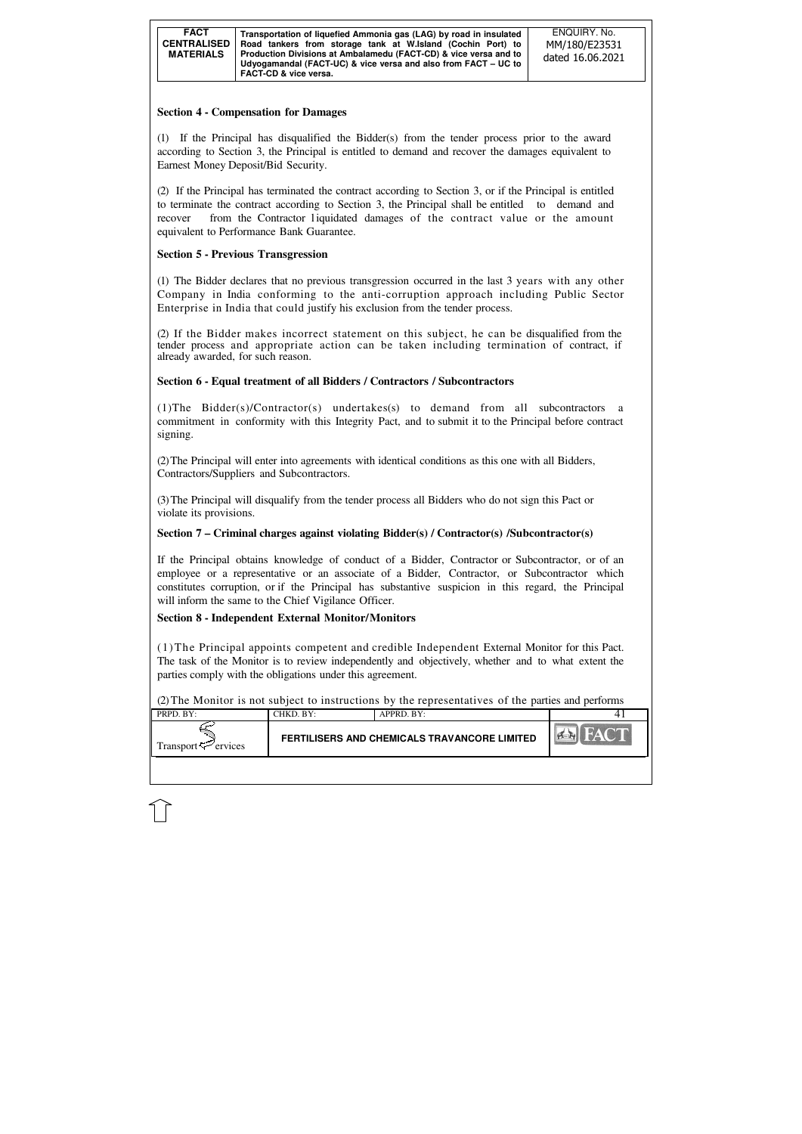| <b>FACT</b><br><b>CENTRALISED</b><br><b>MATERIALS</b> | Transportation of liquefied Ammonia gas (LAG) by road in insulated<br>Road tankers from storage tank at W.Island (Cochin Port) to<br>Production Divisions at Ambalamedu (FACT-CD) & vice versa and to<br>Udyogamandal (FACT-UC) & vice versa and also from FACT - UC to<br><b>FACT-CD &amp; vice versa.</b> | ENQUIRY, No.<br>MM/180/E23531<br>dated 16.06.2021 |
|-------------------------------------------------------|-------------------------------------------------------------------------------------------------------------------------------------------------------------------------------------------------------------------------------------------------------------------------------------------------------------|---------------------------------------------------|
|-------------------------------------------------------|-------------------------------------------------------------------------------------------------------------------------------------------------------------------------------------------------------------------------------------------------------------------------------------------------------------|---------------------------------------------------|

| PRPD. BY:                | $CHKD$ . $BY:$ | $APPRD$ . $BY:$                                     |            |
|--------------------------|----------------|-----------------------------------------------------|------------|
| Transport $\div$ ervices |                | <b>FERTILISERS AND CHEMICALS TRAVANCORE LIMITED</b> | <b>PER</b> |
|                          |                |                                                     |            |

## **Section 4 - Compensation for Damages**

(1) If the Principal has disqualified the Bidder(s) from the tender process prior to the award according to Section 3, the Principal is entitled to demand and recover the damages equivalent to Earnest Money Deposit/Bid Security.

(1)The Bidder(s)/Contractor(s) undertakes(s) to demand from all subcontractors a commitment in conformity with this Integrity Pact, and to submit it to the Principal before contract signing.

(2) If the Principal has terminated the contract according to Section 3, or if the Principal is entitled to terminate the contract according to Section 3, the Principal shall be entitled to demand and recover from the Contractor liquidated damages of the contract value or the amount equivalent to Performance Bank Guarantee.

## **Section 5 - Previous Transgression**

(1) The Bidder declares that no previous transgression occurred in the last 3 years with any other Company in India conforming to the anti-corruption approach including Public Sector Enterprise in India that could justify his exclusion from the tender process.

(2) If the Bidder makes incorrect statement on this subject, he can be disqualified from the tender process and appropriate action can be taken including termination of contract, if already awarded, for such reason.

## **Section 6 - Equal treatment of all Bidders / Contractors / Subcontractors**

(2) The Principal will enter into agreements with identical conditions as this one with all Bidders, Contractors/Suppliers and Subcontractors.

(3) The Principal will disqualify from the tender process all Bidders who do not sign this Pact or violate its provisions.

## **Section 7 – Criminal charges against violating Bidder(s) / Contractor(s) /Subcontractor(s)**

If the Principal obtains knowledge of conduct of a Bidder, Contractor or Subcontractor, or of an employee or a representative or an associate of a Bidder, Contractor, or Subcontractor which constitutes corruption, or if the Principal has substantive suspicion in this regard, the Principal will inform the same to the Chief Vigilance Officer.

## **Section 8 - Independent External Monitor/Monitors**

(1)The Principal appoints competent and credible Independent External Monitor for this Pact. The task of the Monitor is to review independently and objectively, whether and to what extent the parties comply with the obligations under this agreement.

(2) The Monitor is not subject to instructions by the representatives of the parties and performs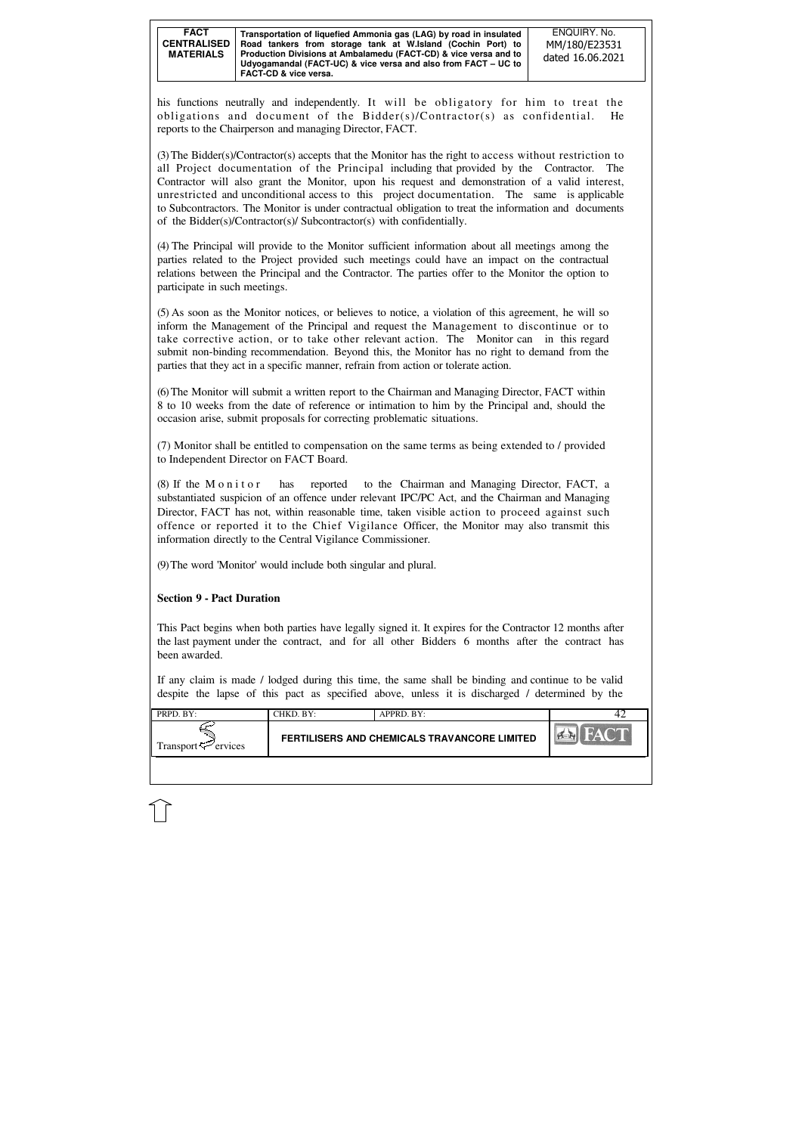| <b>FACT</b><br><b>CENTRALISED</b><br><b>MATERIALS</b> | Transportation of liquefied Ammonia gas (LAG) by road in insulated<br>Road tankers from storage tank at W.Island (Cochin Port) to<br>Production Divisions at Ambalamedu (FACT-CD) & vice versa and to<br>Udyogamandal (FACT-UC) & vice versa and also from FACT - UC to<br><b>FACT-CD &amp; vice versa.</b> | ENQUIRY, No.<br>MM/180/E23531<br>dated 16.06.2021 |
|-------------------------------------------------------|-------------------------------------------------------------------------------------------------------------------------------------------------------------------------------------------------------------------------------------------------------------------------------------------------------------|---------------------------------------------------|
|-------------------------------------------------------|-------------------------------------------------------------------------------------------------------------------------------------------------------------------------------------------------------------------------------------------------------------------------------------------------------------|---------------------------------------------------|

| <b>FERTILISERS AND CHEMICALS TRAVANCORE LIMITED</b><br>Transport < Fervices | PRPD. BY: | CHKD. BY: | APPRD. BY: |  |
|-----------------------------------------------------------------------------|-----------|-----------|------------|--|
|                                                                             |           |           |            |  |

his functions neutrally and independently. It will be obligatory for him to treat the obligations and document of the Bidder(s)/Contractor(s) as confidential. He reports to the Chairperson and managing Director, FACT.

(3) The Bidder(s)/Contractor(s) accepts that the Monitor has the right to access without restriction to all Project documentation of the Principal including that provided by the Contractor. The Contractor will also grant the Monitor, upon his request and demonstration of a valid interest, unrestricted and unconditional access to this project documentation. The same is applicable to Subcontractors. The Monitor is under contractual obligation to treat the information and documents of the Bidder(s)/Contractor(s)/ Subcontractor(s) with confidentially.

(4) The Principal will provide to the Monitor sufficient information about all meetings among the parties related to the Project provided such meetings could have an impact on the contractual relations between the Principal and the Contractor. The parties offer to the Monitor the option to participate in such meetings.

(8) If the M o n i t o r has reported to the Chairman and Managing Director, FACT, a substantiated suspicion of an offence under relevant IPC/PC Act, and the Chairman and Managing Director, FACT has not, within reasonable time, taken visible action to proceed against such offence or reported it to the Chief Vigilance Officer, the Monitor may also transmit this information directly to the Central Vigilance Commissioner.

(5) As soon as the Monitor notices, or believes to notice, a violation of this agreement, he will so inform the Management of the Principal and request the Management to discontinue or to take corrective action, or to take other relevant action. The Monitor can in this regard submit non-binding recommendation. Beyond this, the Monitor has no right to demand from the parties that they act in a specific manner, refrain from action or tolerate action.

(6) The Monitor will submit a written report to the Chairman and Managing Director, FACT within 8 to 10 weeks from the date of reference or intimation to him by the Principal and, should the occasion arise, submit proposals for correcting problematic situations.

(7) Monitor shall be entitled to compensation on the same terms as being extended to / provided to Independent Director on FACT Board.

(9) The word 'Monitor' would include both singular and plural.

# **Section 9 - Pact Duration**

This Pact begins when both parties have legally signed it. It expires for the Contractor 12 months after the last payment under the contract, and for all other Bidders 6 months after the contract has been awarded.

If any claim is made / lodged during this time, the same shall be binding and continue to be valid despite the lapse of this pact as specified above, unless it is discharged / determined by the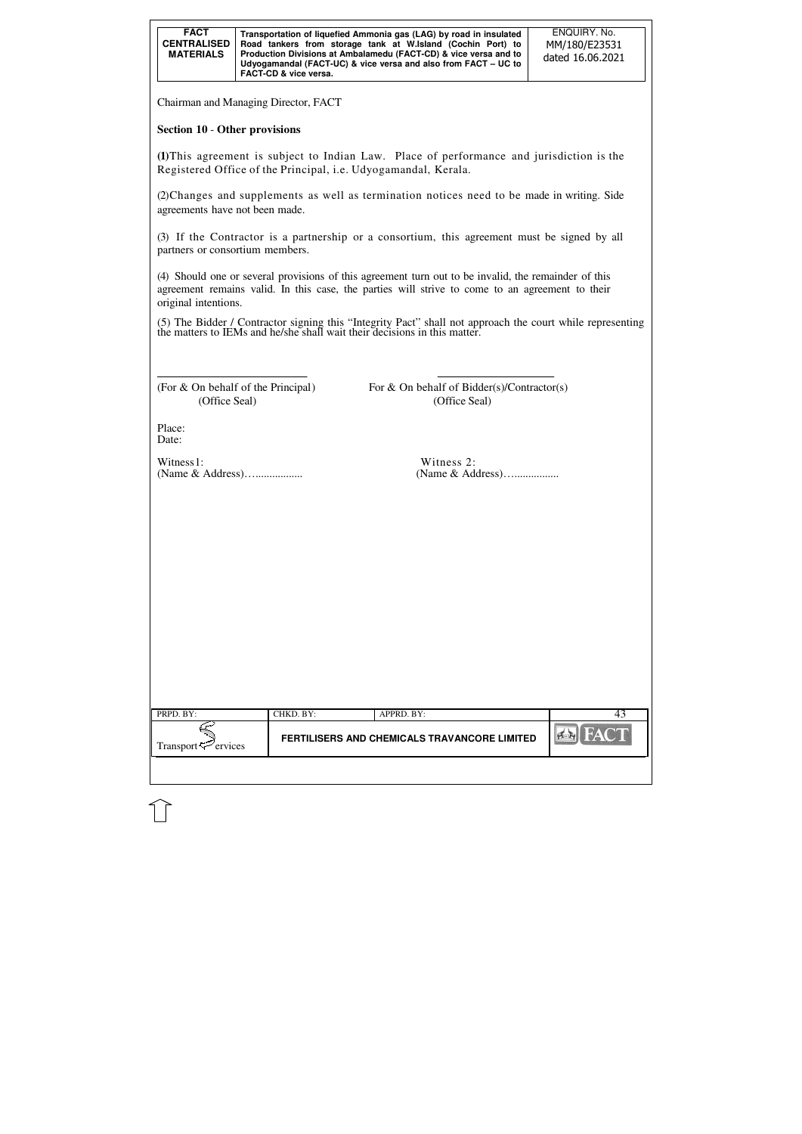| <b>FACT</b><br><b>CENTRALISED</b><br><b>MATERIALS</b> | Transportation of liquefied Ammonia gas (LAG) by road in insulated<br>Road tankers from storage tank at W.Island (Cochin Port) to<br>Production Divisions at Ambalamedu (FACT-CD) & vice versa and to<br>Udyogamandal (FACT-UC) & vice versa and also from FACT – UC to<br><b>FACT-CD &amp; vice versa.</b> | ENQUIRY, No.<br>MM/180/E23531<br>dated 16.06.2021 |
|-------------------------------------------------------|-------------------------------------------------------------------------------------------------------------------------------------------------------------------------------------------------------------------------------------------------------------------------------------------------------------|---------------------------------------------------|
|-------------------------------------------------------|-------------------------------------------------------------------------------------------------------------------------------------------------------------------------------------------------------------------------------------------------------------------------------------------------------------|---------------------------------------------------|

| PRPD. BY:                      | CHKD. BY: | APPRD. BY:                                   |  |
|--------------------------------|-----------|----------------------------------------------|--|
| Transport <sup>5</sup> ervices |           | FERTILISERS AND CHEMICALS TRAVANCORE LIMITED |  |
|                                |           |                                              |  |

Chairman and Managing Director, FACT

### **Section 10** - **Other provisions**

**(1)**This agreement is subject to Indian Law. Place of performance and jurisdiction is the Registered Office of the Principal, i.e. Udyogamandal, Kerala.

> For  $&$  On behalf of Bidder(s)/Contractor(s) (Office Seal) (Office Seal)

(2)Changes and supplements as well as termination notices need to be made in writing. Side agreements have not been made.

(3) If the Contractor is a partnership or a consortium, this agreement must be signed by all partners or consortium members.

(4) Should one or several provisions of this agreement turn out to be invalid, the remainder of this agreement remains valid. In this case, the parties will strive to come to an agreement to their original intentions.

(5) The Bidder / Contractor signing this "Integrity Pact" shall not approach the court while representing the matters to IEMs and he/she shall wait their decisions in this matter.

| (For $\&$ On behalf of the Principal) |  |
|---------------------------------------|--|
| (Office Seal)                         |  |

Place: Date:

Witness 1: Witness 2:

(Name & Address)…................. (Name & Address)…................